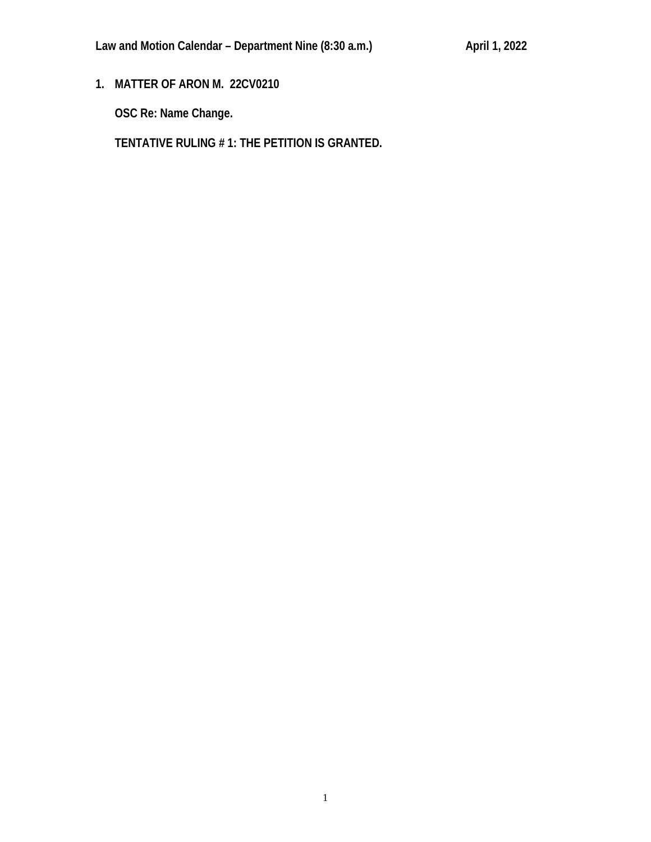**1. MATTER OF ARON M. 22CV0210**

**OSC Re: Name Change.**

**TENTATIVE RULING # 1: THE PETITION IS GRANTED.**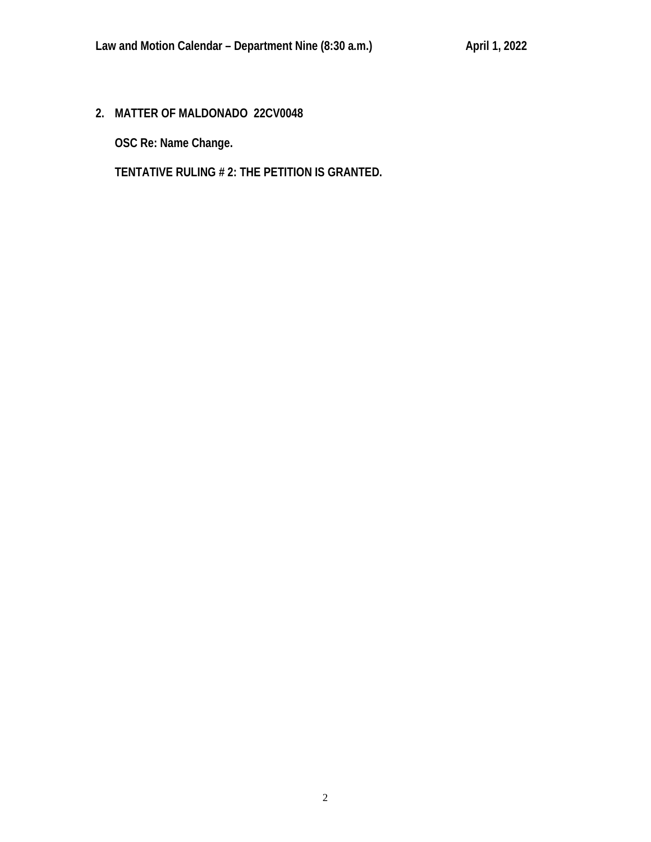**2. MATTER OF MALDONADO 22CV0048**

**OSC Re: Name Change.**

**TENTATIVE RULING # 2: THE PETITION IS GRANTED.**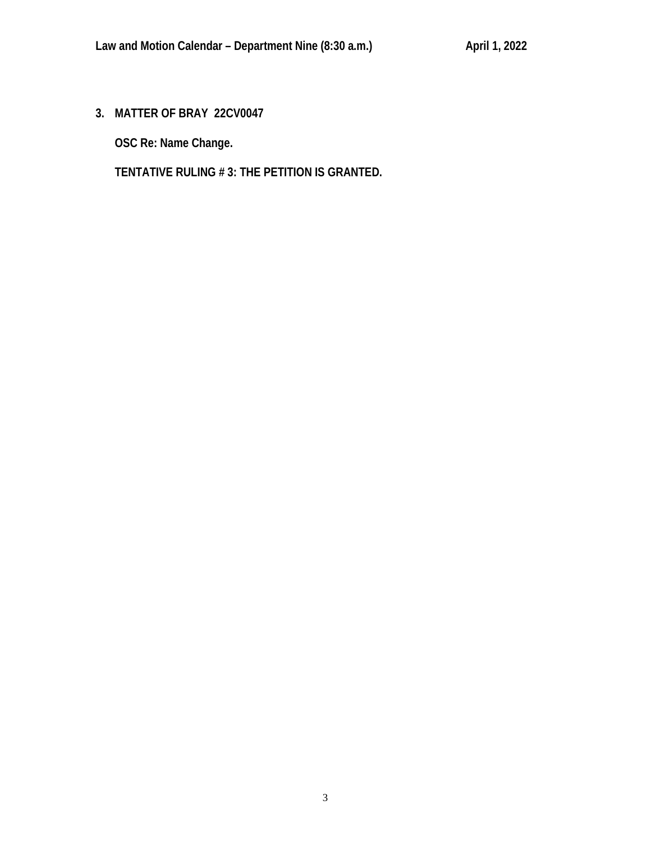**3. MATTER OF BRAY 22CV0047**

**OSC Re: Name Change.**

**TENTATIVE RULING # 3: THE PETITION IS GRANTED.**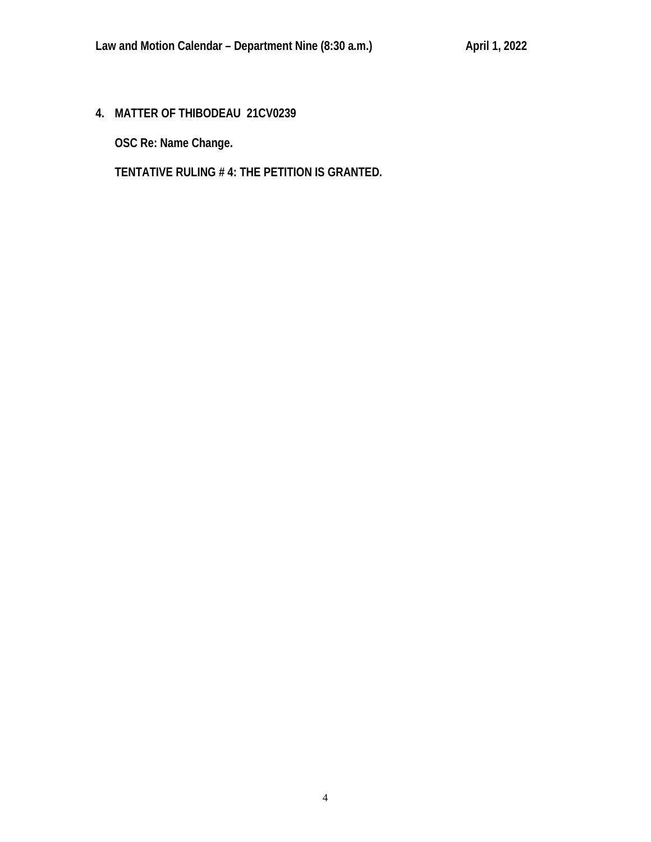**4. MATTER OF THIBODEAU 21CV0239**

**OSC Re: Name Change.**

**TENTATIVE RULING # 4: THE PETITION IS GRANTED.**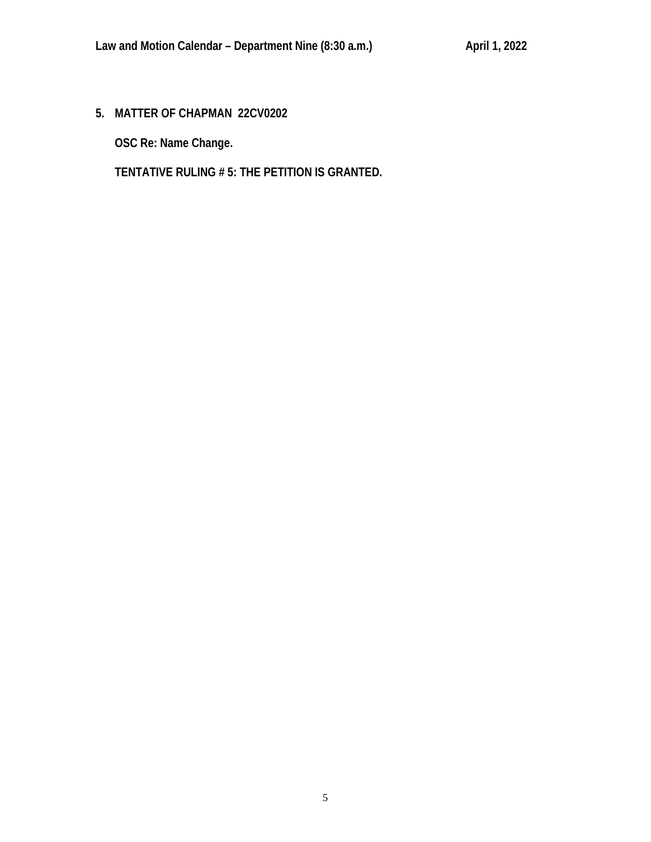**5. MATTER OF CHAPMAN 22CV0202**

**OSC Re: Name Change.**

**TENTATIVE RULING # 5: THE PETITION IS GRANTED.**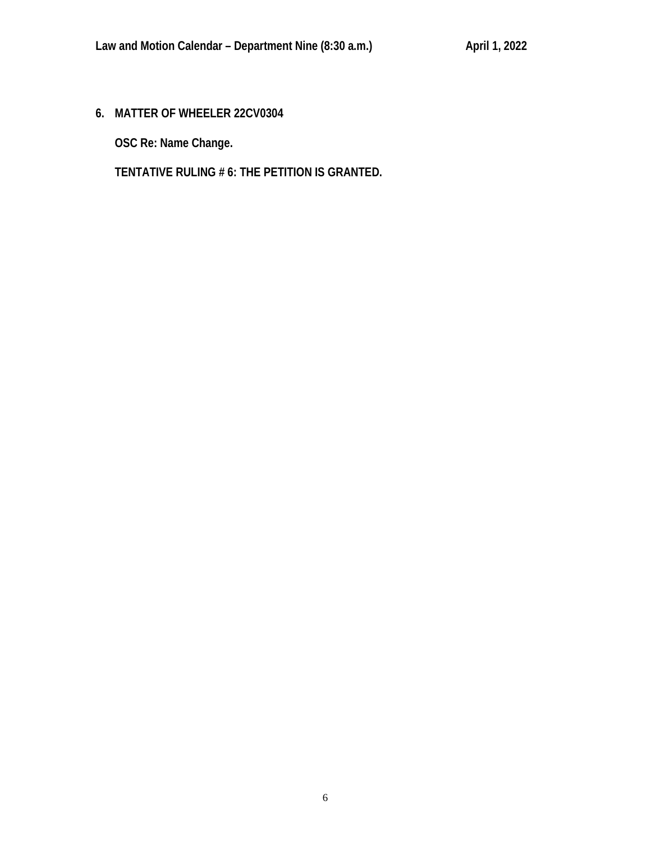# **6. MATTER OF WHEELER 22CV0304**

**OSC Re: Name Change.**

**TENTATIVE RULING # 6: THE PETITION IS GRANTED.**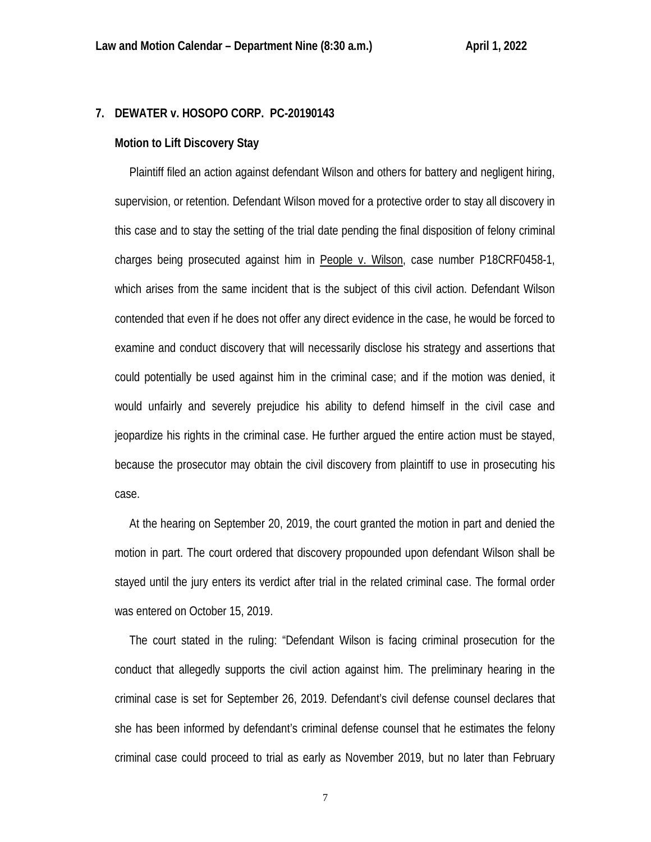# **7. DEWATER v. HOSOPO CORP. PC-20190143**

## **Motion to Lift Discovery Stay**

 Plaintiff filed an action against defendant Wilson and others for battery and negligent hiring, supervision, or retention. Defendant Wilson moved for a protective order to stay all discovery in this case and to stay the setting of the trial date pending the final disposition of felony criminal charges being prosecuted against him in People v. Wilson, case number P18CRF0458-1, which arises from the same incident that is the subject of this civil action. Defendant Wilson contended that even if he does not offer any direct evidence in the case, he would be forced to examine and conduct discovery that will necessarily disclose his strategy and assertions that could potentially be used against him in the criminal case; and if the motion was denied, it would unfairly and severely prejudice his ability to defend himself in the civil case and jeopardize his rights in the criminal case. He further argued the entire action must be stayed, because the prosecutor may obtain the civil discovery from plaintiff to use in prosecuting his case.

 At the hearing on September 20, 2019, the court granted the motion in part and denied the motion in part. The court ordered that discovery propounded upon defendant Wilson shall be stayed until the jury enters its verdict after trial in the related criminal case. The formal order was entered on October 15, 2019.

 The court stated in the ruling: "Defendant Wilson is facing criminal prosecution for the conduct that allegedly supports the civil action against him. The preliminary hearing in the criminal case is set for September 26, 2019. Defendant's civil defense counsel declares that she has been informed by defendant's criminal defense counsel that he estimates the felony criminal case could proceed to trial as early as November 2019, but no later than February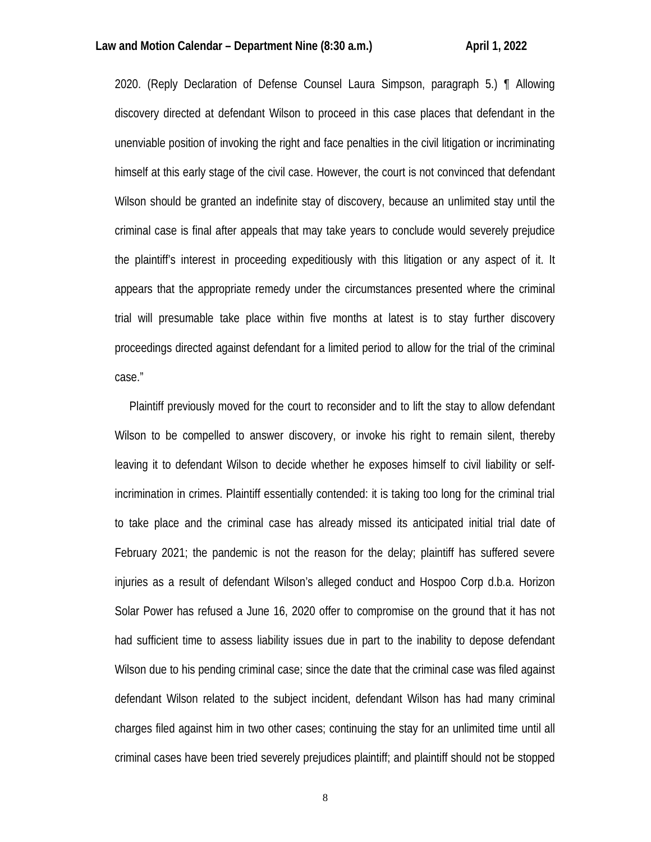2020. (Reply Declaration of Defense Counsel Laura Simpson, paragraph 5.) ¶ Allowing discovery directed at defendant Wilson to proceed in this case places that defendant in the unenviable position of invoking the right and face penalties in the civil litigation or incriminating himself at this early stage of the civil case. However, the court is not convinced that defendant Wilson should be granted an indefinite stay of discovery, because an unlimited stay until the criminal case is final after appeals that may take years to conclude would severely prejudice the plaintiff's interest in proceeding expeditiously with this litigation or any aspect of it. It appears that the appropriate remedy under the circumstances presented where the criminal trial will presumable take place within five months at latest is to stay further discovery proceedings directed against defendant for a limited period to allow for the trial of the criminal case."

 Plaintiff previously moved for the court to reconsider and to lift the stay to allow defendant Wilson to be compelled to answer discovery, or invoke his right to remain silent, thereby leaving it to defendant Wilson to decide whether he exposes himself to civil liability or selfincrimination in crimes. Plaintiff essentially contended: it is taking too long for the criminal trial to take place and the criminal case has already missed its anticipated initial trial date of February 2021; the pandemic is not the reason for the delay; plaintiff has suffered severe injuries as a result of defendant Wilson's alleged conduct and Hospoo Corp d.b.a. Horizon Solar Power has refused a June 16, 2020 offer to compromise on the ground that it has not had sufficient time to assess liability issues due in part to the inability to depose defendant Wilson due to his pending criminal case; since the date that the criminal case was filed against defendant Wilson related to the subject incident, defendant Wilson has had many criminal charges filed against him in two other cases; continuing the stay for an unlimited time until all criminal cases have been tried severely prejudices plaintiff; and plaintiff should not be stopped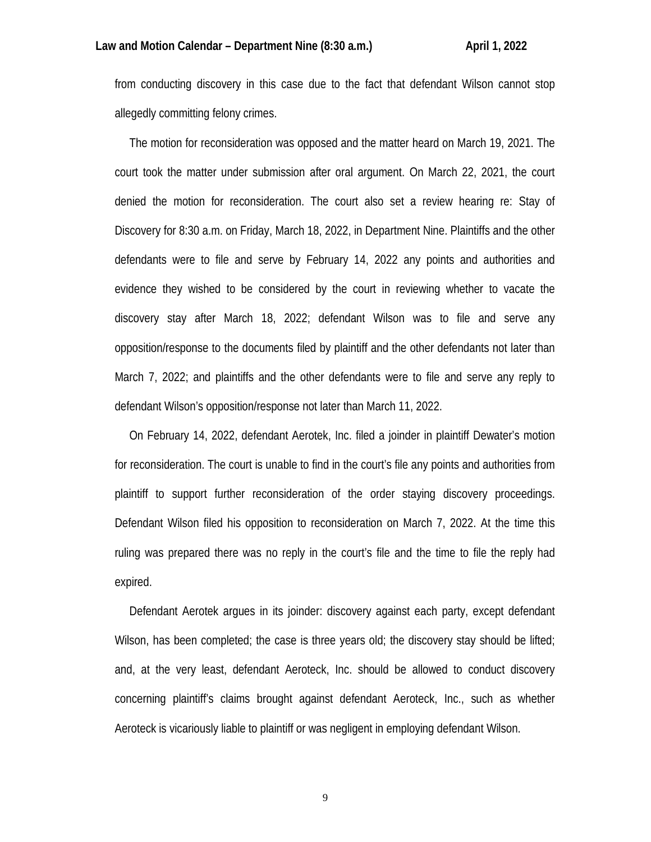from conducting discovery in this case due to the fact that defendant Wilson cannot stop allegedly committing felony crimes.

 The motion for reconsideration was opposed and the matter heard on March 19, 2021. The court took the matter under submission after oral argument. On March 22, 2021, the court denied the motion for reconsideration. The court also set a review hearing re: Stay of Discovery for 8:30 a.m. on Friday, March 18, 2022, in Department Nine. Plaintiffs and the other defendants were to file and serve by February 14, 2022 any points and authorities and evidence they wished to be considered by the court in reviewing whether to vacate the discovery stay after March 18, 2022; defendant Wilson was to file and serve any opposition/response to the documents filed by plaintiff and the other defendants not later than March 7, 2022; and plaintiffs and the other defendants were to file and serve any reply to defendant Wilson's opposition/response not later than March 11, 2022.

 On February 14, 2022, defendant Aerotek, Inc. filed a joinder in plaintiff Dewater's motion for reconsideration. The court is unable to find in the court's file any points and authorities from plaintiff to support further reconsideration of the order staying discovery proceedings. Defendant Wilson filed his opposition to reconsideration on March 7, 2022. At the time this ruling was prepared there was no reply in the court's file and the time to file the reply had expired.

 Defendant Aerotek argues in its joinder: discovery against each party, except defendant Wilson, has been completed; the case is three years old; the discovery stay should be lifted; and, at the very least, defendant Aeroteck, Inc. should be allowed to conduct discovery concerning plaintiff's claims brought against defendant Aeroteck, Inc., such as whether Aeroteck is vicariously liable to plaintiff or was negligent in employing defendant Wilson.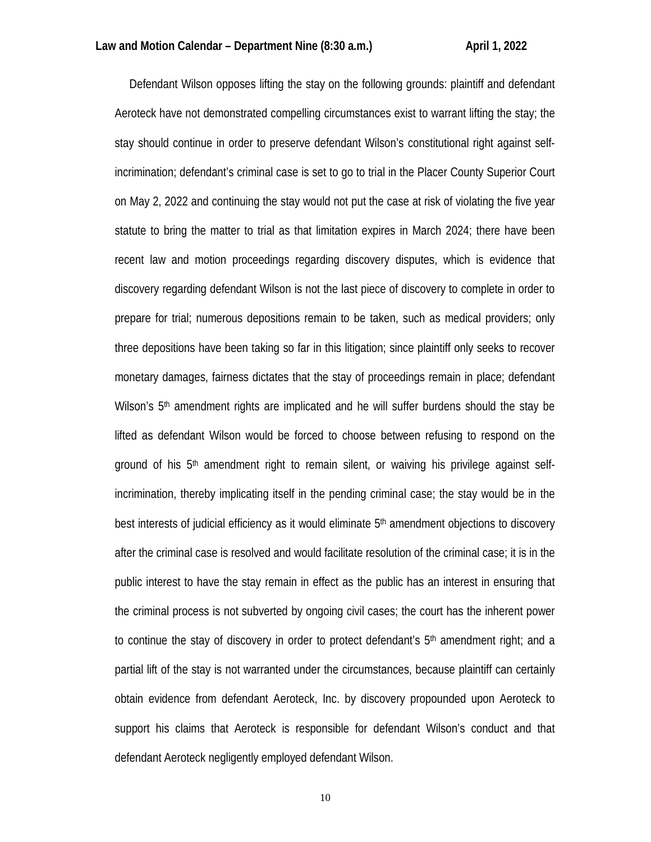Defendant Wilson opposes lifting the stay on the following grounds: plaintiff and defendant Aeroteck have not demonstrated compelling circumstances exist to warrant lifting the stay; the stay should continue in order to preserve defendant Wilson's constitutional right against selfincrimination; defendant's criminal case is set to go to trial in the Placer County Superior Court on May 2, 2022 and continuing the stay would not put the case at risk of violating the five year statute to bring the matter to trial as that limitation expires in March 2024; there have been recent law and motion proceedings regarding discovery disputes, which is evidence that discovery regarding defendant Wilson is not the last piece of discovery to complete in order to prepare for trial; numerous depositions remain to be taken, such as medical providers; only three depositions have been taking so far in this litigation; since plaintiff only seeks to recover monetary damages, fairness dictates that the stay of proceedings remain in place; defendant Wilson's  $5<sup>th</sup>$  amendment rights are implicated and he will suffer burdens should the stay be lifted as defendant Wilson would be forced to choose between refusing to respond on the ground of his  $5<sup>th</sup>$  amendment right to remain silent, or waiving his privilege against selfincrimination, thereby implicating itself in the pending criminal case; the stay would be in the best interests of judicial efficiency as it would eliminate 5th amendment objections to discovery after the criminal case is resolved and would facilitate resolution of the criminal case; it is in the public interest to have the stay remain in effect as the public has an interest in ensuring that the criminal process is not subverted by ongoing civil cases; the court has the inherent power to continue the stay of discovery in order to protect defendant's  $5<sup>th</sup>$  amendment right; and a partial lift of the stay is not warranted under the circumstances, because plaintiff can certainly obtain evidence from defendant Aeroteck, Inc. by discovery propounded upon Aeroteck to support his claims that Aeroteck is responsible for defendant Wilson's conduct and that defendant Aeroteck negligently employed defendant Wilson.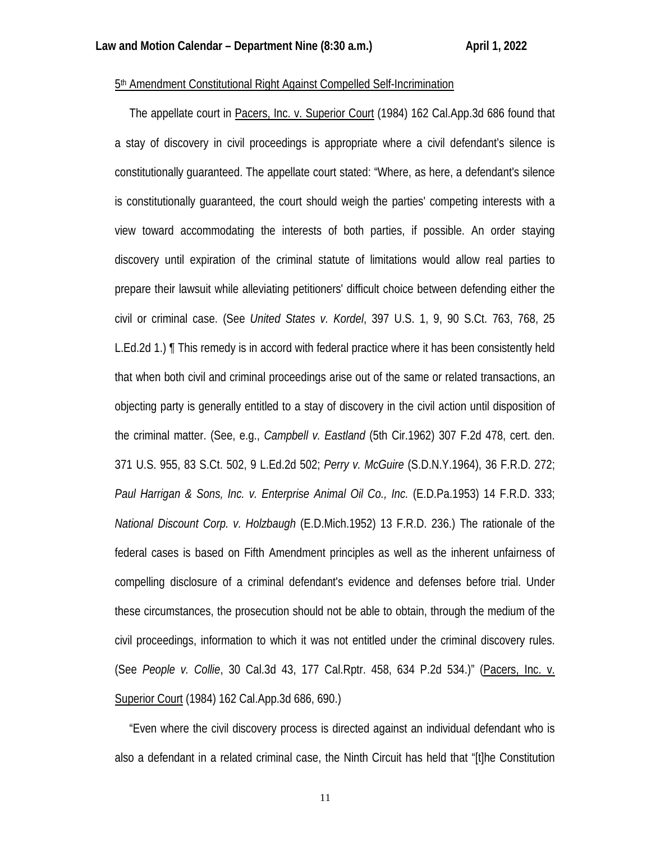## 5th Amendment Constitutional Right Against Compelled Self-Incrimination

 The appellate court in Pacers, Inc. v. Superior Court (1984) 162 Cal.App.3d 686 found that a stay of discovery in civil proceedings is appropriate where a civil defendant's silence is constitutionally guaranteed. The appellate court stated: "Where, as here, a defendant's silence is constitutionally guaranteed, the court should weigh the parties' competing interests with a view toward accommodating the interests of both parties, if possible. An order staying discovery until expiration of the criminal statute of limitations would allow real parties to prepare their lawsuit while alleviating petitioners' difficult choice between defending either the civil or criminal case. (See *United States v. Kordel*, 397 U.S. 1, 9, 90 S.Ct. 763, 768, 25 L.Ed.2d 1.) ¶ This remedy is in accord with federal practice where it has been consistently held that when both civil and criminal proceedings arise out of the same or related transactions, an objecting party is generally entitled to a stay of discovery in the civil action until disposition of the criminal matter. (See, e.g., *Campbell v. Eastland* (5th Cir.1962) 307 F.2d 478, cert. den. 371 U.S. 955, 83 S.Ct. 502, 9 L.Ed.2d 502; *Perry v. McGuire* (S.D.N.Y.1964), 36 F.R.D. 272; *Paul Harrigan & Sons, Inc. v. Enterprise Animal Oil Co., Inc.* (E.D.Pa.1953) 14 F.R.D. 333; *National Discount Corp. v. Holzbaugh* (E.D.Mich.1952) 13 F.R.D. 236.) The rationale of the federal cases is based on Fifth Amendment principles as well as the inherent unfairness of compelling disclosure of a criminal defendant's evidence and defenses before trial. Under these circumstances, the prosecution should not be able to obtain, through the medium of the civil proceedings, information to which it was not entitled under the criminal discovery rules. (See *People v. Collie*, 30 Cal.3d 43, 177 Cal.Rptr. 458, 634 P.2d 534.)" (Pacers, Inc. v. Superior Court (1984) 162 Cal.App.3d 686, 690.)

 "Even where the civil discovery process is directed against an individual defendant who is also a defendant in a related criminal case, the Ninth Circuit has held that "[t]he Constitution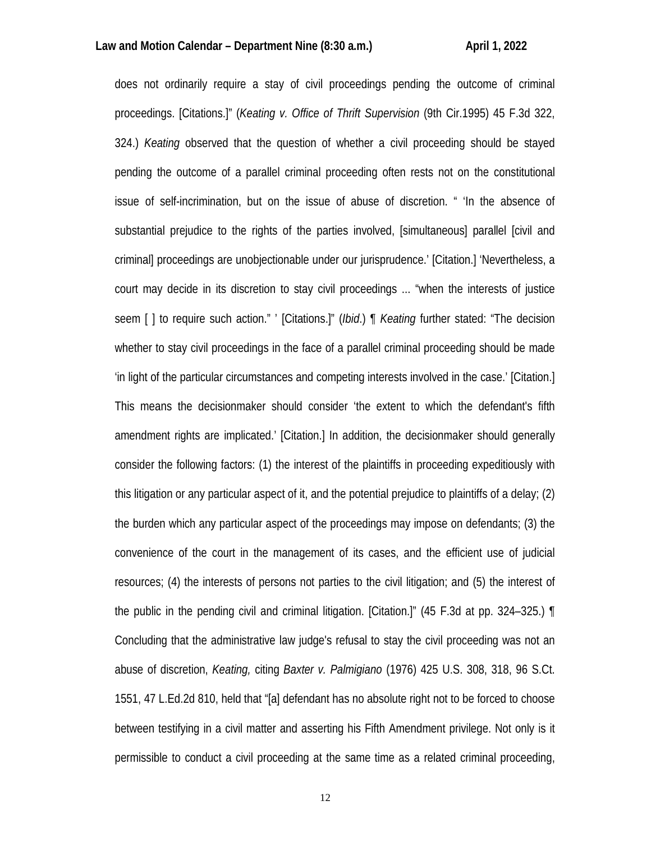does not ordinarily require a stay of civil proceedings pending the outcome of criminal proceedings. [Citations.]" (*Keating v. Office of Thrift Supervision* (9th Cir.1995) 45 F.3d 322, 324.) *Keating* observed that the question of whether a civil proceeding should be stayed pending the outcome of a parallel criminal proceeding often rests not on the constitutional issue of self-incrimination, but on the issue of abuse of discretion. " 'In the absence of substantial prejudice to the rights of the parties involved, [simultaneous] parallel [civil and criminal] proceedings are unobjectionable under our jurisprudence.' [Citation.] 'Nevertheless, a court may decide in its discretion to stay civil proceedings ... "when the interests of justice seem [ ] to require such action." ' [Citations.]" (*Ibid*.) ¶ *Keating* further stated: "The decision whether to stay civil proceedings in the face of a parallel criminal proceeding should be made 'in light of the particular circumstances and competing interests involved in the case.' [Citation.] This means the decisionmaker should consider 'the extent to which the defendant's fifth amendment rights are implicated.' [Citation.] In addition, the decisionmaker should generally consider the following factors: (1) the interest of the plaintiffs in proceeding expeditiously with this litigation or any particular aspect of it, and the potential prejudice to plaintiffs of a delay; (2) the burden which any particular aspect of the proceedings may impose on defendants; (3) the convenience of the court in the management of its cases, and the efficient use of judicial resources; (4) the interests of persons not parties to the civil litigation; and (5) the interest of the public in the pending civil and criminal litigation. [Citation.]" (45 F.3d at pp. 324–325.) ¶ Concluding that the administrative law judge's refusal to stay the civil proceeding was not an abuse of discretion, *Keating,* citing *Baxter v. Palmigiano* (1976) 425 U.S. 308, 318, 96 S.Ct. 1551, 47 L.Ed.2d 810, held that "[a] defendant has no absolute right not to be forced to choose between testifying in a civil matter and asserting his Fifth Amendment privilege. Not only is it permissible to conduct a civil proceeding at the same time as a related criminal proceeding,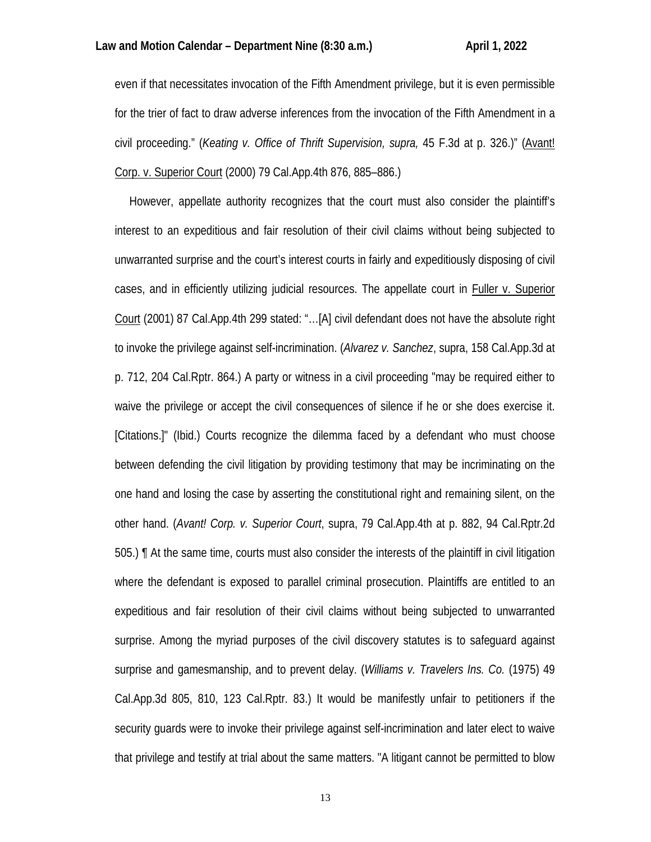even if that necessitates invocation of the Fifth Amendment privilege, but it is even permissible for the trier of fact to draw adverse inferences from the invocation of the Fifth Amendment in a civil proceeding." (*Keating v. Office of Thrift Supervision, supra,* 45 F.3d at p. 326.)" (Avant! Corp. v. Superior Court (2000) 79 Cal.App.4th 876, 885–886.)

 However, appellate authority recognizes that the court must also consider the plaintiff's interest to an expeditious and fair resolution of their civil claims without being subjected to unwarranted surprise and the court's interest courts in fairly and expeditiously disposing of civil cases, and in efficiently utilizing judicial resources. The appellate court in Fuller v. Superior Court (2001) 87 Cal.App.4th 299 stated: "…[A] civil defendant does not have the absolute right to invoke the privilege against self-incrimination. (*Alvarez v. Sanchez*, supra, 158 Cal.App.3d at p. 712, 204 Cal.Rptr. 864.) A party or witness in a civil proceeding "may be required either to waive the privilege or accept the civil consequences of silence if he or she does exercise it. [Citations.]" (Ibid.) Courts recognize the dilemma faced by a defendant who must choose between defending the civil litigation by providing testimony that may be incriminating on the one hand and losing the case by asserting the constitutional right and remaining silent, on the other hand. (*Avant! Corp. v. Superior Court*, supra, 79 Cal.App.4th at p. 882, 94 Cal.Rptr.2d 505.) ¶ At the same time, courts must also consider the interests of the plaintiff in civil litigation where the defendant is exposed to parallel criminal prosecution. Plaintiffs are entitled to an expeditious and fair resolution of their civil claims without being subjected to unwarranted surprise. Among the myriad purposes of the civil discovery statutes is to safeguard against surprise and gamesmanship, and to prevent delay. (*Williams v. Travelers Ins. Co.* (1975) 49 Cal.App.3d 805, 810, 123 Cal.Rptr. 83.) It would be manifestly unfair to petitioners if the security guards were to invoke their privilege against self-incrimination and later elect to waive that privilege and testify at trial about the same matters. "A litigant cannot be permitted to blow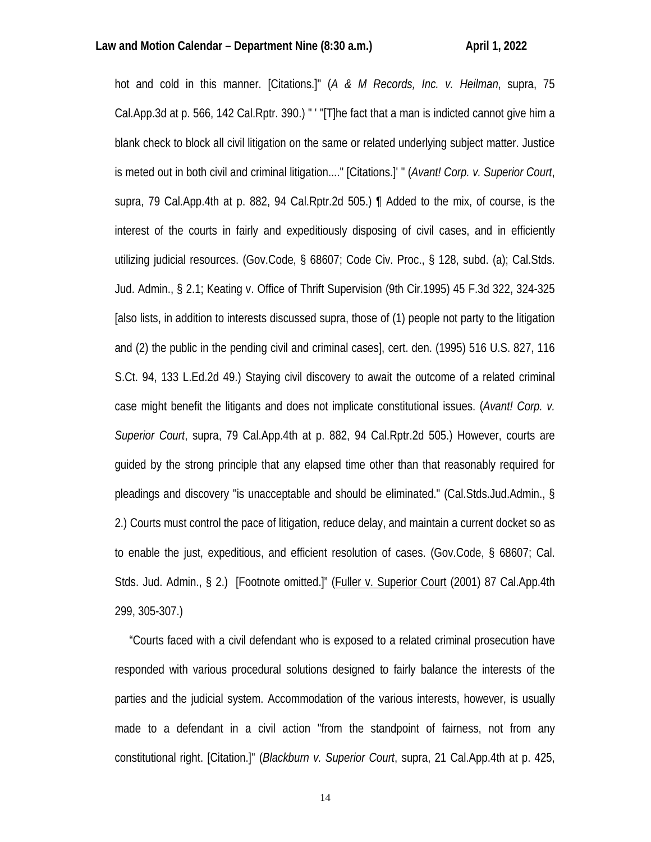hot and cold in this manner. [Citations.]" (*A & M Records, Inc. v. Heilman*, supra, 75 Cal.App.3d at p. 566, 142 Cal.Rptr. 390.) " ' "[T]he fact that a man is indicted cannot give him a blank check to block all civil litigation on the same or related underlying subject matter. Justice is meted out in both civil and criminal litigation...." [Citations.]' " (*Avant! Corp. v. Superior Court*, supra, 79 Cal.App.4th at p. 882, 94 Cal.Rptr.2d 505.) ¶ Added to the mix, of course, is the interest of the courts in fairly and expeditiously disposing of civil cases, and in efficiently utilizing judicial resources. (Gov.Code, § 68607; Code Civ. Proc., § 128, subd. (a); Cal.Stds. Jud. Admin., § 2.1; Keating v. Office of Thrift Supervision (9th Cir.1995) 45 F.3d 322, 324-325 [also lists, in addition to interests discussed supra, those of (1) people not party to the litigation and (2) the public in the pending civil and criminal cases], cert. den. (1995) 516 U.S. 827, 116 S.Ct. 94, 133 L.Ed.2d 49.) Staying civil discovery to await the outcome of a related criminal case might benefit the litigants and does not implicate constitutional issues. (*Avant! Corp. v. Superior Court*, supra, 79 Cal.App.4th at p. 882, 94 Cal.Rptr.2d 505.) However, courts are guided by the strong principle that any elapsed time other than that reasonably required for pleadings and discovery "is unacceptable and should be eliminated." (Cal.Stds.Jud.Admin., § 2.) Courts must control the pace of litigation, reduce delay, and maintain a current docket so as to enable the just, expeditious, and efficient resolution of cases. (Gov.Code, § 68607; Cal. Stds. Jud. Admin., § 2.) [Footnote omitted.]" (Fuller v. Superior Court (2001) 87 Cal.App.4th 299, 305-307.)

 "Courts faced with a civil defendant who is exposed to a related criminal prosecution have responded with various procedural solutions designed to fairly balance the interests of the parties and the judicial system. Accommodation of the various interests, however, is usually made to a defendant in a civil action "from the standpoint of fairness, not from any constitutional right. [Citation.]" (*Blackburn v. Superior Court*, supra, 21 Cal.App.4th at p. 425,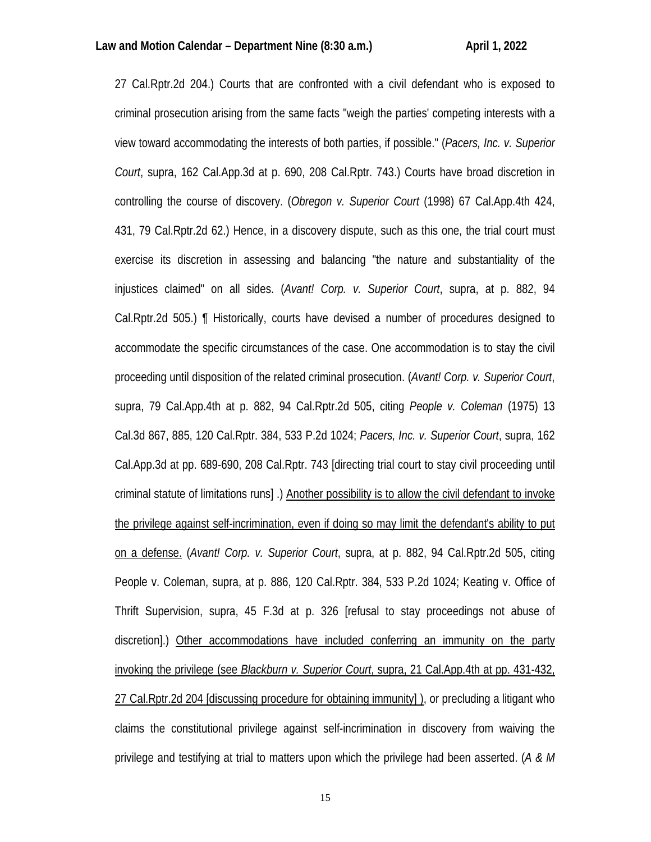27 Cal.Rptr.2d 204.) Courts that are confronted with a civil defendant who is exposed to criminal prosecution arising from the same facts "weigh the parties' competing interests with a view toward accommodating the interests of both parties, if possible." (*Pacers, Inc. v. Superior Court*, supra, 162 Cal.App.3d at p. 690, 208 Cal.Rptr. 743.) Courts have broad discretion in controlling the course of discovery. (*Obregon v. Superior Court* (1998) 67 Cal.App.4th 424, 431, 79 Cal.Rptr.2d 62.) Hence, in a discovery dispute, such as this one, the trial court must exercise its discretion in assessing and balancing "the nature and substantiality of the injustices claimed" on all sides. (*Avant! Corp. v. Superior Court*, supra, at p. 882, 94 Cal.Rptr.2d 505.) ¶ Historically, courts have devised a number of procedures designed to accommodate the specific circumstances of the case. One accommodation is to stay the civil proceeding until disposition of the related criminal prosecution. (*Avant! Corp. v. Superior Court*, supra, 79 Cal.App.4th at p. 882, 94 Cal.Rptr.2d 505, citing *People v. Coleman* (1975) 13 Cal.3d 867, 885, 120 Cal.Rptr. 384, 533 P.2d 1024; *Pacers, Inc. v. Superior Court*, supra, 162 Cal.App.3d at pp. 689-690, 208 Cal.Rptr. 743 [directing trial court to stay civil proceeding until criminal statute of limitations runs] .) Another possibility is to allow the civil defendant to invoke the privilege against self-incrimination, even if doing so may limit the defendant's ability to put on a defense. (*Avant! Corp. v. Superior Court*, supra, at p. 882, 94 Cal.Rptr.2d 505, citing People v. Coleman, supra, at p. 886, 120 Cal.Rptr. 384, 533 P.2d 1024; Keating v. Office of Thrift Supervision, supra, 45 F.3d at p. 326 [refusal to stay proceedings not abuse of discretion].) Other accommodations have included conferring an immunity on the party invoking the privilege (see *Blackburn v. Superior Court*, supra, 21 Cal.App.4th at pp. 431-432, 27 Cal.Rptr.2d 204 [discussing procedure for obtaining immunity] ), or precluding a litigant who claims the constitutional privilege against self-incrimination in discovery from waiving the privilege and testifying at trial to matters upon which the privilege had been asserted. (*A & M*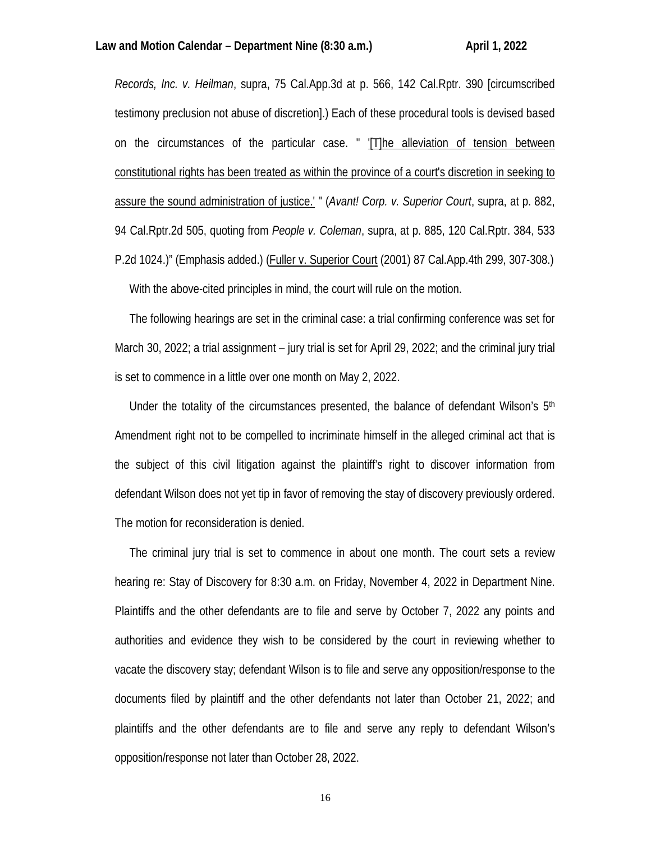*Records, Inc. v. Heilman*, supra, 75 Cal.App.3d at p. 566, 142 Cal.Rptr. 390 [circumscribed testimony preclusion not abuse of discretion].) Each of these procedural tools is devised based on the circumstances of the particular case. " '[T]he alleviation of tension between constitutional rights has been treated as within the province of a court's discretion in seeking to assure the sound administration of justice.' " (*Avant! Corp. v. Superior Court*, supra, at p. 882, 94 Cal.Rptr.2d 505, quoting from *People v. Coleman*, supra, at p. 885, 120 Cal.Rptr. 384, 533 P.2d 1024.)" (Emphasis added.) (Fuller v. Superior Court (2001) 87 Cal.App.4th 299, 307-308.) With the above-cited principles in mind, the court will rule on the motion.

 The following hearings are set in the criminal case: a trial confirming conference was set for March 30, 2022; a trial assignment – jury trial is set for April 29, 2022; and the criminal jury trial is set to commence in a little over one month on May 2, 2022.

Under the totality of the circumstances presented, the balance of defendant Wilson's  $5<sup>th</sup>$ Amendment right not to be compelled to incriminate himself in the alleged criminal act that is the subject of this civil litigation against the plaintiff's right to discover information from defendant Wilson does not yet tip in favor of removing the stay of discovery previously ordered. The motion for reconsideration is denied.

 The criminal jury trial is set to commence in about one month. The court sets a review hearing re: Stay of Discovery for 8:30 a.m. on Friday, November 4, 2022 in Department Nine. Plaintiffs and the other defendants are to file and serve by October 7, 2022 any points and authorities and evidence they wish to be considered by the court in reviewing whether to vacate the discovery stay; defendant Wilson is to file and serve any opposition/response to the documents filed by plaintiff and the other defendants not later than October 21, 2022; and plaintiffs and the other defendants are to file and serve any reply to defendant Wilson's opposition/response not later than October 28, 2022.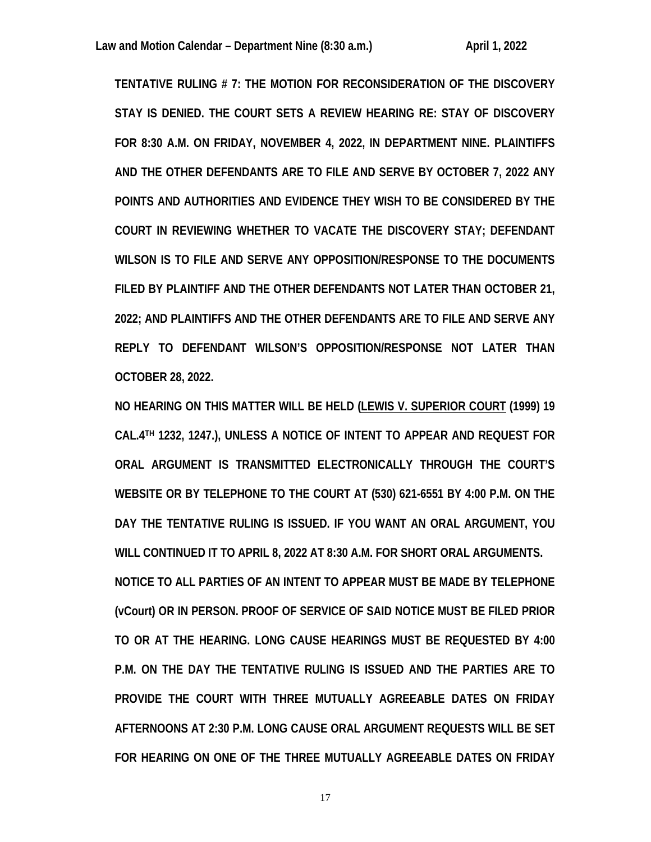**TENTATIVE RULING # 7: THE MOTION FOR RECONSIDERATION OF THE DISCOVERY STAY IS DENIED. THE COURT SETS A REVIEW HEARING RE: STAY OF DISCOVERY FOR 8:30 A.M. ON FRIDAY, NOVEMBER 4, 2022, IN DEPARTMENT NINE. PLAINTIFFS AND THE OTHER DEFENDANTS ARE TO FILE AND SERVE BY OCTOBER 7, 2022 ANY POINTS AND AUTHORITIES AND EVIDENCE THEY WISH TO BE CONSIDERED BY THE COURT IN REVIEWING WHETHER TO VACATE THE DISCOVERY STAY; DEFENDANT WILSON IS TO FILE AND SERVE ANY OPPOSITION/RESPONSE TO THE DOCUMENTS FILED BY PLAINTIFF AND THE OTHER DEFENDANTS NOT LATER THAN OCTOBER 21, 2022; AND PLAINTIFFS AND THE OTHER DEFENDANTS ARE TO FILE AND SERVE ANY REPLY TO DEFENDANT WILSON'S OPPOSITION/RESPONSE NOT LATER THAN OCTOBER 28, 2022.**

**NO HEARING ON THIS MATTER WILL BE HELD (LEWIS V. SUPERIOR COURT (1999) 19 CAL.4TH 1232, 1247.), UNLESS A NOTICE OF INTENT TO APPEAR AND REQUEST FOR ORAL ARGUMENT IS TRANSMITTED ELECTRONICALLY THROUGH THE COURT'S WEBSITE OR BY TELEPHONE TO THE COURT AT (530) 621-6551 BY 4:00 P.M. ON THE DAY THE TENTATIVE RULING IS ISSUED. IF YOU WANT AN ORAL ARGUMENT, YOU WILL CONTINUED IT TO APRIL 8, 2022 AT 8:30 A.M. FOR SHORT ORAL ARGUMENTS. NOTICE TO ALL PARTIES OF AN INTENT TO APPEAR MUST BE MADE BY TELEPHONE (vCourt) OR IN PERSON. PROOF OF SERVICE OF SAID NOTICE MUST BE FILED PRIOR TO OR AT THE HEARING. LONG CAUSE HEARINGS MUST BE REQUESTED BY 4:00 P.M. ON THE DAY THE TENTATIVE RULING IS ISSUED AND THE PARTIES ARE TO PROVIDE THE COURT WITH THREE MUTUALLY AGREEABLE DATES ON FRIDAY AFTERNOONS AT 2:30 P.M. LONG CAUSE ORAL ARGUMENT REQUESTS WILL BE SET FOR HEARING ON ONE OF THE THREE MUTUALLY AGREEABLE DATES ON FRIDAY**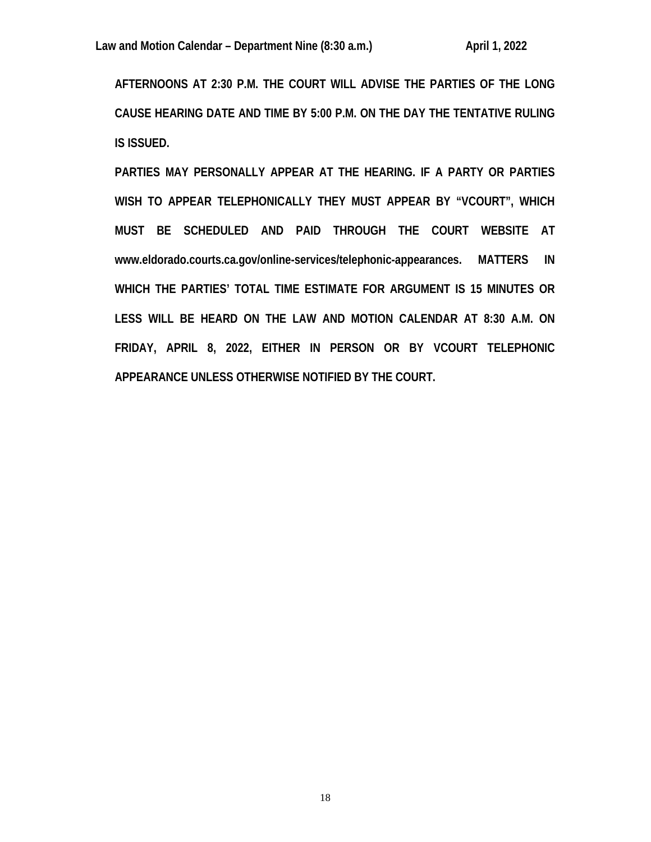**AFTERNOONS AT 2:30 P.M. THE COURT WILL ADVISE THE PARTIES OF THE LONG CAUSE HEARING DATE AND TIME BY 5:00 P.M. ON THE DAY THE TENTATIVE RULING IS ISSUED.** 

**PARTIES MAY PERSONALLY APPEAR AT THE HEARING. IF A PARTY OR PARTIES WISH TO APPEAR TELEPHONICALLY THEY MUST APPEAR BY "VCOURT", WHICH MUST BE SCHEDULED AND PAID THROUGH THE COURT WEBSITE AT www.eldorado.courts.ca.gov/online-services/telephonic-appearances. MATTERS IN WHICH THE PARTIES' TOTAL TIME ESTIMATE FOR ARGUMENT IS 15 MINUTES OR LESS WILL BE HEARD ON THE LAW AND MOTION CALENDAR AT 8:30 A.M. ON FRIDAY, APRIL 8, 2022, EITHER IN PERSON OR BY VCOURT TELEPHONIC APPEARANCE UNLESS OTHERWISE NOTIFIED BY THE COURT.**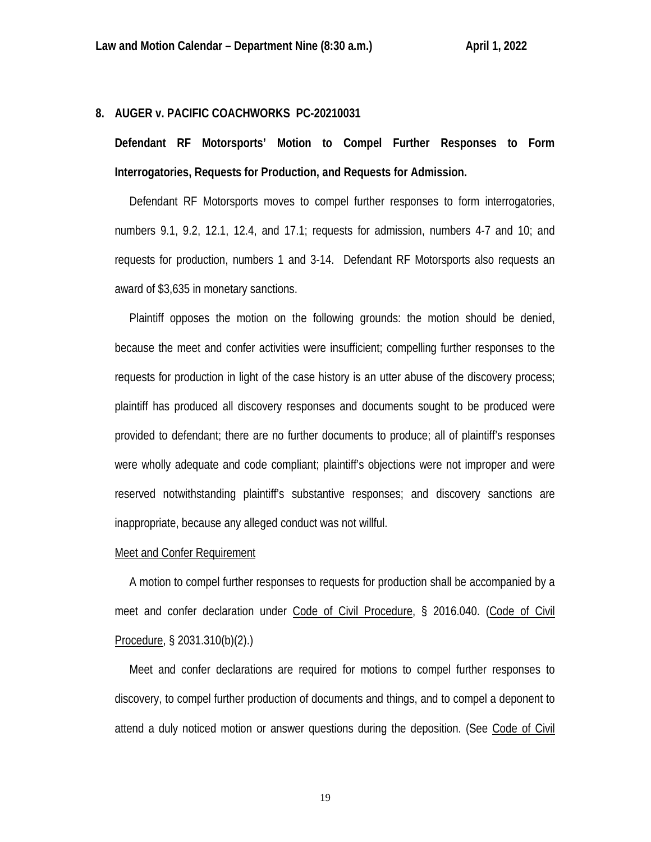## **8. AUGER v. PACIFIC COACHWORKS PC-20210031**

**Defendant RF Motorsports' Motion to Compel Further Responses to Form Interrogatories, Requests for Production, and Requests for Admission.**

 Defendant RF Motorsports moves to compel further responses to form interrogatories, numbers 9.1, 9.2, 12.1, 12.4, and 17.1; requests for admission, numbers 4-7 and 10; and requests for production, numbers 1 and 3-14. Defendant RF Motorsports also requests an award of \$3,635 in monetary sanctions.

 Plaintiff opposes the motion on the following grounds: the motion should be denied, because the meet and confer activities were insufficient; compelling further responses to the requests for production in light of the case history is an utter abuse of the discovery process; plaintiff has produced all discovery responses and documents sought to be produced were provided to defendant; there are no further documents to produce; all of plaintiff's responses were wholly adequate and code compliant; plaintiff's objections were not improper and were reserved notwithstanding plaintiff's substantive responses; and discovery sanctions are inappropriate, because any alleged conduct was not willful.

## Meet and Confer Requirement

 A motion to compel further responses to requests for production shall be accompanied by a meet and confer declaration under Code of Civil Procedure, § 2016.040. (Code of Civil Procedure, § 2031.310(b)(2).)

 Meet and confer declarations are required for motions to compel further responses to discovery, to compel further production of documents and things, and to compel a deponent to attend a duly noticed motion or answer questions during the deposition. (See Code of Civil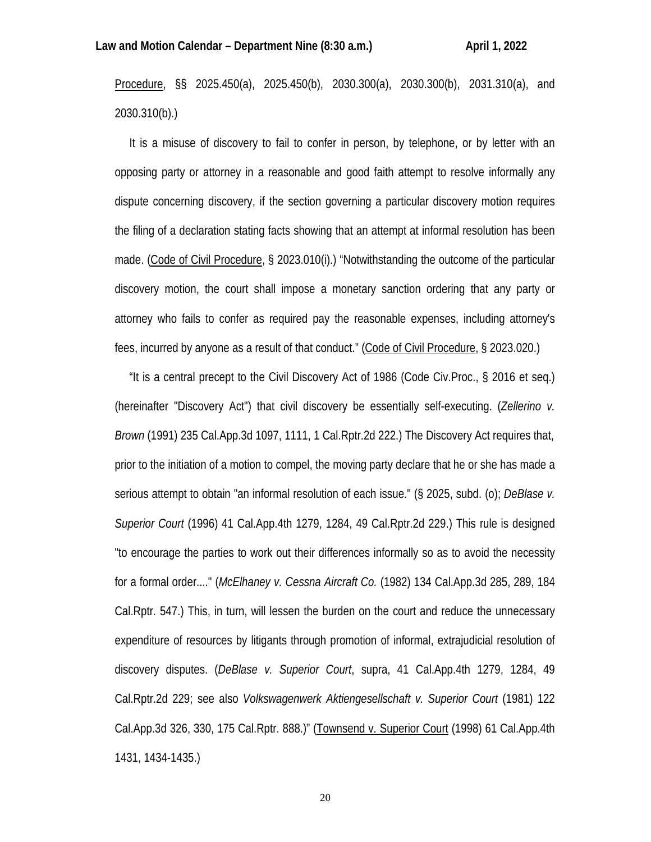Procedure, §§ 2025.450(a), 2025.450(b), 2030.300(a), 2030.300(b), 2031.310(a), and 2030.310(b).)

 It is a misuse of discovery to fail to confer in person, by telephone, or by letter with an opposing party or attorney in a reasonable and good faith attempt to resolve informally any dispute concerning discovery, if the section governing a particular discovery motion requires the filing of a declaration stating facts showing that an attempt at informal resolution has been made. (Code of Civil Procedure, § 2023.010(i).) "Notwithstanding the outcome of the particular discovery motion, the court shall impose a monetary sanction ordering that any party or attorney who fails to confer as required pay the reasonable expenses, including attorney's fees, incurred by anyone as a result of that conduct." (Code of Civil Procedure, § 2023.020.)

 "It is a central precept to the Civil Discovery Act of 1986 (Code Civ.Proc., § 2016 et seq.) (hereinafter "Discovery Act") that civil discovery be essentially self-executing. (*Zellerino v. Brown* (1991) 235 Cal.App.3d 1097, 1111, 1 Cal.Rptr.2d 222.) The Discovery Act requires that, prior to the initiation of a motion to compel, the moving party declare that he or she has made a serious attempt to obtain "an informal resolution of each issue." (§ 2025, subd. (o); *DeBlase v. Superior Court* (1996) 41 Cal.App.4th 1279, 1284, 49 Cal.Rptr.2d 229.) This rule is designed "to encourage the parties to work out their differences informally so as to avoid the necessity for a formal order...." (*McElhaney v. Cessna Aircraft Co.* (1982) 134 Cal.App.3d 285, 289, 184 Cal.Rptr. 547.) This, in turn, will lessen the burden on the court and reduce the unnecessary expenditure of resources by litigants through promotion of informal, extrajudicial resolution of discovery disputes. (*DeBlase v. Superior Court*, supra, 41 Cal.App.4th 1279, 1284, 49 Cal.Rptr.2d 229; see also *Volkswagenwerk Aktiengesellschaft v. Superior Court* (1981) 122 Cal.App.3d 326, 330, 175 Cal.Rptr. 888.)" (Townsend v. Superior Court (1998) 61 Cal.App.4th 1431, 1434-1435.)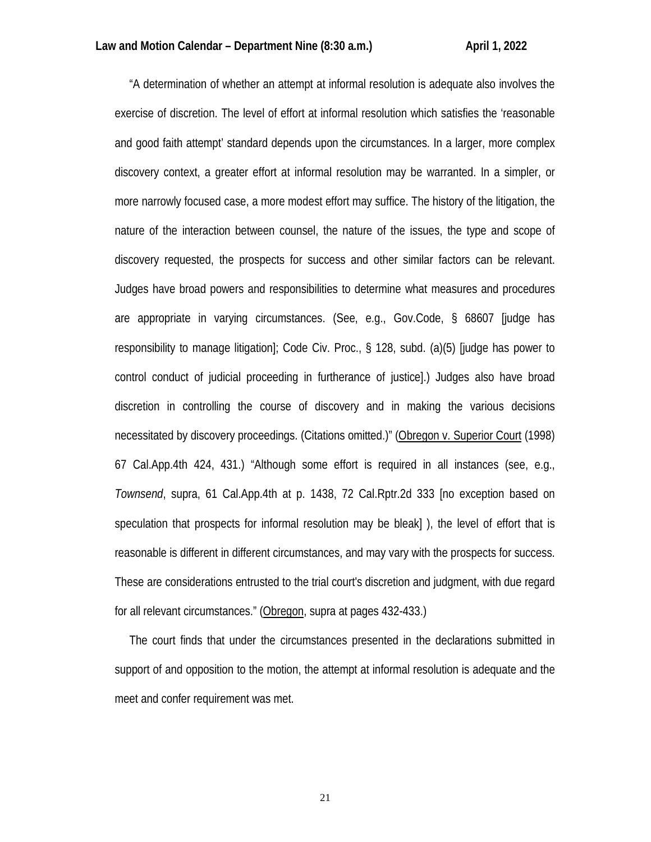"A determination of whether an attempt at informal resolution is adequate also involves the exercise of discretion. The level of effort at informal resolution which satisfies the 'reasonable and good faith attempt' standard depends upon the circumstances. In a larger, more complex discovery context, a greater effort at informal resolution may be warranted. In a simpler, or more narrowly focused case, a more modest effort may suffice. The history of the litigation, the nature of the interaction between counsel, the nature of the issues, the type and scope of discovery requested, the prospects for success and other similar factors can be relevant. Judges have broad powers and responsibilities to determine what measures and procedures are appropriate in varying circumstances. (See, e.g., Gov.Code, § 68607 [judge has responsibility to manage litigation]; Code Civ. Proc., § 128, subd. (a)(5) [judge has power to control conduct of judicial proceeding in furtherance of justice].) Judges also have broad discretion in controlling the course of discovery and in making the various decisions necessitated by discovery proceedings. (Citations omitted.)" (Obregon v. Superior Court (1998) 67 Cal.App.4th 424, 431.) "Although some effort is required in all instances (see, e.g., *Townsend*, supra, 61 Cal.App.4th at p. 1438, 72 Cal.Rptr.2d 333 [no exception based on speculation that prospects for informal resolution may be bleak] ), the level of effort that is reasonable is different in different circumstances, and may vary with the prospects for success. These are considerations entrusted to the trial court's discretion and judgment, with due regard for all relevant circumstances." (Obregon, supra at pages 432-433.)

 The court finds that under the circumstances presented in the declarations submitted in support of and opposition to the motion, the attempt at informal resolution is adequate and the meet and confer requirement was met.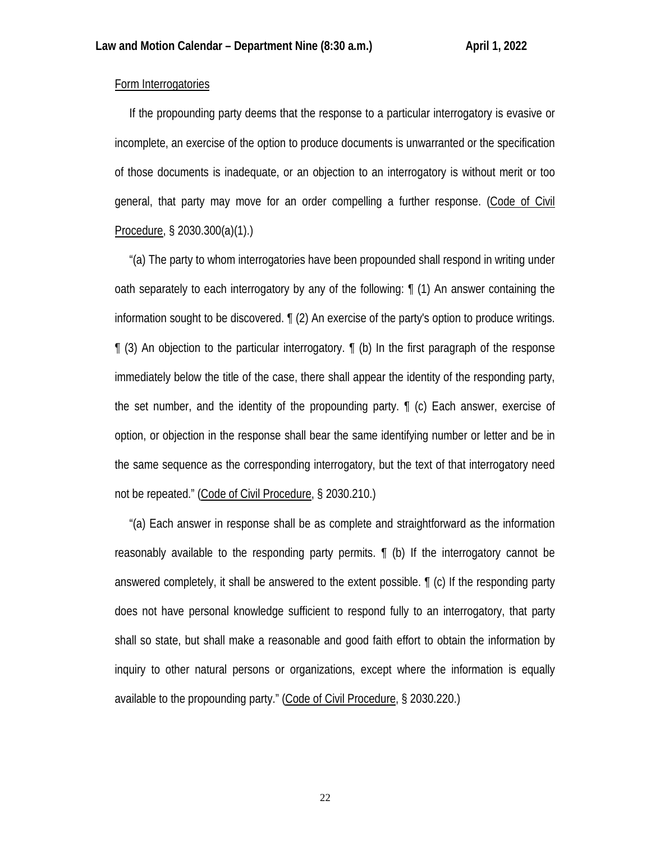## Form Interrogatories

 If the propounding party deems that the response to a particular interrogatory is evasive or incomplete, an exercise of the option to produce documents is unwarranted or the specification of those documents is inadequate, or an objection to an interrogatory is without merit or too general, that party may move for an order compelling a further response. (Code of Civil Procedure, § 2030.300(a)(1).)

 "(a) The party to whom interrogatories have been propounded shall respond in writing under oath separately to each interrogatory by any of the following: ¶ (1) An answer containing the information sought to be discovered. ¶ (2) An exercise of the party's option to produce writings.  $\parallel$  (3) An objection to the particular interrogatory.  $\parallel$  (b) In the first paragraph of the response immediately below the title of the case, there shall appear the identity of the responding party, the set number, and the identity of the propounding party. ¶ (c) Each answer, exercise of option, or objection in the response shall bear the same identifying number or letter and be in the same sequence as the corresponding interrogatory, but the text of that interrogatory need not be repeated." (Code of Civil Procedure, § 2030.210.)

 "(a) Each answer in response shall be as complete and straightforward as the information reasonably available to the responding party permits. ¶ (b) If the interrogatory cannot be answered completely, it shall be answered to the extent possible. ¶ (c) If the responding party does not have personal knowledge sufficient to respond fully to an interrogatory, that party shall so state, but shall make a reasonable and good faith effort to obtain the information by inquiry to other natural persons or organizations, except where the information is equally available to the propounding party." (Code of Civil Procedure, § 2030.220.)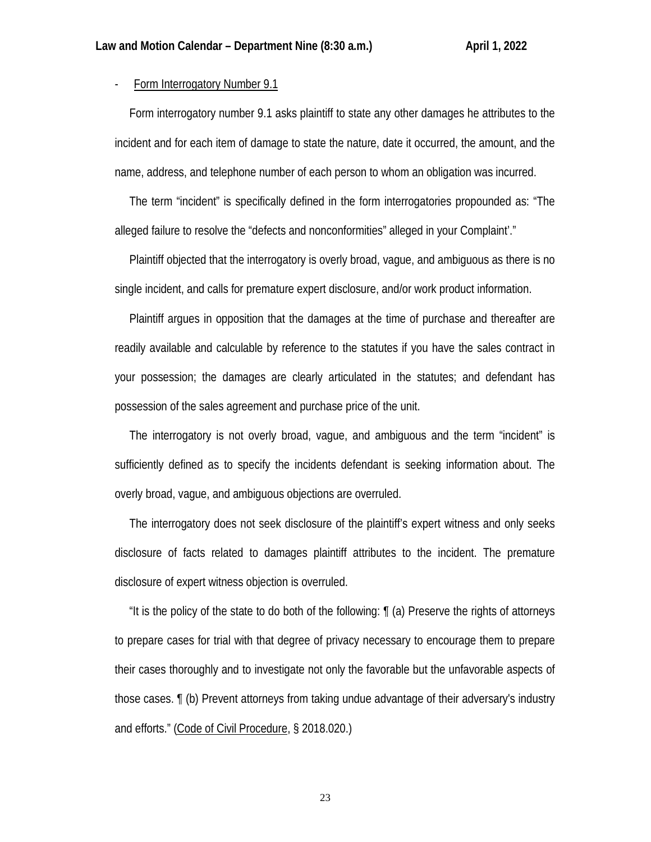- Form Interrogatory Number 9.1

 Form interrogatory number 9.1 asks plaintiff to state any other damages he attributes to the incident and for each item of damage to state the nature, date it occurred, the amount, and the name, address, and telephone number of each person to whom an obligation was incurred.

 The term "incident" is specifically defined in the form interrogatories propounded as: "The alleged failure to resolve the "defects and nonconformities" alleged in your Complaint'."

 Plaintiff objected that the interrogatory is overly broad, vague, and ambiguous as there is no single incident, and calls for premature expert disclosure, and/or work product information.

 Plaintiff argues in opposition that the damages at the time of purchase and thereafter are readily available and calculable by reference to the statutes if you have the sales contract in your possession; the damages are clearly articulated in the statutes; and defendant has possession of the sales agreement and purchase price of the unit.

 The interrogatory is not overly broad, vague, and ambiguous and the term "incident" is sufficiently defined as to specify the incidents defendant is seeking information about. The overly broad, vague, and ambiguous objections are overruled.

 The interrogatory does not seek disclosure of the plaintiff's expert witness and only seeks disclosure of facts related to damages plaintiff attributes to the incident. The premature disclosure of expert witness objection is overruled.

 "It is the policy of the state to do both of the following: ¶ (a) Preserve the rights of attorneys to prepare cases for trial with that degree of privacy necessary to encourage them to prepare their cases thoroughly and to investigate not only the favorable but the unfavorable aspects of those cases. ¶ (b) Prevent attorneys from taking undue advantage of their adversary's industry and efforts." (Code of Civil Procedure, § 2018.020.)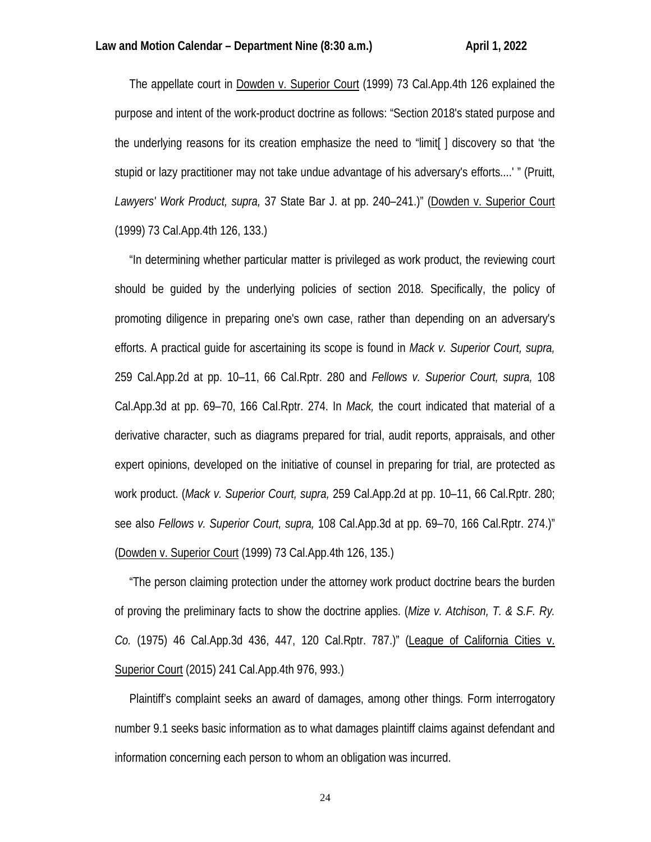The appellate court in Dowden v. Superior Court (1999) 73 Cal.App.4th 126 explained the purpose and intent of the work-product doctrine as follows: "Section 2018's stated purpose and the underlying reasons for its creation emphasize the need to "limit[ ] discovery so that 'the stupid or lazy practitioner may not take undue advantage of his adversary's efforts....' " (Pruitt, *Lawyers' Work Product, supra,* 37 State Bar J. at pp. 240–241.)" (Dowden v. Superior Court (1999) 73 Cal.App.4th 126, 133.)

 "In determining whether particular matter is privileged as work product, the reviewing court should be guided by the underlying policies of section 2018. Specifically, the policy of promoting diligence in preparing one's own case, rather than depending on an adversary's efforts. A practical guide for ascertaining its scope is found in *Mack v. Superior Court, supra,* 259 Cal.App.2d at pp. 10–11, 66 Cal.Rptr. 280 and *Fellows v. Superior Court, supra,* 108 Cal.App.3d at pp. 69–70, 166 Cal.Rptr. 274. In *Mack,* the court indicated that material of a derivative character, such as diagrams prepared for trial, audit reports, appraisals, and other expert opinions, developed on the initiative of counsel in preparing for trial, are protected as work product. (*Mack v. Superior Court, supra,* 259 Cal.App.2d at pp. 10–11, 66 Cal.Rptr. 280; see also *Fellows v. Superior Court, supra,* 108 Cal.App.3d at pp. 69–70, 166 Cal.Rptr. 274.)" (Dowden v. Superior Court (1999) 73 Cal.App.4th 126, 135.)

 "The person claiming protection under the attorney work product doctrine bears the burden of proving the preliminary facts to show the doctrine applies. (*Mize v. Atchison, T. & S.F. Ry. Co.* (1975) 46 Cal.App.3d 436, 447, 120 Cal.Rptr. 787.)" (League of California Cities v. Superior Court (2015) 241 Cal.App.4th 976, 993.)

 Plaintiff's complaint seeks an award of damages, among other things. Form interrogatory number 9.1 seeks basic information as to what damages plaintiff claims against defendant and information concerning each person to whom an obligation was incurred.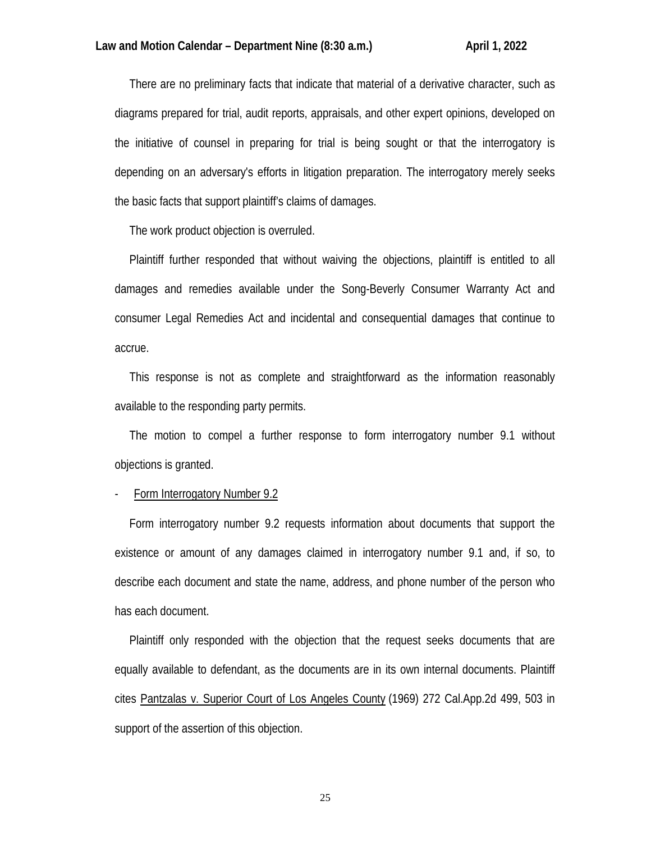There are no preliminary facts that indicate that material of a derivative character, such as diagrams prepared for trial, audit reports, appraisals, and other expert opinions, developed on the initiative of counsel in preparing for trial is being sought or that the interrogatory is depending on an adversary's efforts in litigation preparation. The interrogatory merely seeks the basic facts that support plaintiff's claims of damages.

The work product objection is overruled.

 Plaintiff further responded that without waiving the objections, plaintiff is entitled to all damages and remedies available under the Song-Beverly Consumer Warranty Act and consumer Legal Remedies Act and incidental and consequential damages that continue to accrue.

 This response is not as complete and straightforward as the information reasonably available to the responding party permits.

 The motion to compel a further response to form interrogatory number 9.1 without objections is granted.

Form Interrogatory Number 9.2

 Form interrogatory number 9.2 requests information about documents that support the existence or amount of any damages claimed in interrogatory number 9.1 and, if so, to describe each document and state the name, address, and phone number of the person who has each document.

 Plaintiff only responded with the objection that the request seeks documents that are equally available to defendant, as the documents are in its own internal documents. Plaintiff cites Pantzalas v. Superior Court of Los Angeles County (1969) 272 Cal.App.2d 499, 503 in support of the assertion of this objection.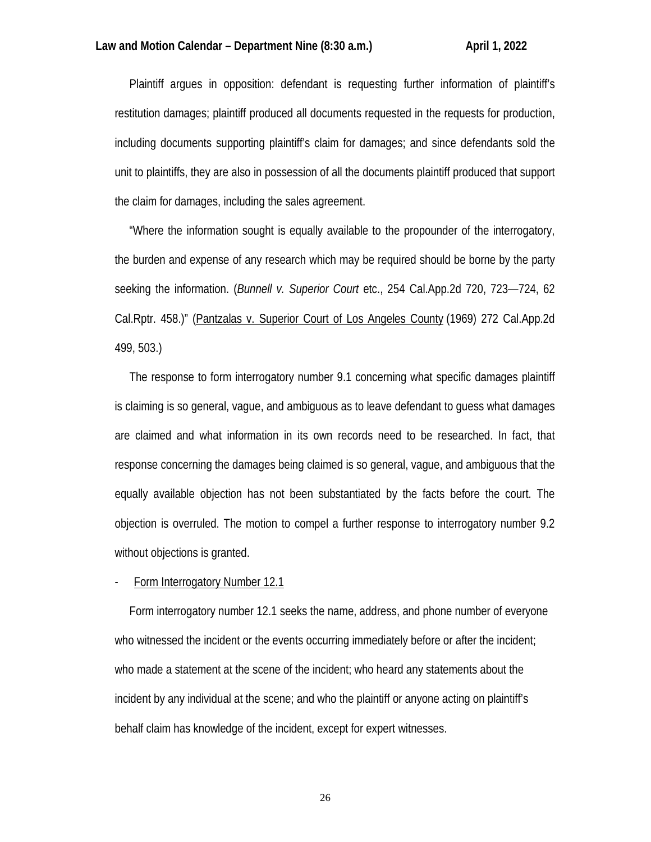Plaintiff argues in opposition: defendant is requesting further information of plaintiff's restitution damages; plaintiff produced all documents requested in the requests for production, including documents supporting plaintiff's claim for damages; and since defendants sold the unit to plaintiffs, they are also in possession of all the documents plaintiff produced that support the claim for damages, including the sales agreement.

 "Where the information sought is equally available to the propounder of the interrogatory, the burden and expense of any research which may be required should be borne by the party seeking the information. (*Bunnell v. Superior Court* etc., 254 Cal.App.2d 720, 723—724, 62 Cal.Rptr. 458.)" (Pantzalas v. Superior Court of Los Angeles County (1969) 272 Cal.App.2d 499, 503.)

 The response to form interrogatory number 9.1 concerning what specific damages plaintiff is claiming is so general, vague, and ambiguous as to leave defendant to guess what damages are claimed and what information in its own records need to be researched. In fact, that response concerning the damages being claimed is so general, vague, and ambiguous that the equally available objection has not been substantiated by the facts before the court. The objection is overruled. The motion to compel a further response to interrogatory number 9.2 without objections is granted.

Form Interrogatory Number 12.1

 Form interrogatory number 12.1 seeks the name, address, and phone number of everyone who witnessed the incident or the events occurring immediately before or after the incident; who made a statement at the scene of the incident; who heard any statements about the incident by any individual at the scene; and who the plaintiff or anyone acting on plaintiff's behalf claim has knowledge of the incident, except for expert witnesses.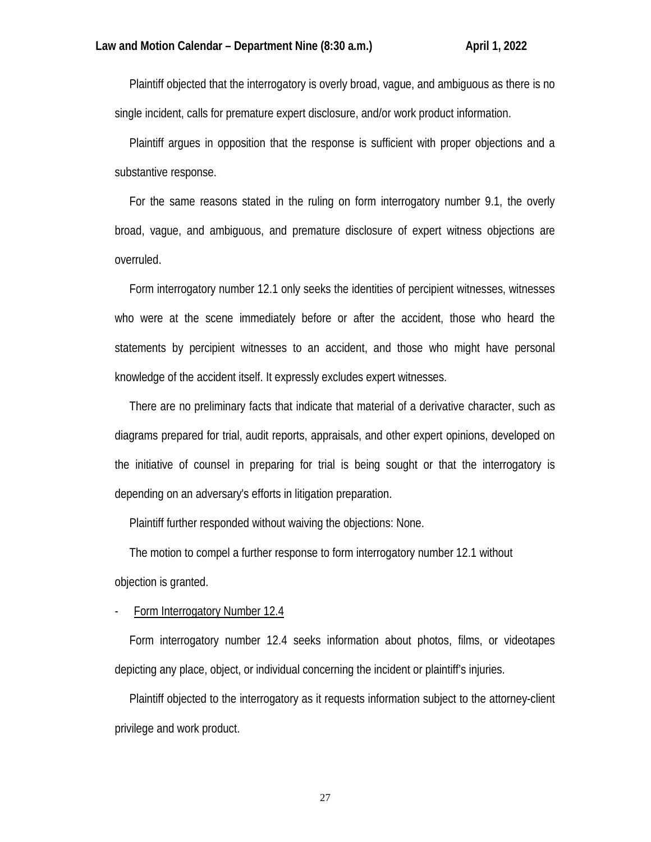Plaintiff objected that the interrogatory is overly broad, vague, and ambiguous as there is no single incident, calls for premature expert disclosure, and/or work product information.

 Plaintiff argues in opposition that the response is sufficient with proper objections and a substantive response.

 For the same reasons stated in the ruling on form interrogatory number 9.1, the overly broad, vague, and ambiguous, and premature disclosure of expert witness objections are overruled.

 Form interrogatory number 12.1 only seeks the identities of percipient witnesses, witnesses who were at the scene immediately before or after the accident, those who heard the statements by percipient witnesses to an accident, and those who might have personal knowledge of the accident itself. It expressly excludes expert witnesses.

 There are no preliminary facts that indicate that material of a derivative character, such as diagrams prepared for trial, audit reports, appraisals, and other expert opinions, developed on the initiative of counsel in preparing for trial is being sought or that the interrogatory is depending on an adversary's efforts in litigation preparation.

Plaintiff further responded without waiving the objections: None.

 The motion to compel a further response to form interrogatory number 12.1 without objection is granted.

Form Interrogatory Number 12.4

 Form interrogatory number 12.4 seeks information about photos, films, or videotapes depicting any place, object, or individual concerning the incident or plaintiff's injuries.

 Plaintiff objected to the interrogatory as it requests information subject to the attorney-client privilege and work product.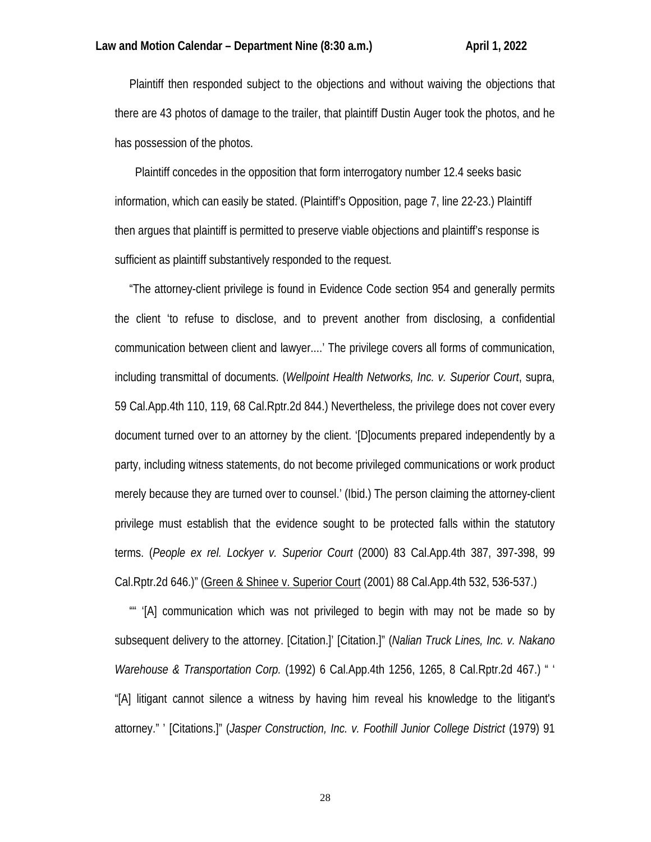Plaintiff then responded subject to the objections and without waiving the objections that there are 43 photos of damage to the trailer, that plaintiff Dustin Auger took the photos, and he has possession of the photos.

 Plaintiff concedes in the opposition that form interrogatory number 12.4 seeks basic information, which can easily be stated. (Plaintiff's Opposition, page 7, line 22-23.) Plaintiff then argues that plaintiff is permitted to preserve viable objections and plaintiff's response is sufficient as plaintiff substantively responded to the request.

 "The attorney-client privilege is found in Evidence Code section 954 and generally permits the client 'to refuse to disclose, and to prevent another from disclosing, a confidential communication between client and lawyer....' The privilege covers all forms of communication, including transmittal of documents. (*Wellpoint Health Networks, Inc. v. Superior Court*, supra, 59 Cal.App.4th 110, 119, 68 Cal.Rptr.2d 844.) Nevertheless, the privilege does not cover every document turned over to an attorney by the client. '[D]ocuments prepared independently by a party, including witness statements, do not become privileged communications or work product merely because they are turned over to counsel.' (Ibid.) The person claiming the attorney-client privilege must establish that the evidence sought to be protected falls within the statutory terms. (*People ex rel. Lockyer v. Superior Court* (2000) 83 Cal.App.4th 387, 397-398, 99 Cal.Rptr.2d 646.)" (Green & Shinee v. Superior Court (2001) 88 Cal.App.4th 532, 536-537.)

 "" '[A] communication which was not privileged to begin with may not be made so by subsequent delivery to the attorney. [Citation.]' [Citation.]" (*Nalian Truck Lines, Inc. v. Nakano Warehouse & Transportation Corp.* (1992) 6 Cal.App.4th 1256, 1265, 8 Cal.Rptr.2d 467.) " ' "[A] litigant cannot silence a witness by having him reveal his knowledge to the litigant's attorney." ' [Citations.]" (*Jasper Construction, Inc. v. Foothill Junior College District* (1979) 91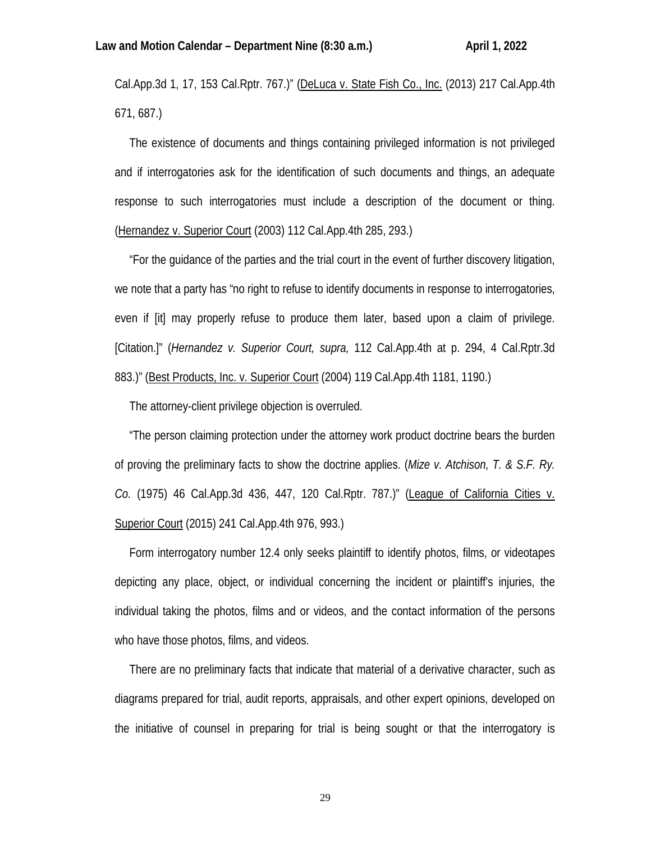Cal.App.3d 1, 17, 153 Cal.Rptr. 767.)" (DeLuca v. State Fish Co., Inc. (2013) 217 Cal.App.4th 671, 687.)

 The existence of documents and things containing privileged information is not privileged and if interrogatories ask for the identification of such documents and things, an adequate response to such interrogatories must include a description of the document or thing. (Hernandez v. Superior Court (2003) 112 Cal.App.4th 285, 293.)

 "For the guidance of the parties and the trial court in the event of further discovery litigation, we note that a party has "no right to refuse to identify documents in response to interrogatories, even if [it] may properly refuse to produce them later, based upon a claim of privilege. [Citation.]" (*Hernandez v. Superior Court, supra,* 112 Cal.App.4th at p. 294, 4 Cal.Rptr.3d 883.)" (Best Products, Inc. v. Superior Court (2004) 119 Cal.App.4th 1181, 1190.)

The attorney-client privilege objection is overruled.

 "The person claiming protection under the attorney work product doctrine bears the burden of proving the preliminary facts to show the doctrine applies. (*Mize v. Atchison, T. & S.F. Ry. Co.* (1975) 46 Cal.App.3d 436, 447, 120 Cal.Rptr. 787.)" (League of California Cities v. Superior Court (2015) 241 Cal.App.4th 976, 993.)

 Form interrogatory number 12.4 only seeks plaintiff to identify photos, films, or videotapes depicting any place, object, or individual concerning the incident or plaintiff's injuries, the individual taking the photos, films and or videos, and the contact information of the persons who have those photos, films, and videos.

 There are no preliminary facts that indicate that material of a derivative character, such as diagrams prepared for trial, audit reports, appraisals, and other expert opinions, developed on the initiative of counsel in preparing for trial is being sought or that the interrogatory is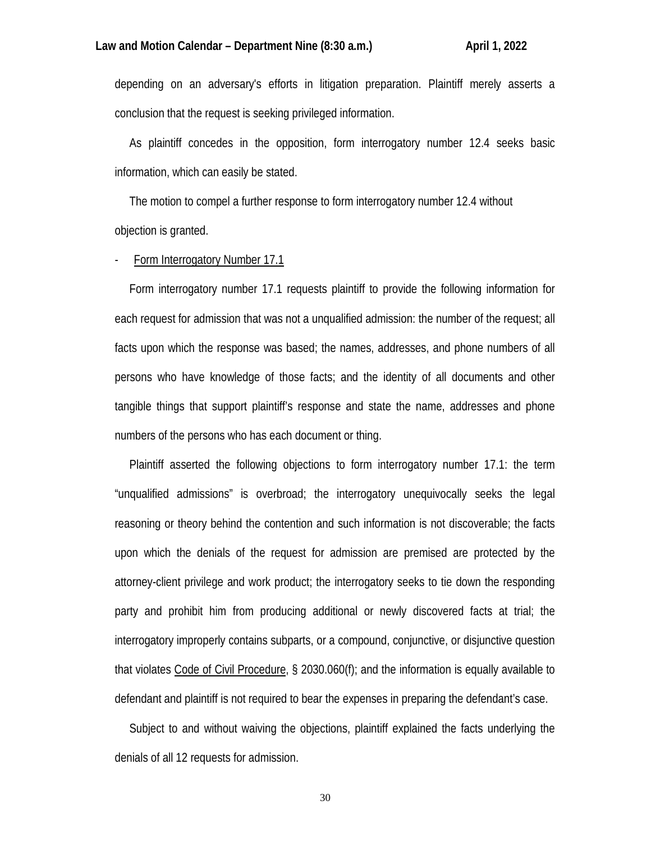depending on an adversary's efforts in litigation preparation. Plaintiff merely asserts a conclusion that the request is seeking privileged information.

 As plaintiff concedes in the opposition, form interrogatory number 12.4 seeks basic information, which can easily be stated.

 The motion to compel a further response to form interrogatory number 12.4 without objection is granted.

## Form Interrogatory Number 17.1

 Form interrogatory number 17.1 requests plaintiff to provide the following information for each request for admission that was not a unqualified admission: the number of the request; all facts upon which the response was based; the names, addresses, and phone numbers of all persons who have knowledge of those facts; and the identity of all documents and other tangible things that support plaintiff's response and state the name, addresses and phone numbers of the persons who has each document or thing.

 Plaintiff asserted the following objections to form interrogatory number 17.1: the term "unqualified admissions" is overbroad; the interrogatory unequivocally seeks the legal reasoning or theory behind the contention and such information is not discoverable; the facts upon which the denials of the request for admission are premised are protected by the attorney-client privilege and work product; the interrogatory seeks to tie down the responding party and prohibit him from producing additional or newly discovered facts at trial; the interrogatory improperly contains subparts, or a compound, conjunctive, or disjunctive question that violates Code of Civil Procedure, § 2030.060(f); and the information is equally available to defendant and plaintiff is not required to bear the expenses in preparing the defendant's case.

 Subject to and without waiving the objections, plaintiff explained the facts underlying the denials of all 12 requests for admission.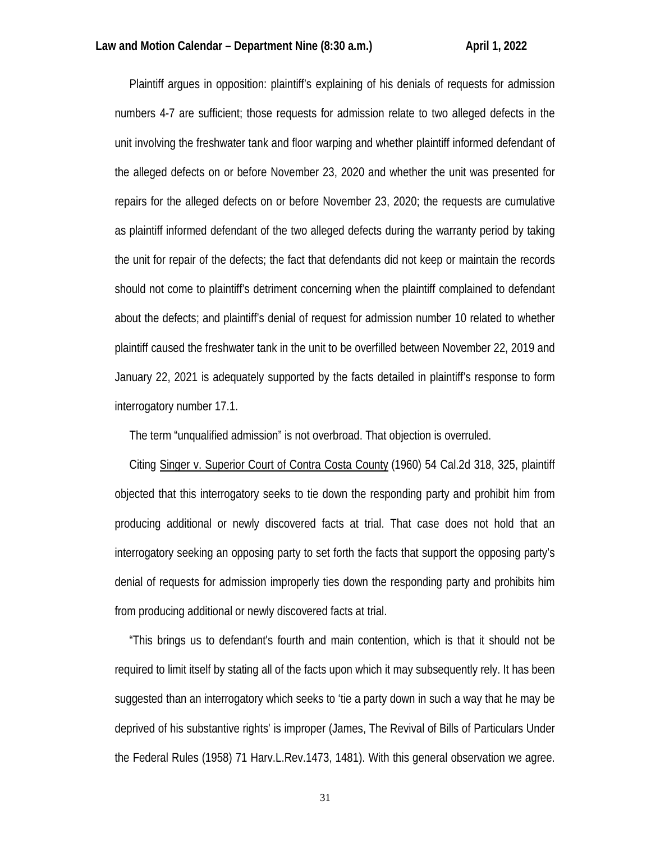Plaintiff argues in opposition: plaintiff's explaining of his denials of requests for admission numbers 4-7 are sufficient; those requests for admission relate to two alleged defects in the unit involving the freshwater tank and floor warping and whether plaintiff informed defendant of the alleged defects on or before November 23, 2020 and whether the unit was presented for repairs for the alleged defects on or before November 23, 2020; the requests are cumulative as plaintiff informed defendant of the two alleged defects during the warranty period by taking the unit for repair of the defects; the fact that defendants did not keep or maintain the records should not come to plaintiff's detriment concerning when the plaintiff complained to defendant about the defects; and plaintiff's denial of request for admission number 10 related to whether plaintiff caused the freshwater tank in the unit to be overfilled between November 22, 2019 and January 22, 2021 is adequately supported by the facts detailed in plaintiff's response to form interrogatory number 17.1.

The term "unqualified admission" is not overbroad. That objection is overruled.

Citing Singer v. Superior Court of Contra Costa County (1960) 54 Cal.2d 318, 325, plaintiff objected that this interrogatory seeks to tie down the responding party and prohibit him from producing additional or newly discovered facts at trial. That case does not hold that an interrogatory seeking an opposing party to set forth the facts that support the opposing party's denial of requests for admission improperly ties down the responding party and prohibits him from producing additional or newly discovered facts at trial.

 "This brings us to defendant's fourth and main contention, which is that it should not be required to limit itself by stating all of the facts upon which it may subsequently rely. It has been suggested than an interrogatory which seeks to 'tie a party down in such a way that he may be deprived of his substantive rights' is improper (James, The Revival of Bills of Particulars Under the Federal Rules (1958) 71 Harv.L.Rev.1473, 1481). With this general observation we agree.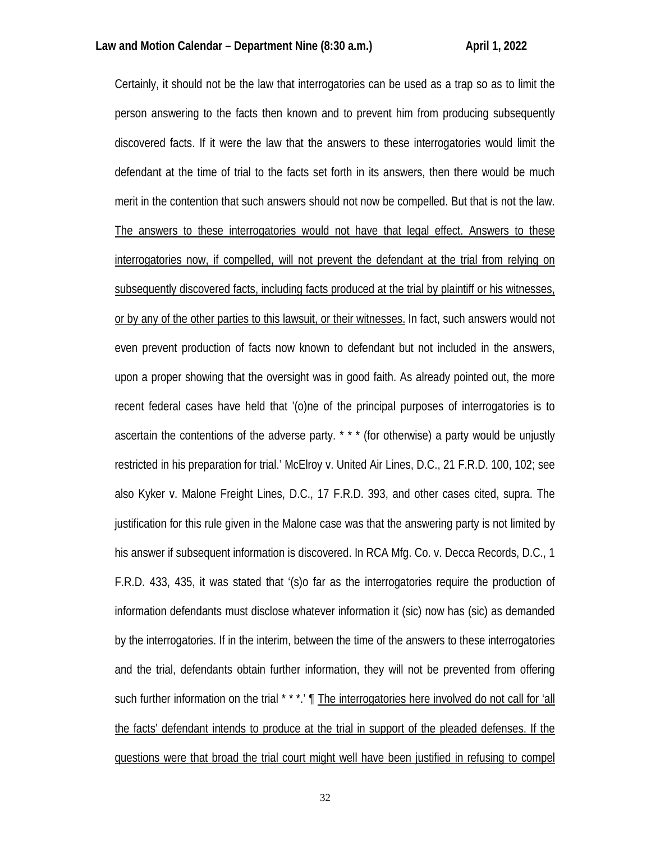Certainly, it should not be the law that interrogatories can be used as a trap so as to limit the person answering to the facts then known and to prevent him from producing subsequently discovered facts. If it were the law that the answers to these interrogatories would limit the defendant at the time of trial to the facts set forth in its answers, then there would be much merit in the contention that such answers should not now be compelled. But that is not the law. The answers to these interrogatories would not have that legal effect. Answers to these interrogatories now, if compelled, will not prevent the defendant at the trial from relying on subsequently discovered facts, including facts produced at the trial by plaintiff or his witnesses, or by any of the other parties to this lawsuit, or their witnesses. In fact, such answers would not even prevent production of facts now known to defendant but not included in the answers, upon a proper showing that the oversight was in good faith. As already pointed out, the more recent federal cases have held that '(o)ne of the principal purposes of interrogatories is to ascertain the contentions of the adverse party. \* \* \* (for otherwise) a party would be unjustly restricted in his preparation for trial.' McElroy v. United Air Lines, D.C., 21 F.R.D. 100, 102; see also Kyker v. Malone Freight Lines, D.C., 17 F.R.D. 393, and other cases cited, supra. The justification for this rule given in the Malone case was that the answering party is not limited by his answer if subsequent information is discovered. In RCA Mfg. Co. v. Decca Records, D.C., 1 F.R.D. 433, 435, it was stated that '(s)o far as the interrogatories require the production of information defendants must disclose whatever information it (sic) now has (sic) as demanded by the interrogatories. If in the interim, between the time of the answers to these interrogatories and the trial, defendants obtain further information, they will not be prevented from offering such further information on the trial \* \* \*.' <u>The interrogatories here involved do not call for 'all</u> the facts' defendant intends to produce at the trial in support of the pleaded defenses. If the questions were that broad the trial court might well have been justified in refusing to compel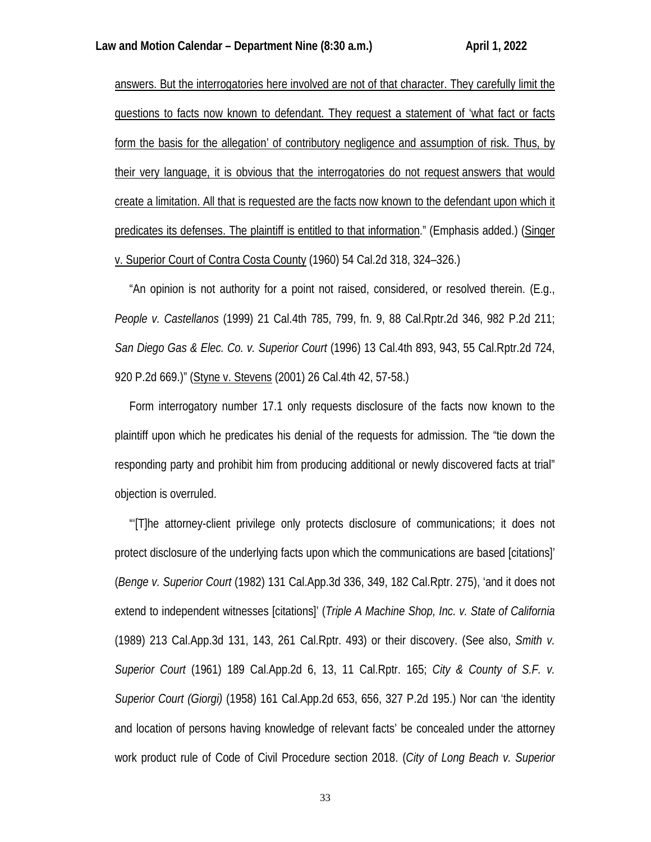answers. But the interrogatories here involved are not of that character. They carefully limit the questions to facts now known to defendant. They request a statement of 'what fact or facts form the basis for the allegation' of contributory negligence and assumption of risk. Thus, by their very language, it is obvious that the interrogatories do not request answers that would create a limitation. All that is requested are the facts now known to the defendant upon which it predicates its defenses. The plaintiff is entitled to that information." (Emphasis added.) (Singer v. Superior Court of Contra Costa County (1960) 54 Cal.2d 318, 324–326.)

 "An opinion is not authority for a point not raised, considered, or resolved therein. (E.g., *People v. Castellanos* (1999) 21 Cal.4th 785, 799, fn. 9, 88 Cal.Rptr.2d 346, 982 P.2d 211; *San Diego Gas & Elec. Co. v. Superior Court* (1996) 13 Cal.4th 893, 943, 55 Cal.Rptr.2d 724, 920 P.2d 669.)" (Styne v. Stevens (2001) 26 Cal.4th 42, 57-58.)

 Form interrogatory number 17.1 only requests disclosure of the facts now known to the plaintiff upon which he predicates his denial of the requests for admission. The "tie down the responding party and prohibit him from producing additional or newly discovered facts at trial" objection is overruled.

 "'[T]he attorney-client privilege only protects disclosure of communications; it does not protect disclosure of the underlying facts upon which the communications are based [citations]' (*Benge v. Superior Court* (1982) 131 Cal.App.3d 336, 349, 182 Cal.Rptr. 275), 'and it does not extend to independent witnesses [citations]' (*Triple A Machine Shop, Inc. v. State of California* (1989) 213 Cal.App.3d 131, 143, 261 Cal.Rptr. 493) or their discovery. (See also, *Smith v. Superior Court* (1961) 189 Cal.App.2d 6, 13, 11 Cal.Rptr. 165; *City & County of S.F. v. Superior Court (Giorgi)* (1958) 161 Cal.App.2d 653, 656, 327 P.2d 195.) Nor can 'the identity and location of persons having knowledge of relevant facts' be concealed under the attorney work product rule of Code of Civil Procedure section 2018. (*City of Long Beach v. Superior*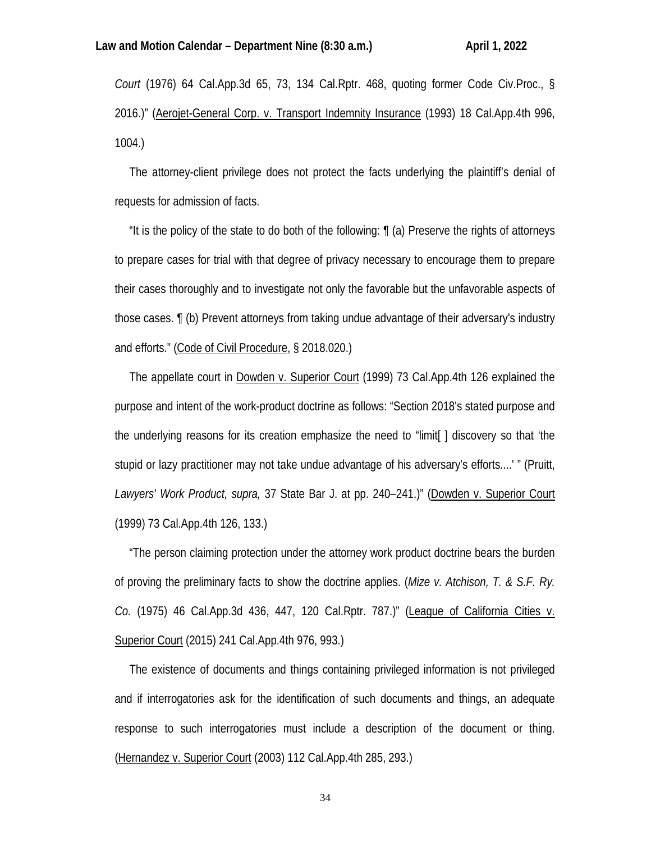*Court* (1976) 64 Cal.App.3d 65, 73, 134 Cal.Rptr. 468, quoting former Code Civ.Proc., § 2016.)" (Aerojet-General Corp. v. Transport Indemnity Insurance (1993) 18 Cal.App.4th 996, 1004.)

 The attorney-client privilege does not protect the facts underlying the plaintiff's denial of requests for admission of facts.

 "It is the policy of the state to do both of the following: ¶ (a) Preserve the rights of attorneys to prepare cases for trial with that degree of privacy necessary to encourage them to prepare their cases thoroughly and to investigate not only the favorable but the unfavorable aspects of those cases. ¶ (b) Prevent attorneys from taking undue advantage of their adversary's industry and efforts." (Code of Civil Procedure, § 2018.020.)

 The appellate court in Dowden v. Superior Court (1999) 73 Cal.App.4th 126 explained the purpose and intent of the work-product doctrine as follows: "Section 2018's stated purpose and the underlying reasons for its creation emphasize the need to "limit[ ] discovery so that 'the stupid or lazy practitioner may not take undue advantage of his adversary's efforts....' " (Pruitt, *Lawyers' Work Product, supra,* 37 State Bar J. at pp. 240–241.)" (Dowden v. Superior Court (1999) 73 Cal.App.4th 126, 133.)

 "The person claiming protection under the attorney work product doctrine bears the burden of proving the preliminary facts to show the doctrine applies. (*Mize v. Atchison, T. & S.F. Ry. Co.* (1975) 46 Cal.App.3d 436, 447, 120 Cal.Rptr. 787.)" (League of California Cities v. Superior Court (2015) 241 Cal. App. 4th 976, 993.)

 The existence of documents and things containing privileged information is not privileged and if interrogatories ask for the identification of such documents and things, an adequate response to such interrogatories must include a description of the document or thing. (Hernandez v. Superior Court (2003) 112 Cal.App.4th 285, 293.)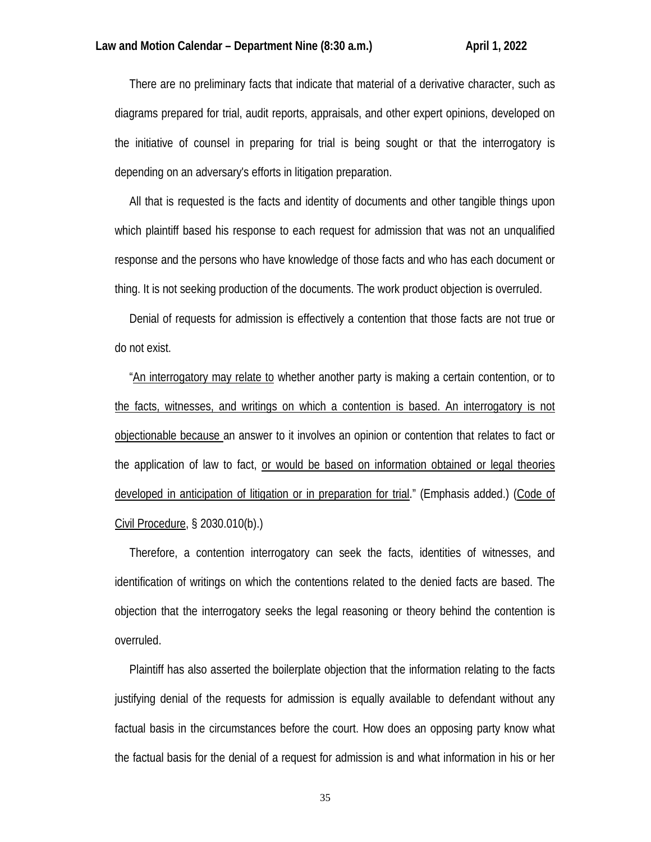There are no preliminary facts that indicate that material of a derivative character, such as diagrams prepared for trial, audit reports, appraisals, and other expert opinions, developed on the initiative of counsel in preparing for trial is being sought or that the interrogatory is depending on an adversary's efforts in litigation preparation.

 All that is requested is the facts and identity of documents and other tangible things upon which plaintiff based his response to each request for admission that was not an unqualified response and the persons who have knowledge of those facts and who has each document or thing. It is not seeking production of the documents. The work product objection is overruled.

 Denial of requests for admission is effectively a contention that those facts are not true or do not exist.

 "An interrogatory may relate to whether another party is making a certain contention, or to the facts, witnesses, and writings on which a contention is based. An interrogatory is not objectionable because an answer to it involves an opinion or contention that relates to fact or the application of law to fact, or would be based on information obtained or legal theories developed in anticipation of litigation or in preparation for trial." (Emphasis added.) (Code of Civil Procedure, § 2030.010(b).)

 Therefore, a contention interrogatory can seek the facts, identities of witnesses, and identification of writings on which the contentions related to the denied facts are based. The objection that the interrogatory seeks the legal reasoning or theory behind the contention is overruled.

 Plaintiff has also asserted the boilerplate objection that the information relating to the facts justifying denial of the requests for admission is equally available to defendant without any factual basis in the circumstances before the court. How does an opposing party know what the factual basis for the denial of a request for admission is and what information in his or her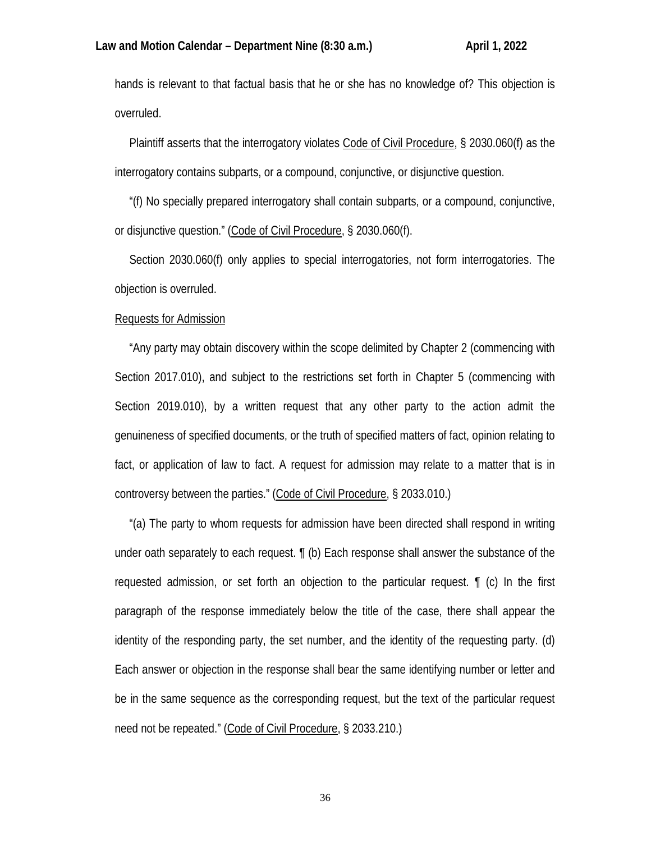hands is relevant to that factual basis that he or she has no knowledge of? This objection is overruled.

 Plaintiff asserts that the interrogatory violates Code of Civil Procedure, § 2030.060(f) as the interrogatory contains subparts, or a compound, conjunctive, or disjunctive question.

 "(f) No specially prepared interrogatory shall contain subparts, or a compound, conjunctive, or disjunctive question." (Code of Civil Procedure, § 2030.060(f).

 Section 2030.060(f) only applies to special interrogatories, not form interrogatories. The objection is overruled.

## Requests for Admission

 "Any party may obtain discovery within the scope delimited by Chapter 2 (commencing with Section 2017.010), and subject to the restrictions set forth in Chapter 5 (commencing with Section 2019.010), by a written request that any other party to the action admit the genuineness of specified documents, or the truth of specified matters of fact, opinion relating to fact, or application of law to fact. A request for admission may relate to a matter that is in controversy between the parties." (Code of Civil Procedure, § 2033.010.)

 "(a) The party to whom requests for admission have been directed shall respond in writing under oath separately to each request. ¶ (b) Each response shall answer the substance of the requested admission, or set forth an objection to the particular request. ¶ (c) In the first paragraph of the response immediately below the title of the case, there shall appear the identity of the responding party, the set number, and the identity of the requesting party. (d) Each answer or objection in the response shall bear the same identifying number or letter and be in the same sequence as the corresponding request, but the text of the particular request need not be repeated." (Code of Civil Procedure, § 2033.210.)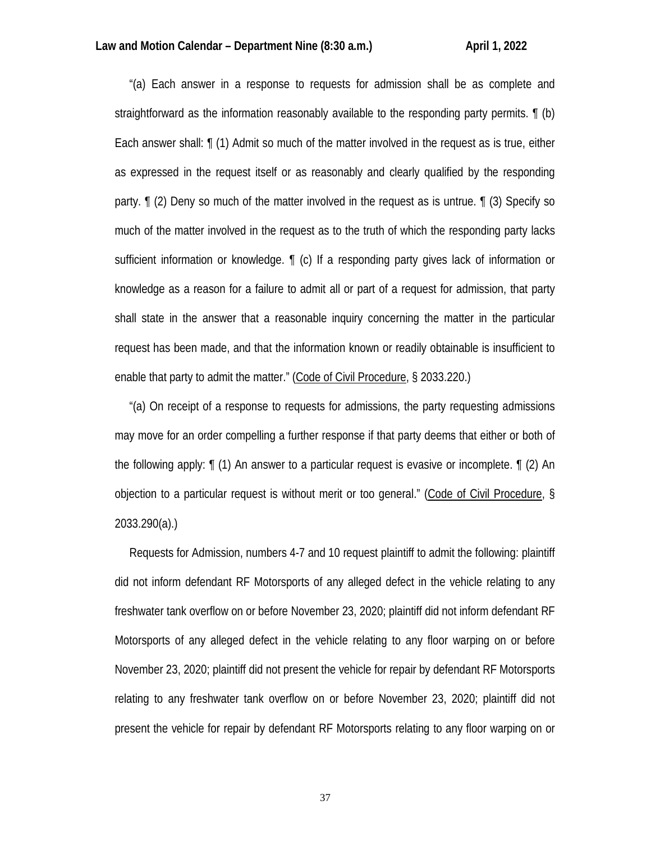"(a) Each answer in a response to requests for admission shall be as complete and straightforward as the information reasonably available to the responding party permits. ¶ (b) Each answer shall: ¶ (1) Admit so much of the matter involved in the request as is true, either as expressed in the request itself or as reasonably and clearly qualified by the responding party. ¶ (2) Deny so much of the matter involved in the request as is untrue. ¶ (3) Specify so much of the matter involved in the request as to the truth of which the responding party lacks sufficient information or knowledge. ¶ (c) If a responding party gives lack of information or knowledge as a reason for a failure to admit all or part of a request for admission, that party shall state in the answer that a reasonable inquiry concerning the matter in the particular request has been made, and that the information known or readily obtainable is insufficient to enable that party to admit the matter." (Code of Civil Procedure, § 2033.220.)

 "(a) On receipt of a response to requests for admissions, the party requesting admissions may move for an order compelling a further response if that party deems that either or both of the following apply: ¶ (1) An answer to a particular request is evasive or incomplete. ¶ (2) An objection to a particular request is without merit or too general." (Code of Civil Procedure, § 2033.290(a).)

 Requests for Admission, numbers 4-7 and 10 request plaintiff to admit the following: plaintiff did not inform defendant RF Motorsports of any alleged defect in the vehicle relating to any freshwater tank overflow on or before November 23, 2020; plaintiff did not inform defendant RF Motorsports of any alleged defect in the vehicle relating to any floor warping on or before November 23, 2020; plaintiff did not present the vehicle for repair by defendant RF Motorsports relating to any freshwater tank overflow on or before November 23, 2020; plaintiff did not present the vehicle for repair by defendant RF Motorsports relating to any floor warping on or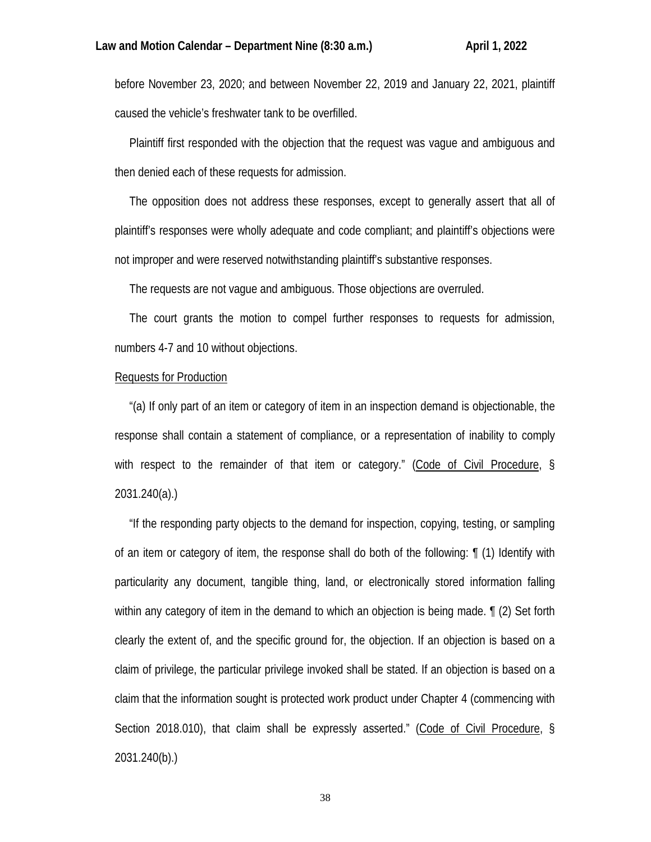before November 23, 2020; and between November 22, 2019 and January 22, 2021, plaintiff caused the vehicle's freshwater tank to be overfilled.

 Plaintiff first responded with the objection that the request was vague and ambiguous and then denied each of these requests for admission.

 The opposition does not address these responses, except to generally assert that all of plaintiff's responses were wholly adequate and code compliant; and plaintiff's objections were not improper and were reserved notwithstanding plaintiff's substantive responses.

The requests are not vague and ambiguous. Those objections are overruled.

 The court grants the motion to compel further responses to requests for admission, numbers 4-7 and 10 without objections.

#### Requests for Production

 "(a) If only part of an item or category of item in an inspection demand is objectionable, the response shall contain a statement of compliance, or a representation of inability to comply with respect to the remainder of that item or category." (Code of Civil Procedure, § 2031.240(a).)

 "If the responding party objects to the demand for inspection, copying, testing, or sampling of an item or category of item, the response shall do both of the following: ¶ (1) Identify with particularity any document, tangible thing, land, or electronically stored information falling within any category of item in the demand to which an objection is being made. ¶ (2) Set forth clearly the extent of, and the specific ground for, the objection. If an objection is based on a claim of privilege, the particular privilege invoked shall be stated. If an objection is based on a claim that the information sought is protected work product under Chapter 4 (commencing with Section 2018.010), that claim shall be expressly asserted." (Code of Civil Procedure, § 2031.240(b).)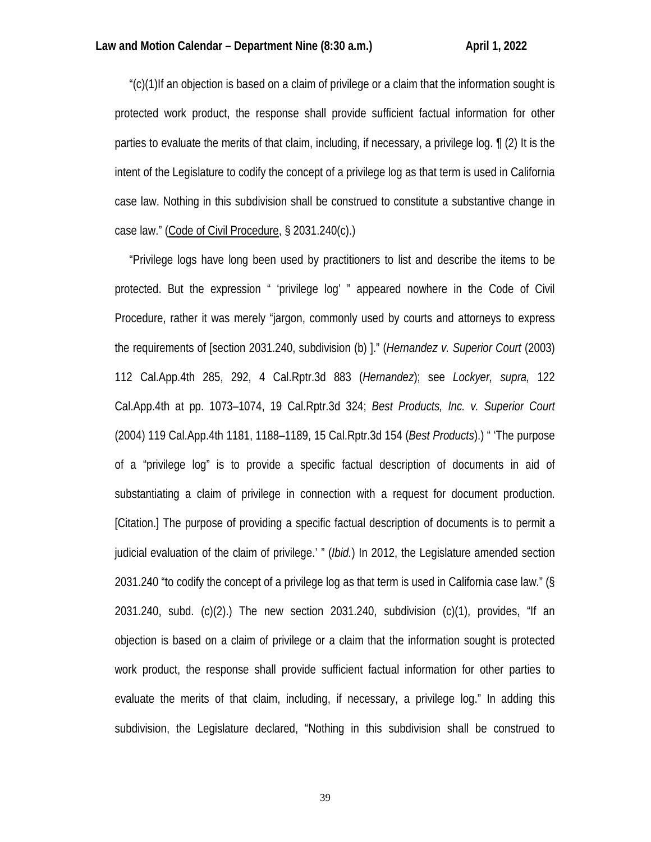"(c)(1)If an objection is based on a claim of privilege or a claim that the information sought is protected work product, the response shall provide sufficient factual information for other parties to evaluate the merits of that claim, including, if necessary, a privilege log. ¶ (2) It is the intent of the Legislature to codify the concept of a privilege log as that term is used in California case law. Nothing in this subdivision shall be construed to constitute a substantive change in case law." (Code of Civil Procedure, § 2031.240(c).)

 "Privilege logs have long been used by practitioners to list and describe the items to be protected. But the expression " 'privilege log' " appeared nowhere in the Code of Civil Procedure, rather it was merely "jargon, commonly used by courts and attorneys to express the requirements of [section 2031.240, subdivision (b) ]." (*Hernandez v. Superior Court* (2003) 112 Cal.App.4th 285, 292, 4 Cal.Rptr.3d 883 (*Hernandez*); see *Lockyer, supra,* 122 Cal.App.4th at pp. 1073–1074, 19 Cal.Rptr.3d 324; *Best Products, Inc. v. Superior Court* (2004) 119 Cal.App.4th 1181, 1188–1189, 15 Cal.Rptr.3d 154 (*Best Products*).) " 'The purpose of a "privilege log" is to provide a specific factual description of documents in aid of substantiating a claim of privilege in connection with a request for document production. [Citation.] The purpose of providing a specific factual description of documents is to permit a judicial evaluation of the claim of privilege.' " (*Ibid.*) In 2012, the Legislature amended section 2031.240 "to codify the concept of a privilege log as that term is used in California case law." (§ 2031.240, subd. (c)(2).) The new section 2031.240, subdivision (c)(1), provides, "If an objection is based on a claim of privilege or a claim that the information sought is protected work product, the response shall provide sufficient factual information for other parties to evaluate the merits of that claim, including, if necessary, a privilege log." In adding this subdivision, the Legislature declared, "Nothing in this subdivision shall be construed to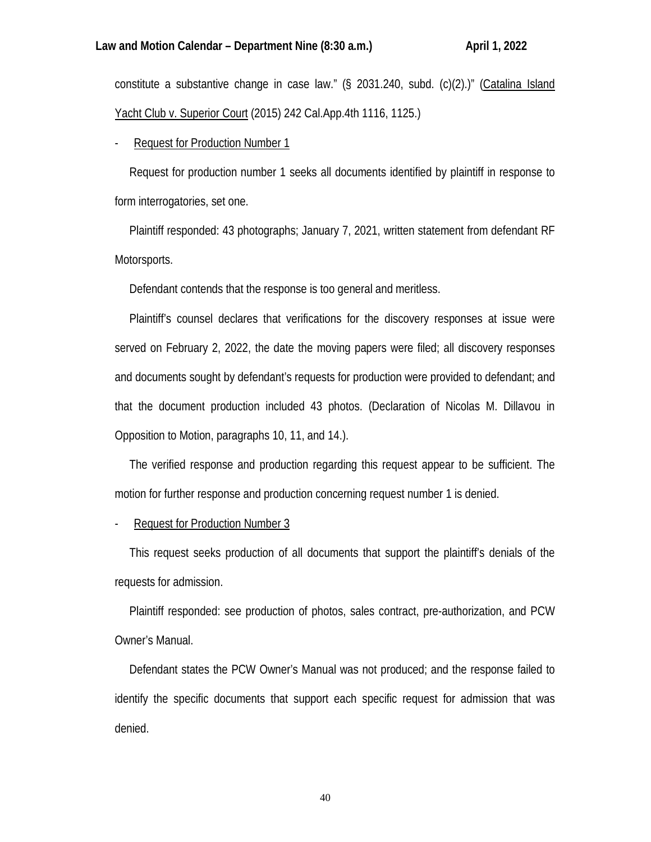constitute a substantive change in case law." (§ 2031.240, subd. (c)(2).)" (Catalina Island Yacht Club v. Superior Court (2015) 242 Cal.App.4th 1116, 1125.)

Request for Production Number 1

 Request for production number 1 seeks all documents identified by plaintiff in response to form interrogatories, set one.

 Plaintiff responded: 43 photographs; January 7, 2021, written statement from defendant RF Motorsports.

Defendant contends that the response is too general and meritless.

 Plaintiff's counsel declares that verifications for the discovery responses at issue were served on February 2, 2022, the date the moving papers were filed; all discovery responses and documents sought by defendant's requests for production were provided to defendant; and that the document production included 43 photos. (Declaration of Nicolas M. Dillavou in Opposition to Motion, paragraphs 10, 11, and 14.).

 The verified response and production regarding this request appear to be sufficient. The motion for further response and production concerning request number 1 is denied.

Request for Production Number 3

 This request seeks production of all documents that support the plaintiff's denials of the requests for admission.

 Plaintiff responded: see production of photos, sales contract, pre-authorization, and PCW Owner's Manual.

 Defendant states the PCW Owner's Manual was not produced; and the response failed to identify the specific documents that support each specific request for admission that was denied.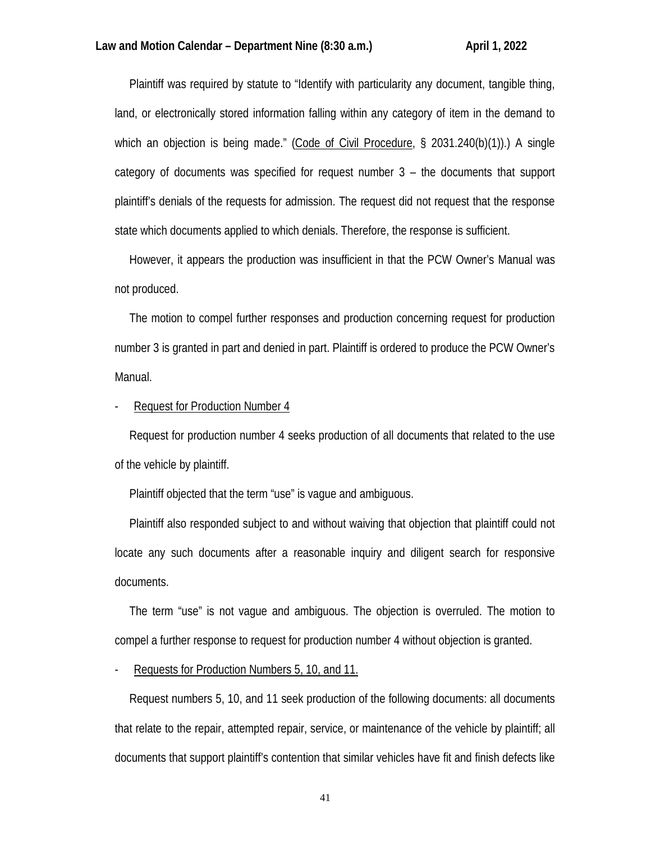Plaintiff was required by statute to "Identify with particularity any document, tangible thing, land, or electronically stored information falling within any category of item in the demand to which an objection is being made." (Code of Civil Procedure, § 2031.240(b)(1)).) A single category of documents was specified for request number 3 – the documents that support plaintiff's denials of the requests for admission. The request did not request that the response state which documents applied to which denials. Therefore, the response is sufficient.

 However, it appears the production was insufficient in that the PCW Owner's Manual was not produced.

 The motion to compel further responses and production concerning request for production number 3 is granted in part and denied in part. Plaintiff is ordered to produce the PCW Owner's Manual.

Request for Production Number 4

 Request for production number 4 seeks production of all documents that related to the use of the vehicle by plaintiff.

Plaintiff objected that the term "use" is vague and ambiguous.

 Plaintiff also responded subject to and without waiving that objection that plaintiff could not locate any such documents after a reasonable inquiry and diligent search for responsive documents.

 The term "use" is not vague and ambiguous. The objection is overruled. The motion to compel a further response to request for production number 4 without objection is granted.

- Requests for Production Numbers 5, 10, and 11.

 Request numbers 5, 10, and 11 seek production of the following documents: all documents that relate to the repair, attempted repair, service, or maintenance of the vehicle by plaintiff; all documents that support plaintiff's contention that similar vehicles have fit and finish defects like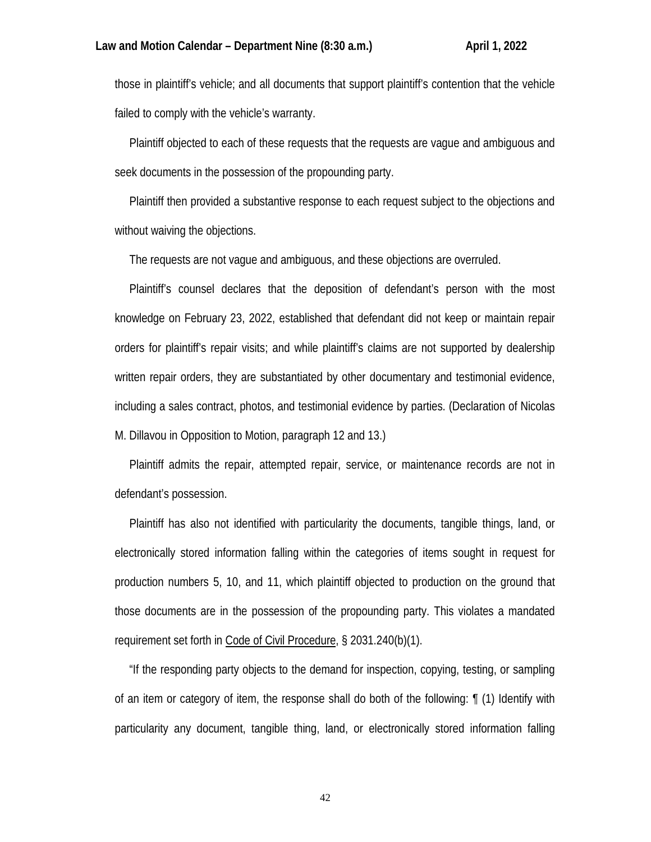those in plaintiff's vehicle; and all documents that support plaintiff's contention that the vehicle failed to comply with the vehicle's warranty.

 Plaintiff objected to each of these requests that the requests are vague and ambiguous and seek documents in the possession of the propounding party.

 Plaintiff then provided a substantive response to each request subject to the objections and without waiving the objections.

The requests are not vague and ambiguous, and these objections are overruled.

 Plaintiff's counsel declares that the deposition of defendant's person with the most knowledge on February 23, 2022, established that defendant did not keep or maintain repair orders for plaintiff's repair visits; and while plaintiff's claims are not supported by dealership written repair orders, they are substantiated by other documentary and testimonial evidence, including a sales contract, photos, and testimonial evidence by parties. (Declaration of Nicolas M. Dillavou in Opposition to Motion, paragraph 12 and 13.)

 Plaintiff admits the repair, attempted repair, service, or maintenance records are not in defendant's possession.

 Plaintiff has also not identified with particularity the documents, tangible things, land, or electronically stored information falling within the categories of items sought in request for production numbers 5, 10, and 11, which plaintiff objected to production on the ground that those documents are in the possession of the propounding party. This violates a mandated requirement set forth in Code of Civil Procedure, § 2031.240(b)(1).

 "If the responding party objects to the demand for inspection, copying, testing, or sampling of an item or category of item, the response shall do both of the following: ¶ (1) Identify with particularity any document, tangible thing, land, or electronically stored information falling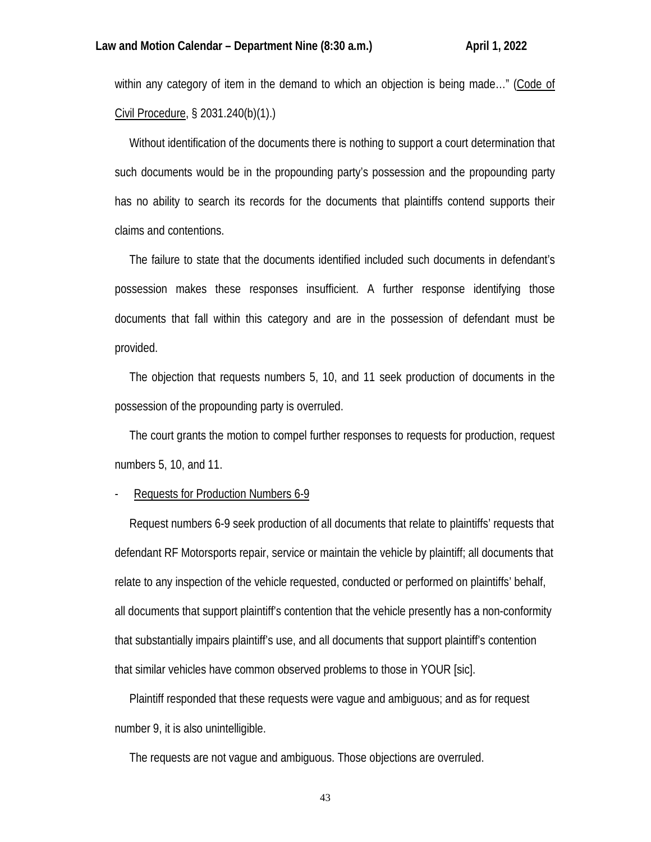within any category of item in the demand to which an objection is being made…" (Code of Civil Procedure, § 2031.240(b)(1).)

 Without identification of the documents there is nothing to support a court determination that such documents would be in the propounding party's possession and the propounding party has no ability to search its records for the documents that plaintiffs contend supports their claims and contentions.

 The failure to state that the documents identified included such documents in defendant's possession makes these responses insufficient. A further response identifying those documents that fall within this category and are in the possession of defendant must be provided.

 The objection that requests numbers 5, 10, and 11 seek production of documents in the possession of the propounding party is overruled.

 The court grants the motion to compel further responses to requests for production, request numbers 5, 10, and 11.

### Requests for Production Numbers 6-9

 Request numbers 6-9 seek production of all documents that relate to plaintiffs' requests that defendant RF Motorsports repair, service or maintain the vehicle by plaintiff; all documents that relate to any inspection of the vehicle requested, conducted or performed on plaintiffs' behalf, all documents that support plaintiff's contention that the vehicle presently has a non-conformity that substantially impairs plaintiff's use, and all documents that support plaintiff's contention that similar vehicles have common observed problems to those in YOUR [sic].

 Plaintiff responded that these requests were vague and ambiguous; and as for request number 9, it is also unintelligible.

The requests are not vague and ambiguous. Those objections are overruled.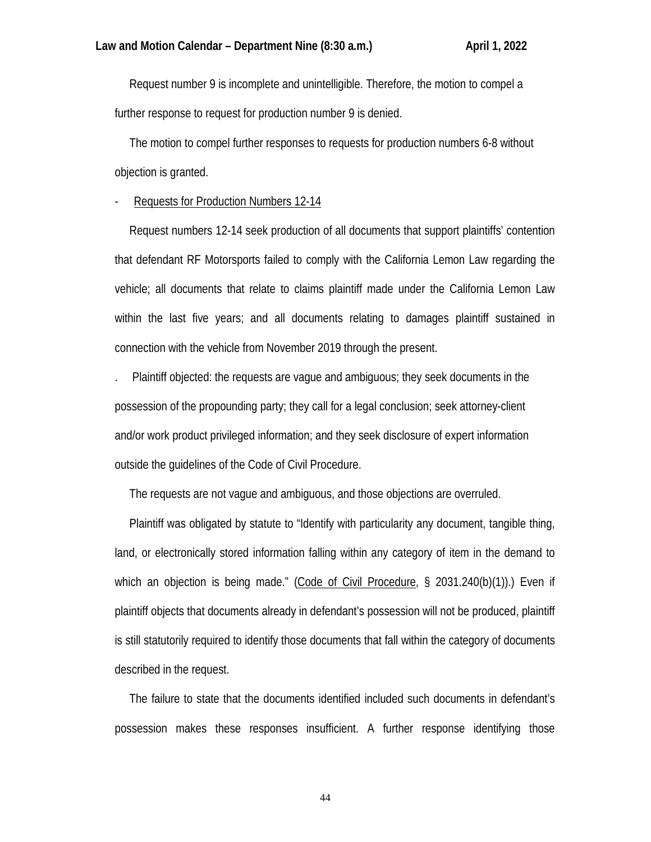Request number 9 is incomplete and unintelligible. Therefore, the motion to compel a further response to request for production number 9 is denied.

 The motion to compel further responses to requests for production numbers 6-8 without objection is granted.

# Requests for Production Numbers 12-14

 Request numbers 12-14 seek production of all documents that support plaintiffs' contention that defendant RF Motorsports failed to comply with the California Lemon Law regarding the vehicle; all documents that relate to claims plaintiff made under the California Lemon Law within the last five years; and all documents relating to damages plaintiff sustained in connection with the vehicle from November 2019 through the present.

. Plaintiff objected: the requests are vague and ambiguous; they seek documents in the possession of the propounding party; they call for a legal conclusion; seek attorney-client and/or work product privileged information; and they seek disclosure of expert information outside the guidelines of the Code of Civil Procedure.

The requests are not vague and ambiguous, and those objections are overruled.

 Plaintiff was obligated by statute to "Identify with particularity any document, tangible thing, land, or electronically stored information falling within any category of item in the demand to which an objection is being made." (Code of Civil Procedure, § 2031.240(b)(1)).) Even if plaintiff objects that documents already in defendant's possession will not be produced, plaintiff is still statutorily required to identify those documents that fall within the category of documents described in the request.

 The failure to state that the documents identified included such documents in defendant's possession makes these responses insufficient. A further response identifying those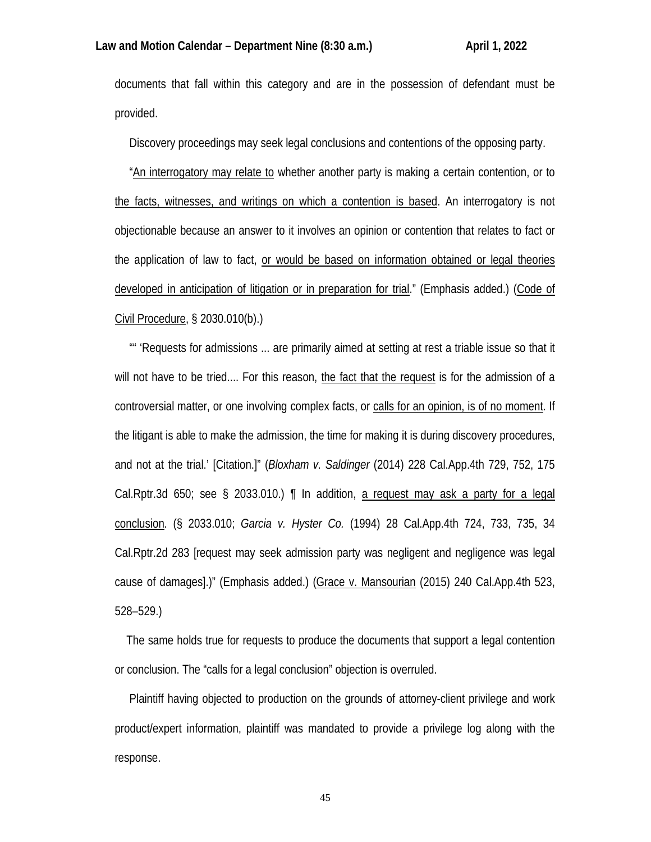documents that fall within this category and are in the possession of defendant must be provided.

Discovery proceedings may seek legal conclusions and contentions of the opposing party.

 "An interrogatory may relate to whether another party is making a certain contention, or to the facts, witnesses, and writings on which a contention is based. An interrogatory is not objectionable because an answer to it involves an opinion or contention that relates to fact or the application of law to fact, or would be based on information obtained or legal theories developed in anticipation of litigation or in preparation for trial." (Emphasis added.) (Code of Civil Procedure, § 2030.010(b).)

 "" 'Requests for admissions ... are primarily aimed at setting at rest a triable issue so that it will not have to be tried.... For this reason, the fact that the request is for the admission of a controversial matter, or one involving complex facts, or calls for an opinion, is of no moment. If the litigant is able to make the admission, the time for making it is during discovery procedures, and not at the trial.' [Citation.]" (*Bloxham v. Saldinger* (2014) 228 Cal.App.4th 729, 752, 175 Cal.Rptr.3d 650; see § 2033.010.)  $\parallel$  In addition, a request may ask a party for a legal conclusion. (§ 2033.010; *Garcia v. Hyster Co.* (1994) 28 Cal.App.4th 724, 733, 735, 34 Cal.Rptr.2d 283 [request may seek admission party was negligent and negligence was legal cause of damages].)" (Emphasis added.) (Grace v. Mansourian (2015) 240 Cal.App.4th 523, 528–529.)

 The same holds true for requests to produce the documents that support a legal contention or conclusion. The "calls for a legal conclusion" objection is overruled.

 Plaintiff having objected to production on the grounds of attorney-client privilege and work product/expert information, plaintiff was mandated to provide a privilege log along with the response.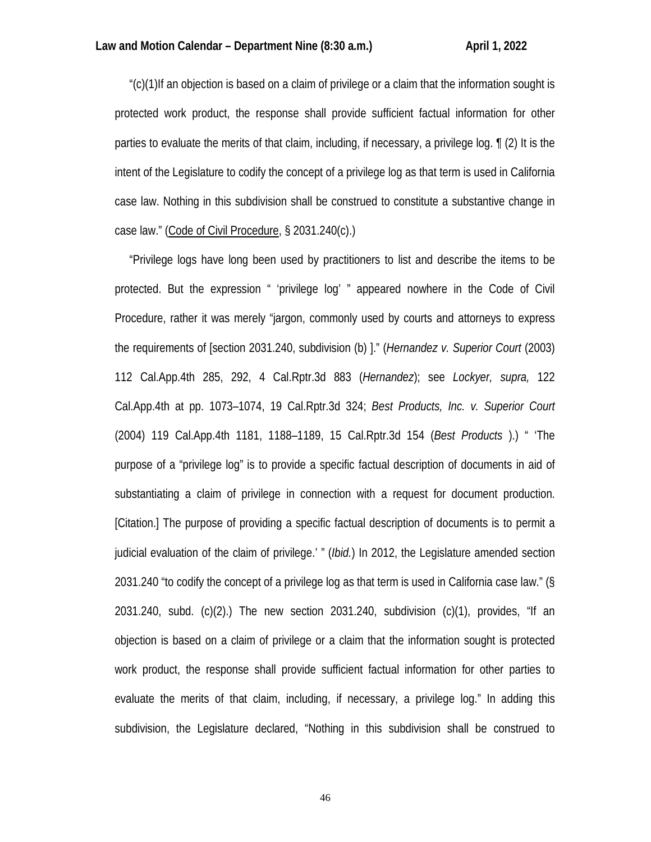"(c)(1)If an objection is based on a claim of privilege or a claim that the information sought is protected work product, the response shall provide sufficient factual information for other parties to evaluate the merits of that claim, including, if necessary, a privilege log. ¶ (2) It is the intent of the Legislature to codify the concept of a privilege log as that term is used in California case law. Nothing in this subdivision shall be construed to constitute a substantive change in case law." (Code of Civil Procedure, § 2031.240(c).)

 "Privilege logs have long been used by practitioners to list and describe the items to be protected. But the expression " 'privilege log' " appeared nowhere in the Code of Civil Procedure, rather it was merely "jargon, commonly used by courts and attorneys to express the requirements of [section 2031.240, subdivision (b) ]." (*Hernandez v. Superior Court* (2003) 112 Cal.App.4th 285, 292, 4 Cal.Rptr.3d 883 (*Hernandez*); see *Lockyer, supra,* 122 Cal.App.4th at pp. 1073–1074, 19 Cal.Rptr.3d 324; *Best Products, Inc. v. Superior Court* (2004) 119 Cal.App.4th 1181, 1188–1189, 15 Cal.Rptr.3d 154 (*Best Products* ).) " 'The purpose of a "privilege log" is to provide a specific factual description of documents in aid of substantiating a claim of privilege in connection with a request for document production. [Citation.] The purpose of providing a specific factual description of documents is to permit a judicial evaluation of the claim of privilege.' " (*Ibid.*) In 2012, the Legislature amended section 2031.240 "to codify the concept of a privilege log as that term is used in California case law." (§ 2031.240, subd. (c)(2).) The new section 2031.240, subdivision (c)(1), provides, "If an objection is based on a claim of privilege or a claim that the information sought is protected work product, the response shall provide sufficient factual information for other parties to evaluate the merits of that claim, including, if necessary, a privilege log." In adding this subdivision, the Legislature declared, "Nothing in this subdivision shall be construed to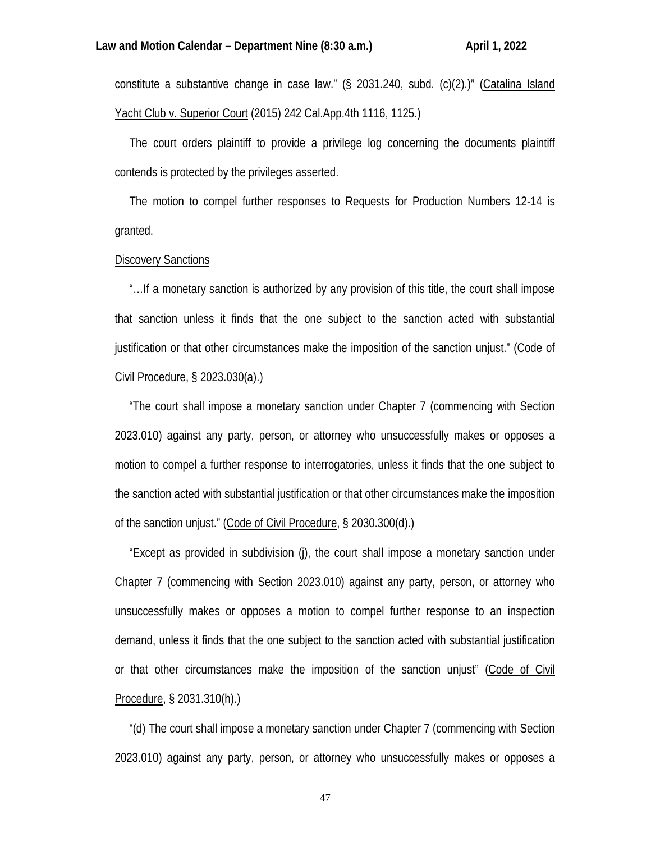constitute a substantive change in case law." (§ 2031.240, subd. (c)(2).)" (Catalina Island Yacht Club v. Superior Court (2015) 242 Cal.App.4th 1116, 1125.)

 The court orders plaintiff to provide a privilege log concerning the documents plaintiff contends is protected by the privileges asserted.

 The motion to compel further responses to Requests for Production Numbers 12-14 is granted.

## Discovery Sanctions

 "…If a monetary sanction is authorized by any provision of this title, the court shall impose that sanction unless it finds that the one subject to the sanction acted with substantial justification or that other circumstances make the imposition of the sanction unjust." (Code of Civil Procedure, § 2023.030(a).)

 "The court shall impose a monetary sanction under Chapter 7 (commencing with Section 2023.010) against any party, person, or attorney who unsuccessfully makes or opposes a motion to compel a further response to interrogatories, unless it finds that the one subject to the sanction acted with substantial justification or that other circumstances make the imposition of the sanction unjust." (Code of Civil Procedure, § 2030.300(d).)

 "Except as provided in subdivision (j), the court shall impose a monetary sanction under Chapter 7 (commencing with Section 2023.010) against any party, person, or attorney who unsuccessfully makes or opposes a motion to compel further response to an inspection demand, unless it finds that the one subject to the sanction acted with substantial justification or that other circumstances make the imposition of the sanction unjust" (Code of Civil Procedure, § 2031.310(h).)

 "(d) The court shall impose a monetary sanction under Chapter 7 (commencing with Section 2023.010) against any party, person, or attorney who unsuccessfully makes or opposes a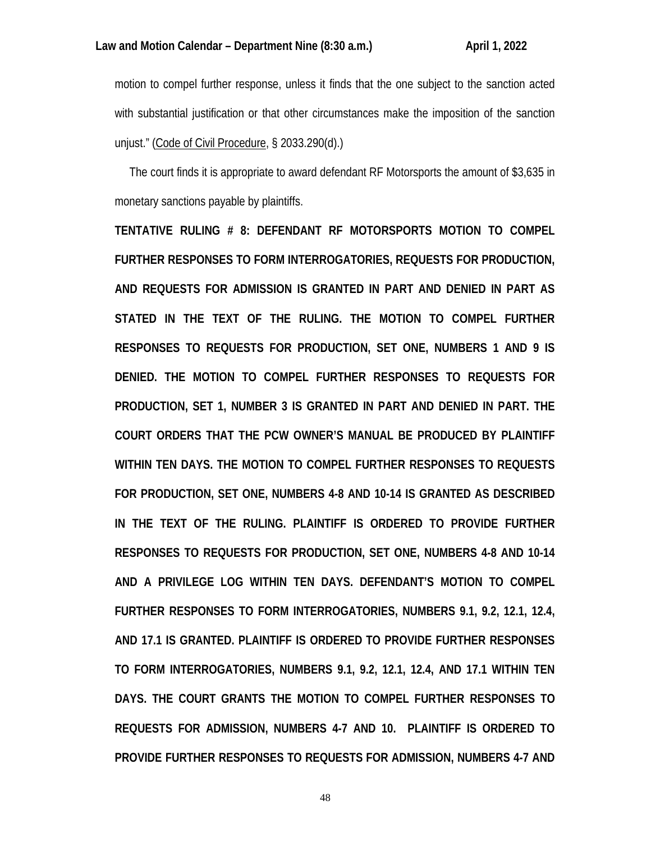motion to compel further response, unless it finds that the one subject to the sanction acted with substantial justification or that other circumstances make the imposition of the sanction unjust." (Code of Civil Procedure, § 2033.290(d).)

 The court finds it is appropriate to award defendant RF Motorsports the amount of \$3,635 in monetary sanctions payable by plaintiffs.

**TENTATIVE RULING # 8: DEFENDANT RF MOTORSPORTS MOTION TO COMPEL FURTHER RESPONSES TO FORM INTERROGATORIES, REQUESTS FOR PRODUCTION, AND REQUESTS FOR ADMISSION IS GRANTED IN PART AND DENIED IN PART AS STATED IN THE TEXT OF THE RULING. THE MOTION TO COMPEL FURTHER RESPONSES TO REQUESTS FOR PRODUCTION, SET ONE, NUMBERS 1 AND 9 IS DENIED. THE MOTION TO COMPEL FURTHER RESPONSES TO REQUESTS FOR PRODUCTION, SET 1, NUMBER 3 IS GRANTED IN PART AND DENIED IN PART. THE COURT ORDERS THAT THE PCW OWNER'S MANUAL BE PRODUCED BY PLAINTIFF WITHIN TEN DAYS. THE MOTION TO COMPEL FURTHER RESPONSES TO REQUESTS FOR PRODUCTION, SET ONE, NUMBERS 4-8 AND 10-14 IS GRANTED AS DESCRIBED IN THE TEXT OF THE RULING. PLAINTIFF IS ORDERED TO PROVIDE FURTHER RESPONSES TO REQUESTS FOR PRODUCTION, SET ONE, NUMBERS 4-8 AND 10-14 AND A PRIVILEGE LOG WITHIN TEN DAYS. DEFENDANT'S MOTION TO COMPEL FURTHER RESPONSES TO FORM INTERROGATORIES, NUMBERS 9.1, 9.2, 12.1, 12.4, AND 17.1 IS GRANTED. PLAINTIFF IS ORDERED TO PROVIDE FURTHER RESPONSES TO FORM INTERROGATORIES, NUMBERS 9.1, 9.2, 12.1, 12.4, AND 17.1 WITHIN TEN DAYS. THE COURT GRANTS THE MOTION TO COMPEL FURTHER RESPONSES TO REQUESTS FOR ADMISSION, NUMBERS 4-7 AND 10. PLAINTIFF IS ORDERED TO PROVIDE FURTHER RESPONSES TO REQUESTS FOR ADMISSION, NUMBERS 4-7 AND**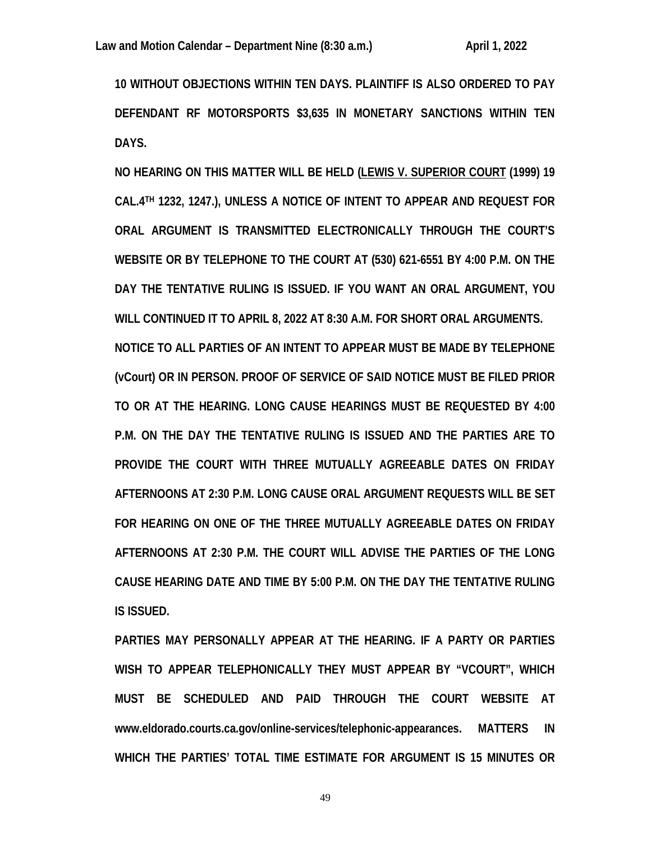**10 WITHOUT OBJECTIONS WITHIN TEN DAYS. PLAINTIFF IS ALSO ORDERED TO PAY DEFENDANT RF MOTORSPORTS \$3,635 IN MONETARY SANCTIONS WITHIN TEN DAYS.** 

**NO HEARING ON THIS MATTER WILL BE HELD (LEWIS V. SUPERIOR COURT (1999) 19 CAL.4TH 1232, 1247.), UNLESS A NOTICE OF INTENT TO APPEAR AND REQUEST FOR ORAL ARGUMENT IS TRANSMITTED ELECTRONICALLY THROUGH THE COURT'S WEBSITE OR BY TELEPHONE TO THE COURT AT (530) 621-6551 BY 4:00 P.M. ON THE DAY THE TENTATIVE RULING IS ISSUED. IF YOU WANT AN ORAL ARGUMENT, YOU WILL CONTINUED IT TO APRIL 8, 2022 AT 8:30 A.M. FOR SHORT ORAL ARGUMENTS. NOTICE TO ALL PARTIES OF AN INTENT TO APPEAR MUST BE MADE BY TELEPHONE (vCourt) OR IN PERSON. PROOF OF SERVICE OF SAID NOTICE MUST BE FILED PRIOR TO OR AT THE HEARING. LONG CAUSE HEARINGS MUST BE REQUESTED BY 4:00 P.M. ON THE DAY THE TENTATIVE RULING IS ISSUED AND THE PARTIES ARE TO PROVIDE THE COURT WITH THREE MUTUALLY AGREEABLE DATES ON FRIDAY AFTERNOONS AT 2:30 P.M. LONG CAUSE ORAL ARGUMENT REQUESTS WILL BE SET FOR HEARING ON ONE OF THE THREE MUTUALLY AGREEABLE DATES ON FRIDAY AFTERNOONS AT 2:30 P.M. THE COURT WILL ADVISE THE PARTIES OF THE LONG CAUSE HEARING DATE AND TIME BY 5:00 P.M. ON THE DAY THE TENTATIVE RULING IS ISSUED.** 

**PARTIES MAY PERSONALLY APPEAR AT THE HEARING. IF A PARTY OR PARTIES WISH TO APPEAR TELEPHONICALLY THEY MUST APPEAR BY "VCOURT", WHICH MUST BE SCHEDULED AND PAID THROUGH THE COURT WEBSITE AT www.eldorado.courts.ca.gov/online-services/telephonic-appearances. MATTERS IN WHICH THE PARTIES' TOTAL TIME ESTIMATE FOR ARGUMENT IS 15 MINUTES OR**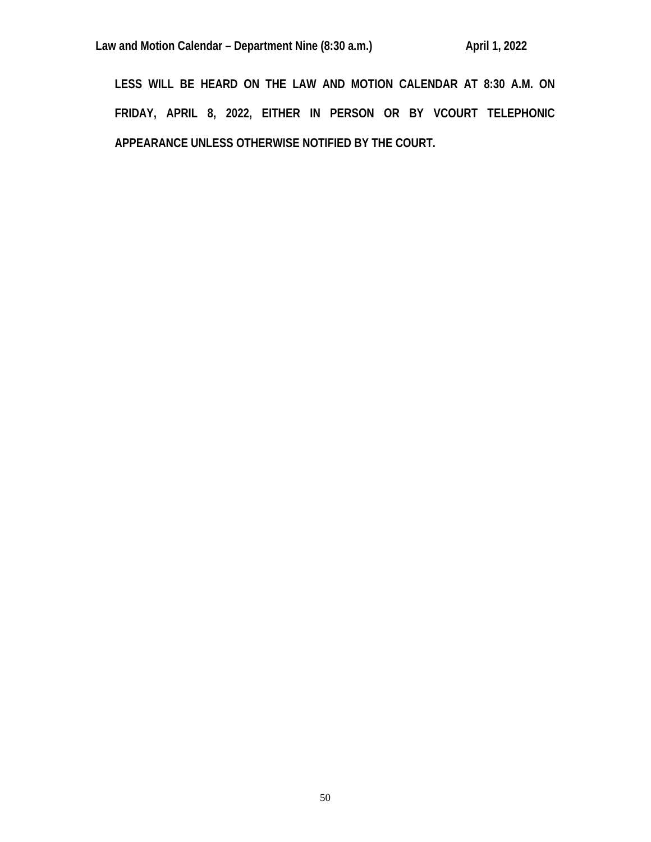**LESS WILL BE HEARD ON THE LAW AND MOTION CALENDAR AT 8:30 A.M. ON FRIDAY, APRIL 8, 2022, EITHER IN PERSON OR BY VCOURT TELEPHONIC APPEARANCE UNLESS OTHERWISE NOTIFIED BY THE COURT.**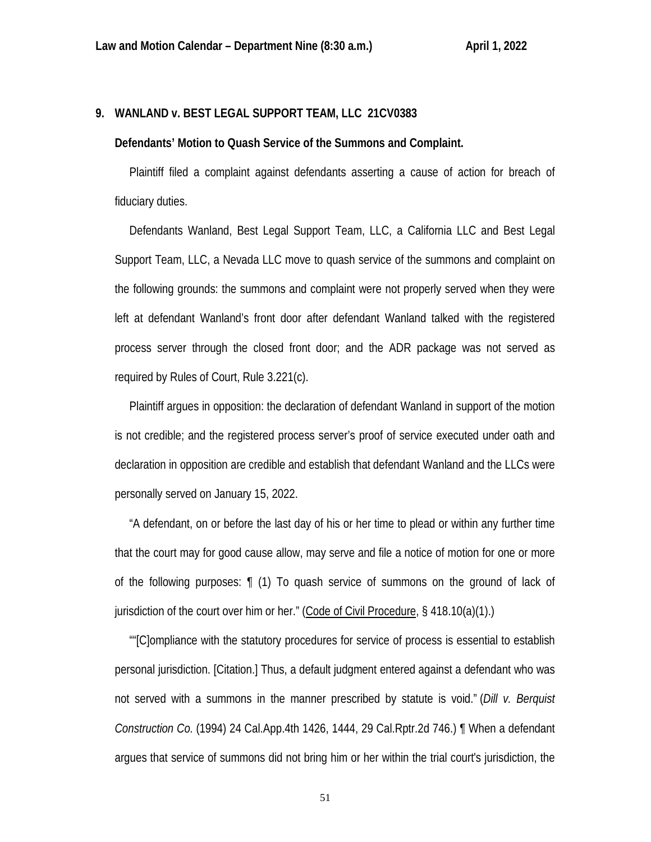## **9. WANLAND v. BEST LEGAL SUPPORT TEAM, LLC 21CV0383**

#### **Defendants' Motion to Quash Service of the Summons and Complaint.**

 Plaintiff filed a complaint against defendants asserting a cause of action for breach of fiduciary duties.

 Defendants Wanland, Best Legal Support Team, LLC, a California LLC and Best Legal Support Team, LLC, a Nevada LLC move to quash service of the summons and complaint on the following grounds: the summons and complaint were not properly served when they were left at defendant Wanland's front door after defendant Wanland talked with the registered process server through the closed front door; and the ADR package was not served as required by Rules of Court, Rule 3.221(c).

 Plaintiff argues in opposition: the declaration of defendant Wanland in support of the motion is not credible; and the registered process server's proof of service executed under oath and declaration in opposition are credible and establish that defendant Wanland and the LLCs were personally served on January 15, 2022.

 "A defendant, on or before the last day of his or her time to plead or within any further time that the court may for good cause allow, may serve and file a notice of motion for one or more of the following purposes: ¶ (1) To quash service of summons on the ground of lack of jurisdiction of the court over him or her." (Code of Civil Procedure, § 418.10(a)(1).)

 ""[C]ompliance with the statutory procedures for service of process is essential to establish personal jurisdiction. [Citation.] Thus, a default judgment entered against a defendant who was not served with a summons in the manner prescribed by statute is void." (*Dill v. Berquist Construction Co.* (1994) 24 Cal.App.4th 1426, 1444, 29 Cal.Rptr.2d 746.) ¶ When a defendant argues that service of summons did not bring him or her within the trial court's jurisdiction, the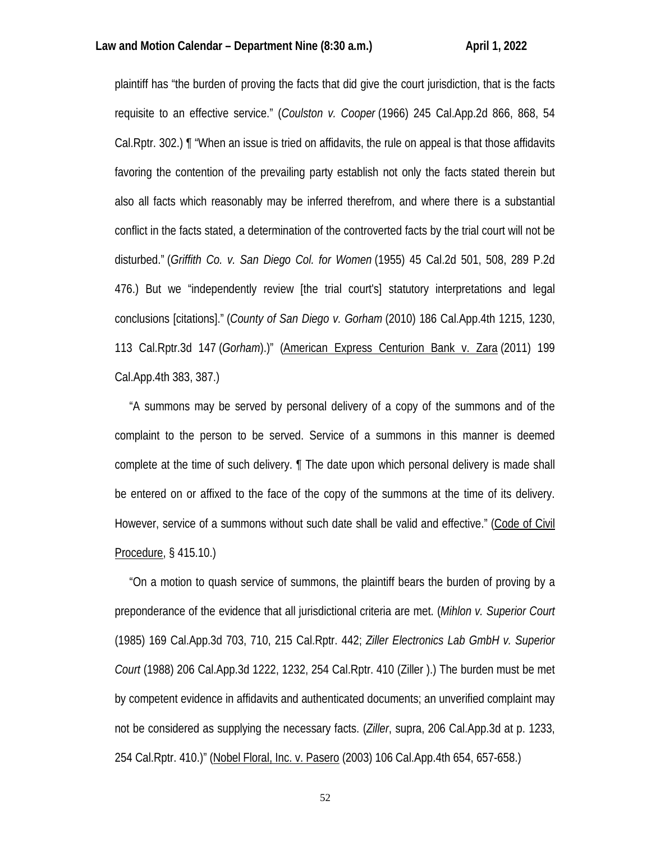plaintiff has "the burden of proving the facts that did give the court jurisdiction, that is the facts requisite to an effective service." (*Coulston v. Cooper* (1966) 245 Cal.App.2d 866, 868, 54 Cal.Rptr. 302.) ¶ "When an issue is tried on affidavits, the rule on appeal is that those affidavits favoring the contention of the prevailing party establish not only the facts stated therein but also all facts which reasonably may be inferred therefrom, and where there is a substantial conflict in the facts stated, a determination of the controverted facts by the trial court will not be disturbed." (*Griffith Co. v. San Diego Col. for Women* (1955) 45 Cal.2d 501, 508, 289 P.2d 476.) But we "independently review [the trial court's] statutory interpretations and legal conclusions [citations]." (*County of San Diego v. Gorham* (2010) 186 Cal.App.4th 1215, 1230, 113 Cal.Rptr.3d 147 (*Gorham*).)" (American Express Centurion Bank v. Zara (2011) 199 Cal.App.4th 383, 387.)

 "A summons may be served by personal delivery of a copy of the summons and of the complaint to the person to be served. Service of a summons in this manner is deemed complete at the time of such delivery. ¶ The date upon which personal delivery is made shall be entered on or affixed to the face of the copy of the summons at the time of its delivery. However, service of a summons without such date shall be valid and effective." (Code of Civil Procedure, § 415.10.)

 "On a motion to quash service of summons, the plaintiff bears the burden of proving by a preponderance of the evidence that all jurisdictional criteria are met. (*Mihlon v. Superior Court* (1985) 169 Cal.App.3d 703, 710, 215 Cal.Rptr. 442; *Ziller Electronics Lab GmbH v. Superior Court* (1988) 206 Cal.App.3d 1222, 1232, 254 Cal.Rptr. 410 (Ziller ).) The burden must be met by competent evidence in affidavits and authenticated documents; an unverified complaint may not be considered as supplying the necessary facts. (*Ziller*, supra, 206 Cal.App.3d at p. 1233, 254 Cal.Rptr. 410.)" (Nobel Floral, Inc. v. Pasero (2003) 106 Cal.App.4th 654, 657-658.)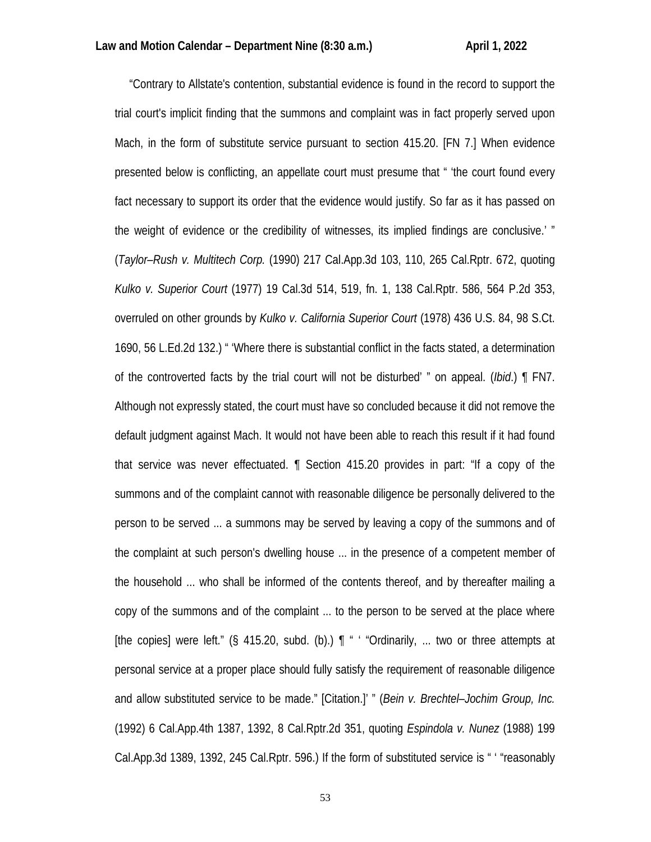"Contrary to Allstate's contention, substantial evidence is found in the record to support the trial court's implicit finding that the summons and complaint was in fact properly served upon Mach, in the form of substitute service pursuant to section 415.20. [FN 7.] When evidence presented below is conflicting, an appellate court must presume that " 'the court found every fact necessary to support its order that the evidence would justify. So far as it has passed on the weight of evidence or the credibility of witnesses, its implied findings are conclusive.' " (*Taylor–Rush v. Multitech Corp.* (1990) 217 Cal.App.3d 103, 110, 265 Cal.Rptr. 672, quoting *Kulko v. Superior Court* (1977) 19 Cal.3d 514, 519, fn. 1, 138 Cal.Rptr. 586, 564 P.2d 353, overruled on other grounds by *Kulko v. California Superior Court* (1978) 436 U.S. 84, 98 S.Ct. 1690, 56 L.Ed.2d 132.) " 'Where there is substantial conflict in the facts stated, a determination of the controverted facts by the trial court will not be disturbed' " on appeal. (*Ibid*.) ¶ FN7. Although not expressly stated, the court must have so concluded because it did not remove the default judgment against Mach. It would not have been able to reach this result if it had found that service was never effectuated. ¶ Section 415.20 provides in part: "If a copy of the summons and of the complaint cannot with reasonable diligence be personally delivered to the person to be served ... a summons may be served by leaving a copy of the summons and of the complaint at such person's dwelling house ... in the presence of a competent member of the household ... who shall be informed of the contents thereof, and by thereafter mailing a copy of the summons and of the complaint ... to the person to be served at the place where [the copies] were left." (§ 415.20, subd. (b).) ¶ " ' "Ordinarily, ... two or three attempts at personal service at a proper place should fully satisfy the requirement of reasonable diligence and allow substituted service to be made." [Citation.]' " (*Bein v. Brechtel–Jochim Group, Inc.* (1992) 6 Cal.App.4th 1387, 1392, 8 Cal.Rptr.2d 351, quoting *Espindola v. Nunez* (1988) 199 Cal.App.3d 1389, 1392, 245 Cal.Rptr. 596.) If the form of substituted service is " ' "reasonably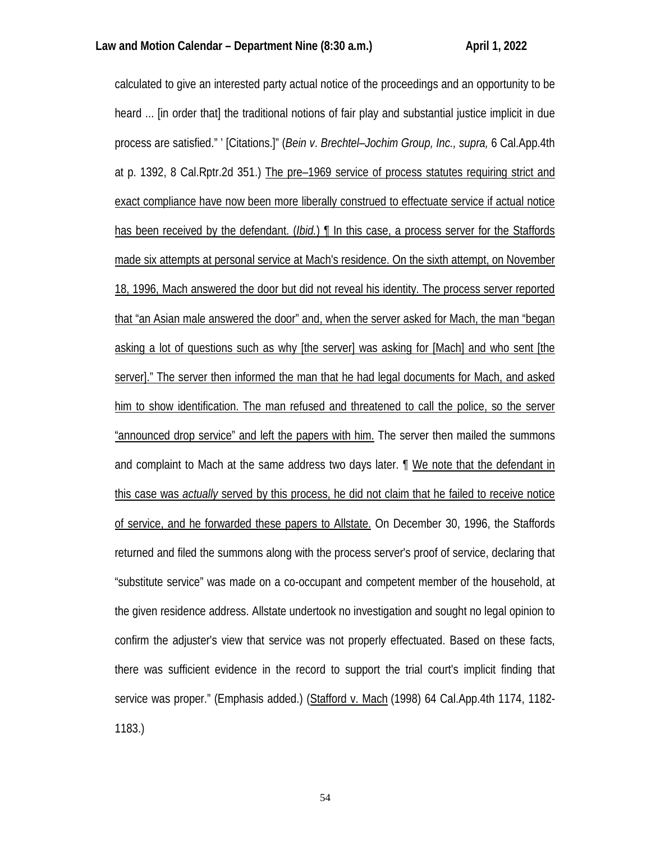calculated to give an interested party actual notice of the proceedings and an opportunity to be heard ... [in order that] the traditional notions of fair play and substantial justice implicit in due process are satisfied." ' [Citations.]" (*Bein v*. *Brechtel–Jochim Group, Inc., supra,* 6 Cal.App.4th at p. 1392, 8 Cal.Rptr.2d 351.) The pre–1969 service of process statutes requiring strict and exact compliance have now been more liberally construed to effectuate service if actual notice has been received by the defendant. (*Ibid.*) ¶ In this case, a process server for the Staffords made six attempts at personal service at Mach's residence. On the sixth attempt, on November 18, 1996, Mach answered the door but did not reveal his identity. The process server reported that "an Asian male answered the door" and, when the server asked for Mach, the man "began asking a lot of questions such as why [the server] was asking for [Mach] and who sent [the server]." The server then informed the man that he had legal documents for Mach, and asked him to show identification. The man refused and threatened to call the police, so the server "announced drop service" and left the papers with him. The server then mailed the summons and complaint to Mach at the same address two days later. ¶ We note that the defendant in this case was *actually* served by this process, he did not claim that he failed to receive notice of service, and he forwarded these papers to Allstate. On December 30, 1996, the Staffords returned and filed the summons along with the process server's proof of service, declaring that "substitute service" was made on a co-occupant and competent member of the household, at the given residence address. Allstate undertook no investigation and sought no legal opinion to confirm the adjuster's view that service was not properly effectuated. Based on these facts, there was sufficient evidence in the record to support the trial court's implicit finding that service was proper." (Emphasis added.) (Stafford v. Mach (1998) 64 Cal.App.4th 1174, 1182- 1183.)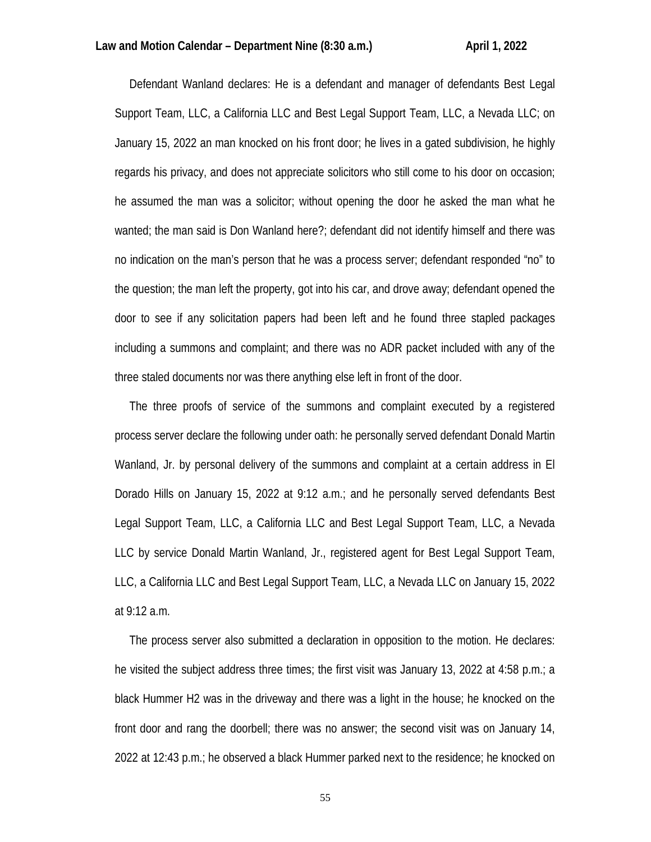Defendant Wanland declares: He is a defendant and manager of defendants Best Legal Support Team, LLC, a California LLC and Best Legal Support Team, LLC, a Nevada LLC; on January 15, 2022 an man knocked on his front door; he lives in a gated subdivision, he highly regards his privacy, and does not appreciate solicitors who still come to his door on occasion; he assumed the man was a solicitor; without opening the door he asked the man what he wanted; the man said is Don Wanland here?; defendant did not identify himself and there was no indication on the man's person that he was a process server; defendant responded "no" to the question; the man left the property, got into his car, and drove away; defendant opened the door to see if any solicitation papers had been left and he found three stapled packages including a summons and complaint; and there was no ADR packet included with any of the three staled documents nor was there anything else left in front of the door.

 The three proofs of service of the summons and complaint executed by a registered process server declare the following under oath: he personally served defendant Donald Martin Wanland, Jr. by personal delivery of the summons and complaint at a certain address in El Dorado Hills on January 15, 2022 at 9:12 a.m.; and he personally served defendants Best Legal Support Team, LLC, a California LLC and Best Legal Support Team, LLC, a Nevada LLC by service Donald Martin Wanland, Jr., registered agent for Best Legal Support Team, LLC, a California LLC and Best Legal Support Team, LLC, a Nevada LLC on January 15, 2022 at 9:12 a.m.

 The process server also submitted a declaration in opposition to the motion. He declares: he visited the subject address three times; the first visit was January 13, 2022 at 4:58 p.m.; a black Hummer H2 was in the driveway and there was a light in the house; he knocked on the front door and rang the doorbell; there was no answer; the second visit was on January 14, 2022 at 12:43 p.m.; he observed a black Hummer parked next to the residence; he knocked on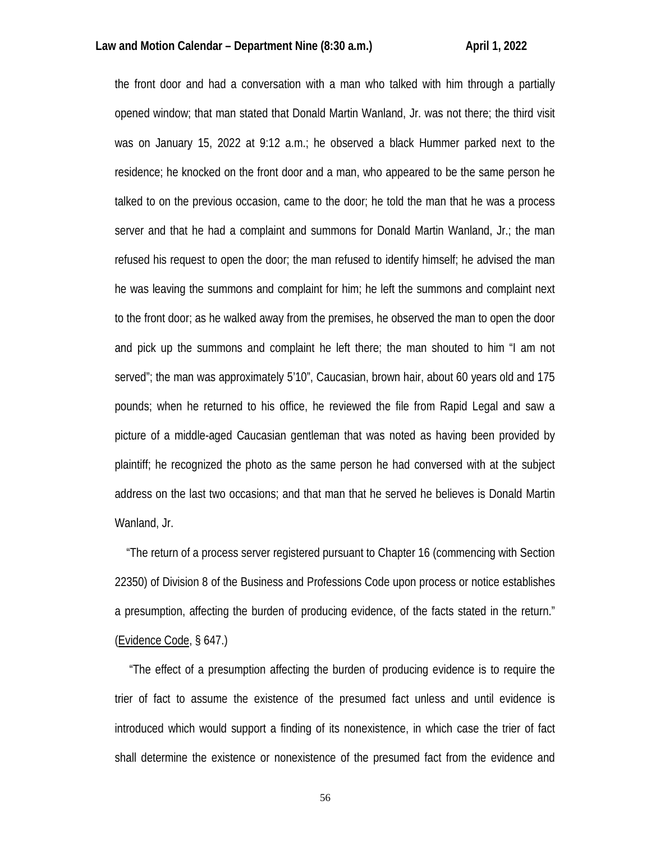the front door and had a conversation with a man who talked with him through a partially opened window; that man stated that Donald Martin Wanland, Jr. was not there; the third visit was on January 15, 2022 at 9:12 a.m.; he observed a black Hummer parked next to the residence; he knocked on the front door and a man, who appeared to be the same person he talked to on the previous occasion, came to the door; he told the man that he was a process server and that he had a complaint and summons for Donald Martin Wanland, Jr.; the man refused his request to open the door; the man refused to identify himself; he advised the man he was leaving the summons and complaint for him; he left the summons and complaint next to the front door; as he walked away from the premises, he observed the man to open the door and pick up the summons and complaint he left there; the man shouted to him "I am not served"; the man was approximately 5'10", Caucasian, brown hair, about 60 years old and 175 pounds; when he returned to his office, he reviewed the file from Rapid Legal and saw a picture of a middle-aged Caucasian gentleman that was noted as having been provided by plaintiff; he recognized the photo as the same person he had conversed with at the subject address on the last two occasions; and that man that he served he believes is Donald Martin Wanland, Jr.

 "The return of a process server registered pursuant to Chapter 16 (commencing with Section 22350) of Division 8 of the Business and Professions Code upon process or notice establishes a presumption, affecting the burden of producing evidence, of the facts stated in the return." (Evidence Code, § 647.)

 "The effect of a presumption affecting the burden of producing evidence is to require the trier of fact to assume the existence of the presumed fact unless and until evidence is introduced which would support a finding of its nonexistence, in which case the trier of fact shall determine the existence or nonexistence of the presumed fact from the evidence and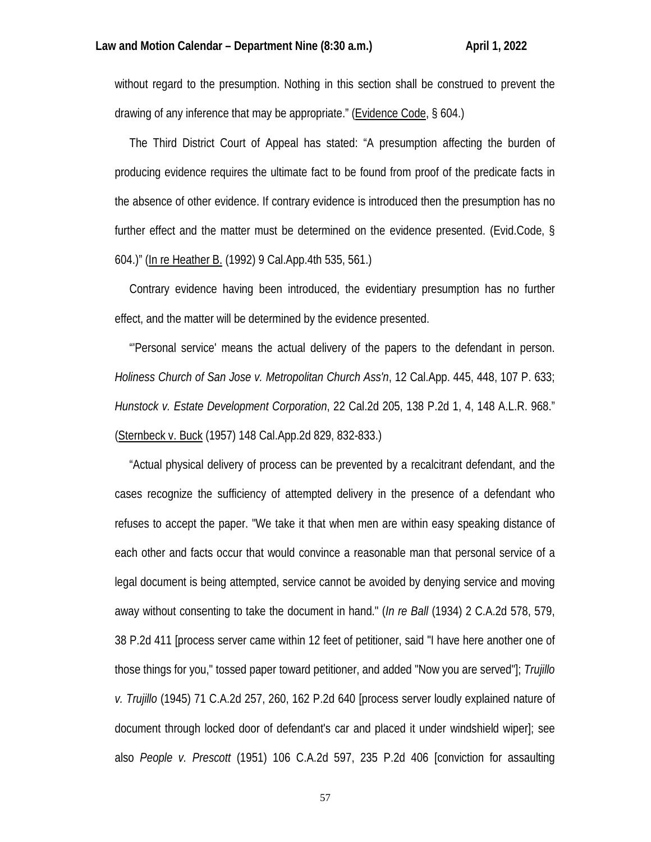without regard to the presumption. Nothing in this section shall be construed to prevent the drawing of any inference that may be appropriate." (Evidence Code, § 604.)

 The Third District Court of Appeal has stated: "A presumption affecting the burden of producing evidence requires the ultimate fact to be found from proof of the predicate facts in the absence of other evidence. If contrary evidence is introduced then the presumption has no further effect and the matter must be determined on the evidence presented. (Evid.Code, § 604.)" (In re Heather B. (1992) 9 Cal.App.4th 535, 561.)

 Contrary evidence having been introduced, the evidentiary presumption has no further effect, and the matter will be determined by the evidence presented.

 "'Personal service' means the actual delivery of the papers to the defendant in person. *Holiness Church of San Jose v. Metropolitan Church Ass'n*, 12 Cal.App. 445, 448, 107 P. 633; *Hunstock v. Estate Development Corporation*, 22 Cal.2d 205, 138 P.2d 1, 4, 148 A.L.R. 968." (Sternbeck v. Buck (1957) 148 Cal.App.2d 829, 832-833.)

 "Actual physical delivery of process can be prevented by a recalcitrant defendant, and the cases recognize the sufficiency of attempted delivery in the presence of a defendant who refuses to accept the paper. "We take it that when men are within easy speaking distance of each other and facts occur that would convince a reasonable man that personal service of a legal document is being attempted, service cannot be avoided by denying service and moving away without consenting to take the document in hand." (*In re Ball* (1934) 2 C.A.2d 578, 579, 38 P.2d 411 [process server came within 12 feet of petitioner, said "I have here another one of those things for you," tossed paper toward petitioner, and added "Now you are served"]; *Trujillo v. Trujillo* (1945) 71 C.A.2d 257, 260, 162 P.2d 640 [process server loudly explained nature of document through locked door of defendant's car and placed it under windshield wiper]; see also *People v. Prescott* (1951) 106 C.A.2d 597, 235 P.2d 406 [conviction for assaulting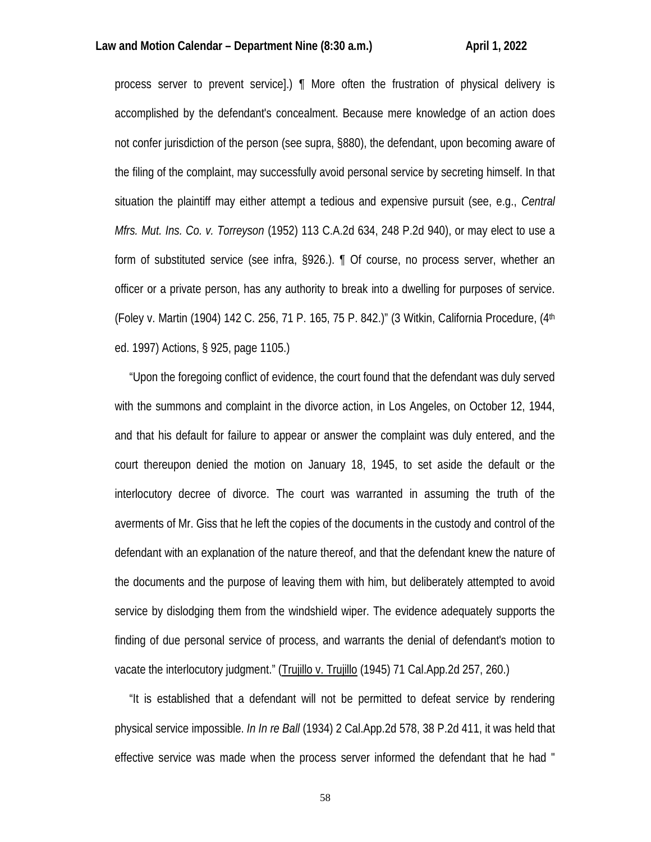## Law and Motion Calendar – Department Nine (8:30 a.m.) April 1, 2022

process server to prevent service].) ¶ More often the frustration of physical delivery is accomplished by the defendant's concealment. Because mere knowledge of an action does not confer jurisdiction of the person (see supra, §880), the defendant, upon becoming aware of the filing of the complaint, may successfully avoid personal service by secreting himself. In that situation the plaintiff may either attempt a tedious and expensive pursuit (see, e.g., *Central Mfrs. Mut. Ins. Co. v. Torreyson* (1952) 113 C.A.2d 634, 248 P.2d 940), or may elect to use a form of substituted service (see infra, §926.). ¶ Of course, no process server, whether an officer or a private person, has any authority to break into a dwelling for purposes of service. (Foley v. Martin (1904) 142 C. 256, 71 P. 165, 75 P. 842.)" (3 Witkin, California Procedure, (4th ed. 1997) Actions, § 925, page 1105.)

 "Upon the foregoing conflict of evidence, the court found that the defendant was duly served with the summons and complaint in the divorce action, in Los Angeles, on October 12, 1944, and that his default for failure to appear or answer the complaint was duly entered, and the court thereupon denied the motion on January 18, 1945, to set aside the default or the interlocutory decree of divorce. The court was warranted in assuming the truth of the averments of Mr. Giss that he left the copies of the documents in the custody and control of the defendant with an explanation of the nature thereof, and that the defendant knew the nature of the documents and the purpose of leaving them with him, but deliberately attempted to avoid service by dislodging them from the windshield wiper. The evidence adequately supports the finding of due personal service of process, and warrants the denial of defendant's motion to vacate the interlocutory judgment." (Trujillo v. Trujillo (1945) 71 Cal.App.2d 257, 260.)

 "It is established that a defendant will not be permitted to defeat service by rendering physical service impossible. *In In re Ball* (1934) 2 Cal.App.2d 578, 38 P.2d 411, it was held that effective service was made when the process server informed the defendant that he had "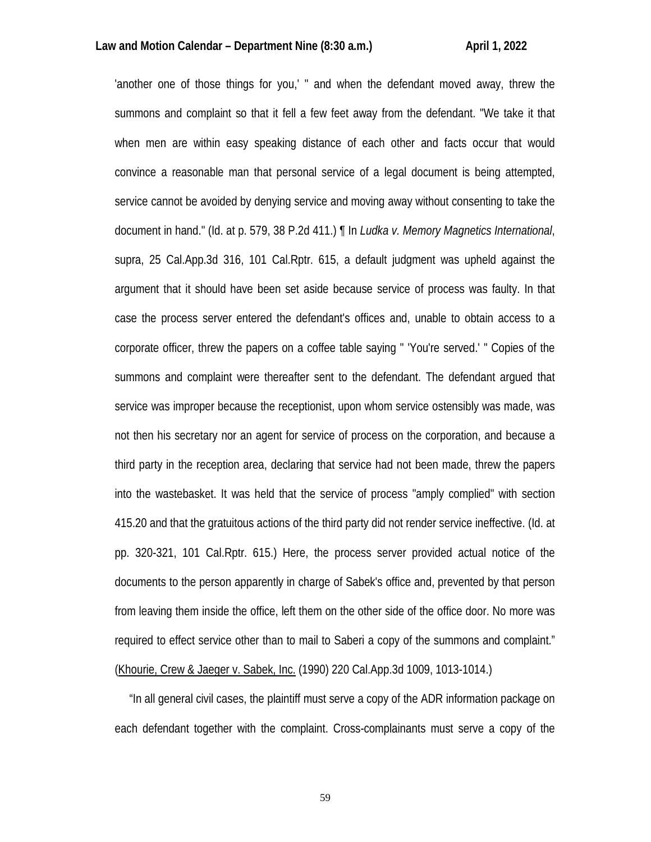'another one of those things for you,' " and when the defendant moved away, threw the summons and complaint so that it fell a few feet away from the defendant. "We take it that when men are within easy speaking distance of each other and facts occur that would convince a reasonable man that personal service of a legal document is being attempted, service cannot be avoided by denying service and moving away without consenting to take the document in hand." (Id. at p. 579, 38 P.2d 411.) ¶ In *Ludka v. Memory Magnetics International*, supra, 25 Cal.App.3d 316, 101 Cal.Rptr. 615, a default judgment was upheld against the argument that it should have been set aside because service of process was faulty. In that case the process server entered the defendant's offices and, unable to obtain access to a corporate officer, threw the papers on a coffee table saying " 'You're served.' " Copies of the summons and complaint were thereafter sent to the defendant. The defendant argued that service was improper because the receptionist, upon whom service ostensibly was made, was not then his secretary nor an agent for service of process on the corporation, and because a third party in the reception area, declaring that service had not been made, threw the papers into the wastebasket. It was held that the service of process "amply complied" with section 415.20 and that the gratuitous actions of the third party did not render service ineffective. (Id. at pp. 320-321, 101 Cal.Rptr. 615.) Here, the process server provided actual notice of the documents to the person apparently in charge of Sabek's office and, prevented by that person from leaving them inside the office, left them on the other side of the office door. No more was required to effect service other than to mail to Saberi a copy of the summons and complaint." (Khourie, Crew & Jaeger v. Sabek, Inc. (1990) 220 Cal.App.3d 1009, 1013-1014.)

 "In all general civil cases, the plaintiff must serve a copy of the ADR information package on each defendant together with the complaint. Cross-complainants must serve a copy of the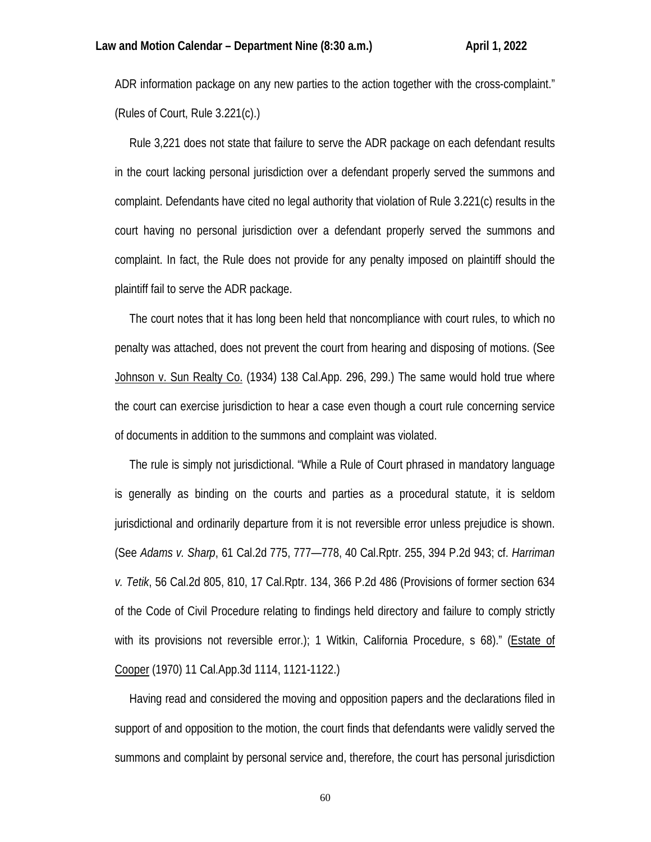ADR information package on any new parties to the action together with the cross-complaint." (Rules of Court, Rule 3.221(c).)

 Rule 3,221 does not state that failure to serve the ADR package on each defendant results in the court lacking personal jurisdiction over a defendant properly served the summons and complaint. Defendants have cited no legal authority that violation of Rule 3.221(c) results in the court having no personal jurisdiction over a defendant properly served the summons and complaint. In fact, the Rule does not provide for any penalty imposed on plaintiff should the plaintiff fail to serve the ADR package.

 The court notes that it has long been held that noncompliance with court rules, to which no penalty was attached, does not prevent the court from hearing and disposing of motions. (See Johnson v. Sun Realty Co. (1934) 138 Cal.App. 296, 299.) The same would hold true where the court can exercise jurisdiction to hear a case even though a court rule concerning service of documents in addition to the summons and complaint was violated.

 The rule is simply not jurisdictional. "While a Rule of Court phrased in mandatory language is generally as binding on the courts and parties as a procedural statute, it is seldom jurisdictional and ordinarily departure from it is not reversible error unless prejudice is shown. (See *Adams v. Sharp*, 61 Cal.2d 775, 777—778, 40 Cal.Rptr. 255, 394 P.2d 943; cf. *Harriman v. Tetik*, 56 Cal.2d 805, 810, 17 Cal.Rptr. 134, 366 P.2d 486 (Provisions of former section 634 of the Code of Civil Procedure relating to findings held directory and failure to comply strictly with its provisions not reversible error.); 1 Witkin, California Procedure, s 68)." (Estate of Cooper (1970) 11 Cal.App.3d 1114, 1121-1122.)

 Having read and considered the moving and opposition papers and the declarations filed in support of and opposition to the motion, the court finds that defendants were validly served the summons and complaint by personal service and, therefore, the court has personal jurisdiction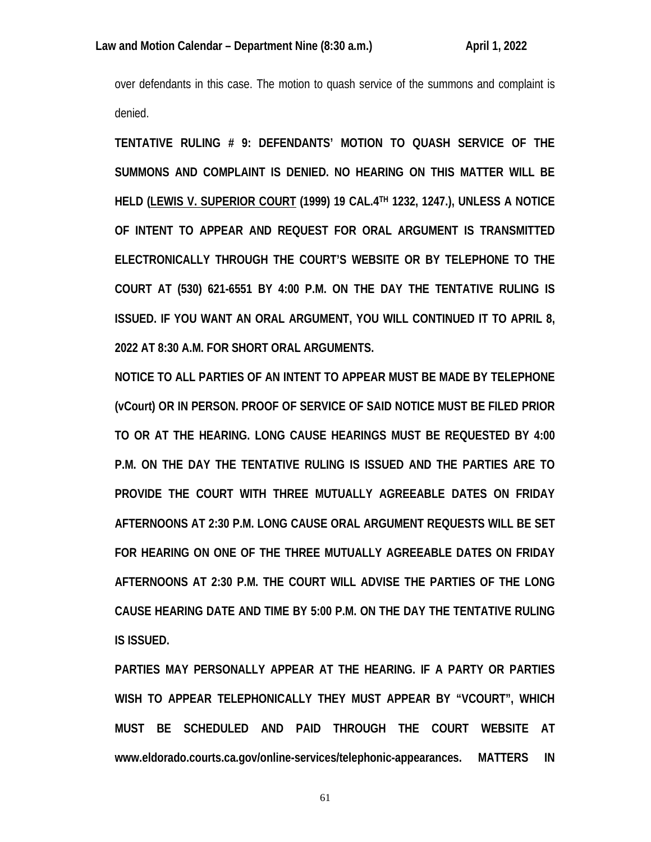over defendants in this case. The motion to quash service of the summons and complaint is denied.

**TENTATIVE RULING # 9: DEFENDANTS' MOTION TO QUASH SERVICE OF THE SUMMONS AND COMPLAINT IS DENIED. NO HEARING ON THIS MATTER WILL BE HELD (LEWIS V. SUPERIOR COURT (1999) 19 CAL.4TH 1232, 1247.), UNLESS A NOTICE OF INTENT TO APPEAR AND REQUEST FOR ORAL ARGUMENT IS TRANSMITTED ELECTRONICALLY THROUGH THE COURT'S WEBSITE OR BY TELEPHONE TO THE COURT AT (530) 621-6551 BY 4:00 P.M. ON THE DAY THE TENTATIVE RULING IS ISSUED. IF YOU WANT AN ORAL ARGUMENT, YOU WILL CONTINUED IT TO APRIL 8, 2022 AT 8:30 A.M. FOR SHORT ORAL ARGUMENTS.**

**NOTICE TO ALL PARTIES OF AN INTENT TO APPEAR MUST BE MADE BY TELEPHONE (vCourt) OR IN PERSON. PROOF OF SERVICE OF SAID NOTICE MUST BE FILED PRIOR TO OR AT THE HEARING. LONG CAUSE HEARINGS MUST BE REQUESTED BY 4:00 P.M. ON THE DAY THE TENTATIVE RULING IS ISSUED AND THE PARTIES ARE TO PROVIDE THE COURT WITH THREE MUTUALLY AGREEABLE DATES ON FRIDAY AFTERNOONS AT 2:30 P.M. LONG CAUSE ORAL ARGUMENT REQUESTS WILL BE SET FOR HEARING ON ONE OF THE THREE MUTUALLY AGREEABLE DATES ON FRIDAY AFTERNOONS AT 2:30 P.M. THE COURT WILL ADVISE THE PARTIES OF THE LONG CAUSE HEARING DATE AND TIME BY 5:00 P.M. ON THE DAY THE TENTATIVE RULING IS ISSUED.** 

**PARTIES MAY PERSONALLY APPEAR AT THE HEARING. IF A PARTY OR PARTIES WISH TO APPEAR TELEPHONICALLY THEY MUST APPEAR BY "VCOURT", WHICH MUST BE SCHEDULED AND PAID THROUGH THE COURT WEBSITE AT www.eldorado.courts.ca.gov/online-services/telephonic-appearances. MATTERS IN**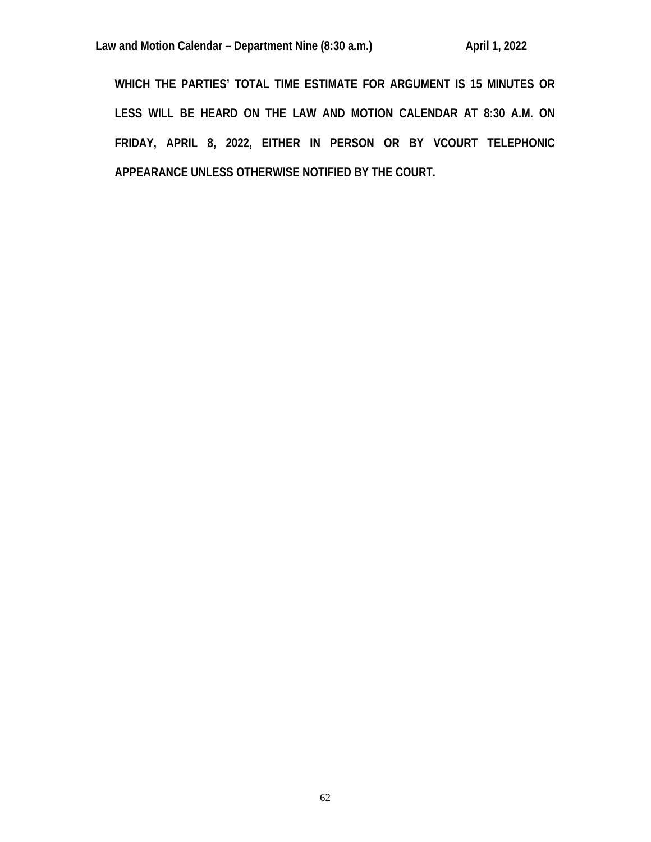**WHICH THE PARTIES' TOTAL TIME ESTIMATE FOR ARGUMENT IS 15 MINUTES OR LESS WILL BE HEARD ON THE LAW AND MOTION CALENDAR AT 8:30 A.M. ON FRIDAY, APRIL 8, 2022, EITHER IN PERSON OR BY VCOURT TELEPHONIC APPEARANCE UNLESS OTHERWISE NOTIFIED BY THE COURT.**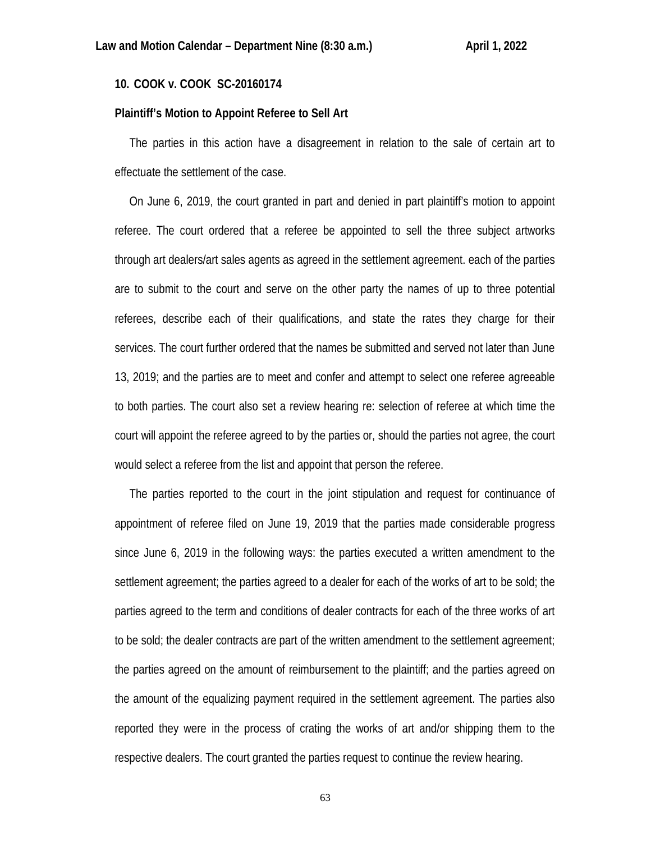# **10. COOK v. COOK SC-20160174**

## **Plaintiff's Motion to Appoint Referee to Sell Art**

 The parties in this action have a disagreement in relation to the sale of certain art to effectuate the settlement of the case.

 On June 6, 2019, the court granted in part and denied in part plaintiff's motion to appoint referee. The court ordered that a referee be appointed to sell the three subject artworks through art dealers/art sales agents as agreed in the settlement agreement. each of the parties are to submit to the court and serve on the other party the names of up to three potential referees, describe each of their qualifications, and state the rates they charge for their services. The court further ordered that the names be submitted and served not later than June 13, 2019; and the parties are to meet and confer and attempt to select one referee agreeable to both parties. The court also set a review hearing re: selection of referee at which time the court will appoint the referee agreed to by the parties or, should the parties not agree, the court would select a referee from the list and appoint that person the referee.

 The parties reported to the court in the joint stipulation and request for continuance of appointment of referee filed on June 19, 2019 that the parties made considerable progress since June 6, 2019 in the following ways: the parties executed a written amendment to the settlement agreement; the parties agreed to a dealer for each of the works of art to be sold; the parties agreed to the term and conditions of dealer contracts for each of the three works of art to be sold; the dealer contracts are part of the written amendment to the settlement agreement; the parties agreed on the amount of reimbursement to the plaintiff; and the parties agreed on the amount of the equalizing payment required in the settlement agreement. The parties also reported they were in the process of crating the works of art and/or shipping them to the respective dealers. The court granted the parties request to continue the review hearing.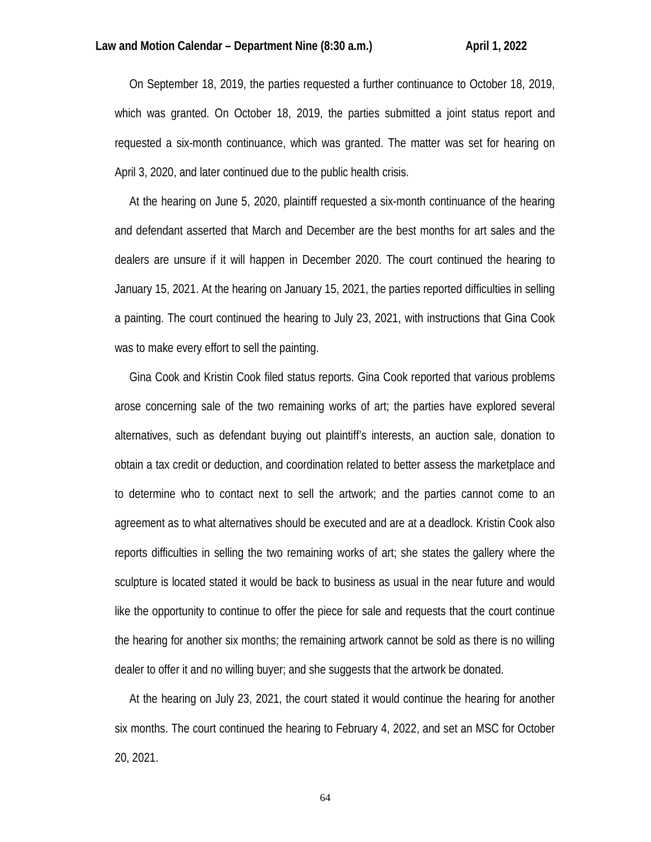On September 18, 2019, the parties requested a further continuance to October 18, 2019, which was granted. On October 18, 2019, the parties submitted a joint status report and requested a six-month continuance, which was granted. The matter was set for hearing on April 3, 2020, and later continued due to the public health crisis.

 At the hearing on June 5, 2020, plaintiff requested a six-month continuance of the hearing and defendant asserted that March and December are the best months for art sales and the dealers are unsure if it will happen in December 2020. The court continued the hearing to January 15, 2021. At the hearing on January 15, 2021, the parties reported difficulties in selling a painting. The court continued the hearing to July 23, 2021, with instructions that Gina Cook was to make every effort to sell the painting.

 Gina Cook and Kristin Cook filed status reports. Gina Cook reported that various problems arose concerning sale of the two remaining works of art; the parties have explored several alternatives, such as defendant buying out plaintiff's interests, an auction sale, donation to obtain a tax credit or deduction, and coordination related to better assess the marketplace and to determine who to contact next to sell the artwork; and the parties cannot come to an agreement as to what alternatives should be executed and are at a deadlock. Kristin Cook also reports difficulties in selling the two remaining works of art; she states the gallery where the sculpture is located stated it would be back to business as usual in the near future and would like the opportunity to continue to offer the piece for sale and requests that the court continue the hearing for another six months; the remaining artwork cannot be sold as there is no willing dealer to offer it and no willing buyer; and she suggests that the artwork be donated.

 At the hearing on July 23, 2021, the court stated it would continue the hearing for another six months. The court continued the hearing to February 4, 2022, and set an MSC for October 20, 2021.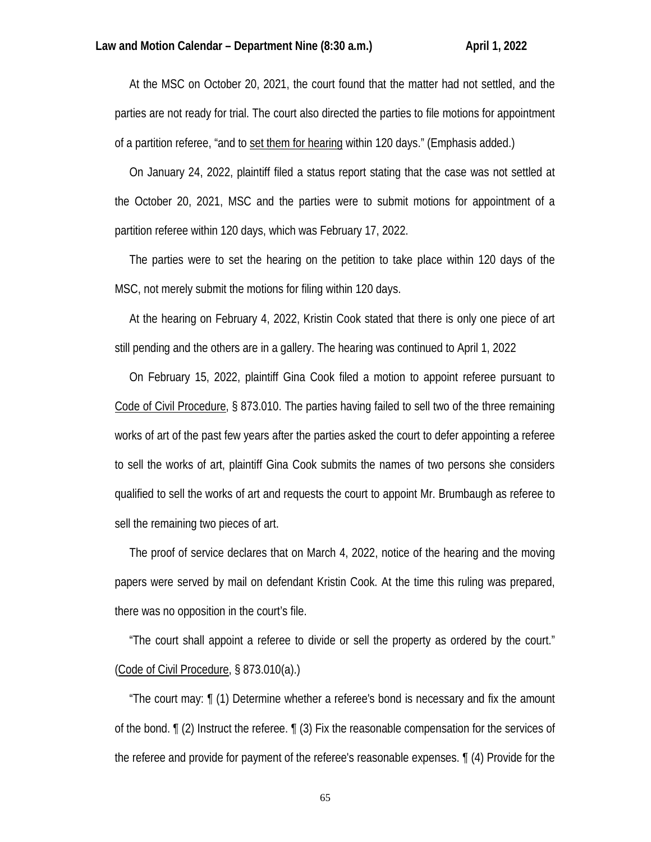At the MSC on October 20, 2021, the court found that the matter had not settled, and the parties are not ready for trial. The court also directed the parties to file motions for appointment of a partition referee, "and to set them for hearing within 120 days." (Emphasis added.)

 On January 24, 2022, plaintiff filed a status report stating that the case was not settled at the October 20, 2021, MSC and the parties were to submit motions for appointment of a partition referee within 120 days, which was February 17, 2022.

 The parties were to set the hearing on the petition to take place within 120 days of the MSC, not merely submit the motions for filing within 120 days.

 At the hearing on February 4, 2022, Kristin Cook stated that there is only one piece of art still pending and the others are in a gallery. The hearing was continued to April 1, 2022

 On February 15, 2022, plaintiff Gina Cook filed a motion to appoint referee pursuant to Code of Civil Procedure, § 873.010. The parties having failed to sell two of the three remaining works of art of the past few years after the parties asked the court to defer appointing a referee to sell the works of art, plaintiff Gina Cook submits the names of two persons she considers qualified to sell the works of art and requests the court to appoint Mr. Brumbaugh as referee to sell the remaining two pieces of art.

 The proof of service declares that on March 4, 2022, notice of the hearing and the moving papers were served by mail on defendant Kristin Cook. At the time this ruling was prepared, there was no opposition in the court's file.

 "The court shall appoint a referee to divide or sell the property as ordered by the court." (Code of Civil Procedure, § 873.010(a).)

 "The court may: ¶ (1) Determine whether a referee's bond is necessary and fix the amount of the bond. ¶ (2) Instruct the referee. ¶ (3) Fix the reasonable compensation for the services of the referee and provide for payment of the referee's reasonable expenses. ¶ (4) Provide for the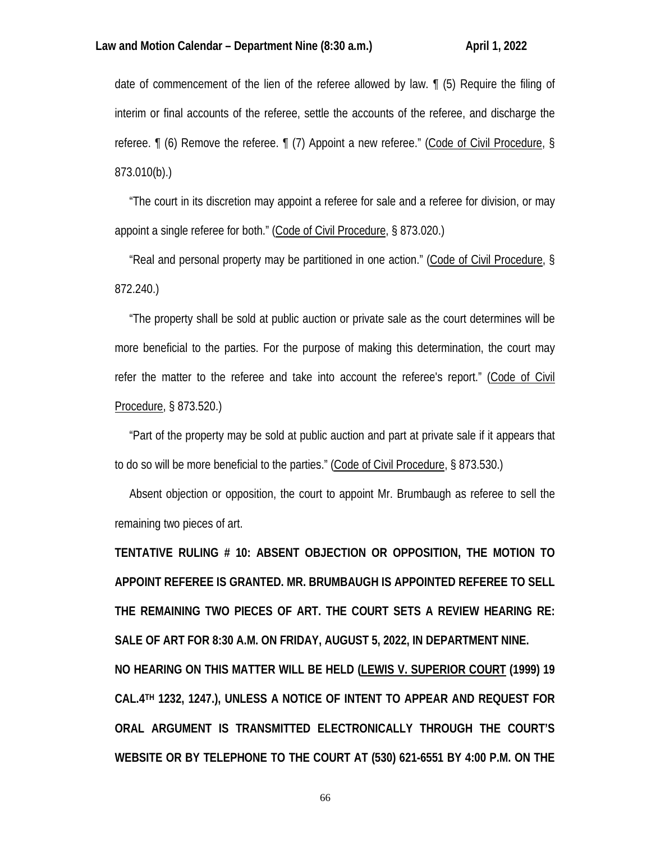date of commencement of the lien of the referee allowed by law. ¶ (5) Require the filing of interim or final accounts of the referee, settle the accounts of the referee, and discharge the referee. ¶ (6) Remove the referee. ¶ (7) Appoint a new referee." (Code of Civil Procedure, § 873.010(b).)

 "The court in its discretion may appoint a referee for sale and a referee for division, or may appoint a single referee for both." (Code of Civil Procedure, § 873.020.)

 "Real and personal property may be partitioned in one action." (Code of Civil Procedure, § 872.240.)

 "The property shall be sold at public auction or private sale as the court determines will be more beneficial to the parties. For the purpose of making this determination, the court may refer the matter to the referee and take into account the referee's report." (Code of Civil Procedure, § 873.520.)

 "Part of the property may be sold at public auction and part at private sale if it appears that to do so will be more beneficial to the parties." (Code of Civil Procedure, § 873.530.)

 Absent objection or opposition, the court to appoint Mr. Brumbaugh as referee to sell the remaining two pieces of art.

**TENTATIVE RULING # 10: ABSENT OBJECTION OR OPPOSITION, THE MOTION TO APPOINT REFEREE IS GRANTED. MR. BRUMBAUGH IS APPOINTED REFEREE TO SELL THE REMAINING TWO PIECES OF ART. THE COURT SETS A REVIEW HEARING RE: SALE OF ART FOR 8:30 A.M. ON FRIDAY, AUGUST 5, 2022, IN DEPARTMENT NINE. NO HEARING ON THIS MATTER WILL BE HELD (LEWIS V. SUPERIOR COURT (1999) 19 CAL.4TH 1232, 1247.), UNLESS A NOTICE OF INTENT TO APPEAR AND REQUEST FOR ORAL ARGUMENT IS TRANSMITTED ELECTRONICALLY THROUGH THE COURT'S WEBSITE OR BY TELEPHONE TO THE COURT AT (530) 621-6551 BY 4:00 P.M. ON THE**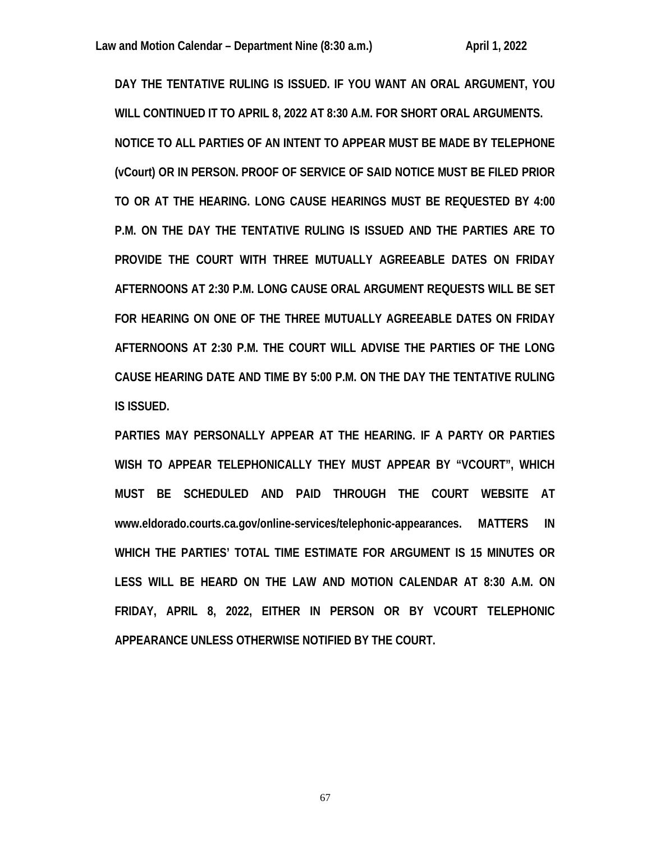**DAY THE TENTATIVE RULING IS ISSUED. IF YOU WANT AN ORAL ARGUMENT, YOU WILL CONTINUED IT TO APRIL 8, 2022 AT 8:30 A.M. FOR SHORT ORAL ARGUMENTS. NOTICE TO ALL PARTIES OF AN INTENT TO APPEAR MUST BE MADE BY TELEPHONE (vCourt) OR IN PERSON. PROOF OF SERVICE OF SAID NOTICE MUST BE FILED PRIOR TO OR AT THE HEARING. LONG CAUSE HEARINGS MUST BE REQUESTED BY 4:00 P.M. ON THE DAY THE TENTATIVE RULING IS ISSUED AND THE PARTIES ARE TO PROVIDE THE COURT WITH THREE MUTUALLY AGREEABLE DATES ON FRIDAY AFTERNOONS AT 2:30 P.M. LONG CAUSE ORAL ARGUMENT REQUESTS WILL BE SET FOR HEARING ON ONE OF THE THREE MUTUALLY AGREEABLE DATES ON FRIDAY AFTERNOONS AT 2:30 P.M. THE COURT WILL ADVISE THE PARTIES OF THE LONG CAUSE HEARING DATE AND TIME BY 5:00 P.M. ON THE DAY THE TENTATIVE RULING IS ISSUED.** 

**PARTIES MAY PERSONALLY APPEAR AT THE HEARING. IF A PARTY OR PARTIES WISH TO APPEAR TELEPHONICALLY THEY MUST APPEAR BY "VCOURT", WHICH MUST BE SCHEDULED AND PAID THROUGH THE COURT WEBSITE AT www.eldorado.courts.ca.gov/online-services/telephonic-appearances. MATTERS IN WHICH THE PARTIES' TOTAL TIME ESTIMATE FOR ARGUMENT IS 15 MINUTES OR LESS WILL BE HEARD ON THE LAW AND MOTION CALENDAR AT 8:30 A.M. ON FRIDAY, APRIL 8, 2022, EITHER IN PERSON OR BY VCOURT TELEPHONIC APPEARANCE UNLESS OTHERWISE NOTIFIED BY THE COURT.**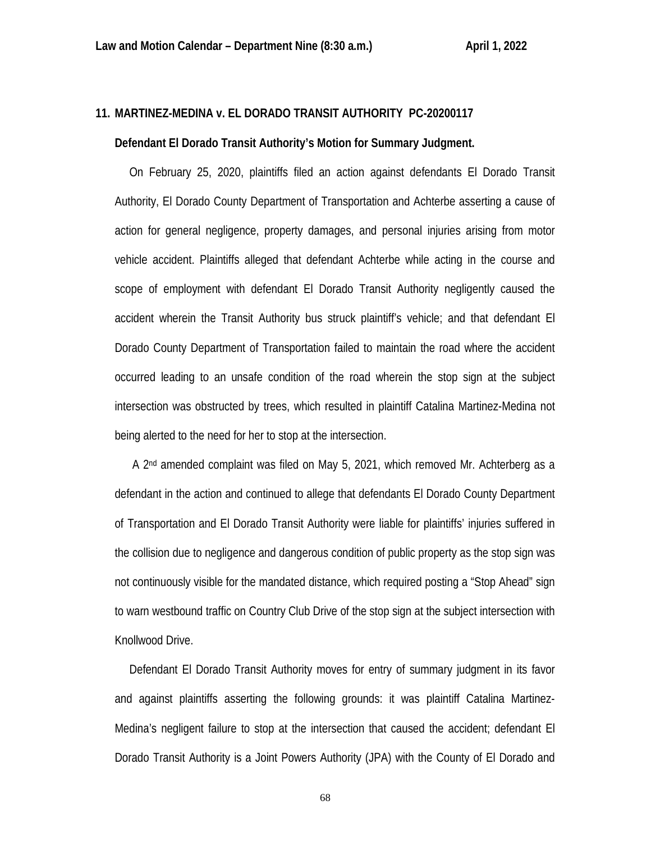# **11. MARTINEZ-MEDINA v. EL DORADO TRANSIT AUTHORITY PC-20200117 Defendant El Dorado Transit Authority's Motion for Summary Judgment.**

 On February 25, 2020, plaintiffs filed an action against defendants El Dorado Transit Authority, El Dorado County Department of Transportation and Achterbe asserting a cause of action for general negligence, property damages, and personal injuries arising from motor vehicle accident. Plaintiffs alleged that defendant Achterbe while acting in the course and scope of employment with defendant El Dorado Transit Authority negligently caused the accident wherein the Transit Authority bus struck plaintiff's vehicle; and that defendant El Dorado County Department of Transportation failed to maintain the road where the accident occurred leading to an unsafe condition of the road wherein the stop sign at the subject intersection was obstructed by trees, which resulted in plaintiff Catalina Martinez-Medina not being alerted to the need for her to stop at the intersection.

 A 2nd amended complaint was filed on May 5, 2021, which removed Mr. Achterberg as a defendant in the action and continued to allege that defendants El Dorado County Department of Transportation and El Dorado Transit Authority were liable for plaintiffs' injuries suffered in the collision due to negligence and dangerous condition of public property as the stop sign was not continuously visible for the mandated distance, which required posting a "Stop Ahead" sign to warn westbound traffic on Country Club Drive of the stop sign at the subject intersection with Knollwood Drive.

 Defendant El Dorado Transit Authority moves for entry of summary judgment in its favor and against plaintiffs asserting the following grounds: it was plaintiff Catalina Martinez-Medina's negligent failure to stop at the intersection that caused the accident; defendant El Dorado Transit Authority is a Joint Powers Authority (JPA) with the County of El Dorado and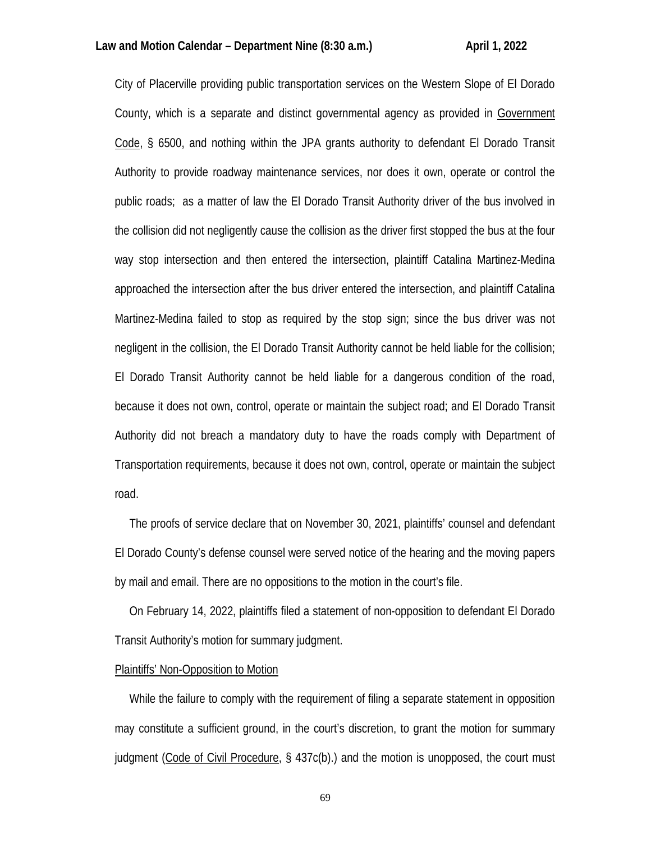City of Placerville providing public transportation services on the Western Slope of El Dorado County, which is a separate and distinct governmental agency as provided in Government Code, § 6500, and nothing within the JPA grants authority to defendant El Dorado Transit Authority to provide roadway maintenance services, nor does it own, operate or control the public roads; as a matter of law the El Dorado Transit Authority driver of the bus involved in the collision did not negligently cause the collision as the driver first stopped the bus at the four way stop intersection and then entered the intersection, plaintiff Catalina Martinez-Medina approached the intersection after the bus driver entered the intersection, and plaintiff Catalina Martinez-Medina failed to stop as required by the stop sign; since the bus driver was not negligent in the collision, the El Dorado Transit Authority cannot be held liable for the collision; El Dorado Transit Authority cannot be held liable for a dangerous condition of the road, because it does not own, control, operate or maintain the subject road; and El Dorado Transit Authority did not breach a mandatory duty to have the roads comply with Department of Transportation requirements, because it does not own, control, operate or maintain the subject road.

 The proofs of service declare that on November 30, 2021, plaintiffs' counsel and defendant El Dorado County's defense counsel were served notice of the hearing and the moving papers by mail and email. There are no oppositions to the motion in the court's file.

 On February 14, 2022, plaintiffs filed a statement of non-opposition to defendant El Dorado Transit Authority's motion for summary judgment.

### Plaintiffs' Non-Opposition to Motion

 While the failure to comply with the requirement of filing a separate statement in opposition may constitute a sufficient ground, in the court's discretion, to grant the motion for summary judgment (Code of Civil Procedure, § 437c(b).) and the motion is unopposed, the court must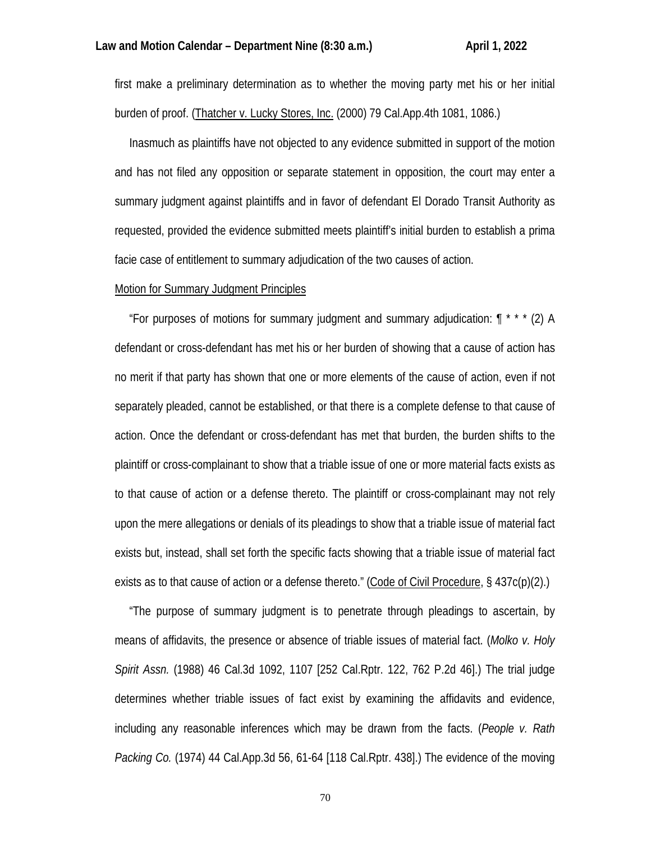first make a preliminary determination as to whether the moving party met his or her initial burden of proof. (Thatcher v. Lucky Stores, Inc. (2000) 79 Cal.App.4th 1081, 1086.)

 Inasmuch as plaintiffs have not objected to any evidence submitted in support of the motion and has not filed any opposition or separate statement in opposition, the court may enter a summary judgment against plaintiffs and in favor of defendant El Dorado Transit Authority as requested, provided the evidence submitted meets plaintiff's initial burden to establish a prima facie case of entitlement to summary adjudication of the two causes of action.

#### Motion for Summary Judgment Principles

"For purposes of motions for summary judgment and summary adjudication:  $\int^{\cdot}$  \* \* \* (2) A defendant or cross-defendant has met his or her burden of showing that a cause of action has no merit if that party has shown that one or more elements of the cause of action, even if not separately pleaded, cannot be established, or that there is a complete defense to that cause of action. Once the defendant or cross-defendant has met that burden, the burden shifts to the plaintiff or cross-complainant to show that a triable issue of one or more material facts exists as to that cause of action or a defense thereto. The plaintiff or cross-complainant may not rely upon the mere allegations or denials of its pleadings to show that a triable issue of material fact exists but, instead, shall set forth the specific facts showing that a triable issue of material fact exists as to that cause of action or a defense thereto." (Code of Civil Procedure, § 437c(p)(2).)

 "The purpose of summary judgment is to penetrate through pleadings to ascertain, by means of affidavits, the presence or absence of triable issues of material fact. (*Molko v. Holy Spirit Assn.* (1988) 46 Cal.3d 1092, 1107 [252 Cal.Rptr. 122, 762 P.2d 46].) The trial judge determines whether triable issues of fact exist by examining the affidavits and evidence, including any reasonable inferences which may be drawn from the facts. (*People v. Rath Packing Co.* (1974) 44 Cal.App.3d 56, 61-64 [118 Cal.Rptr. 438].) The evidence of the moving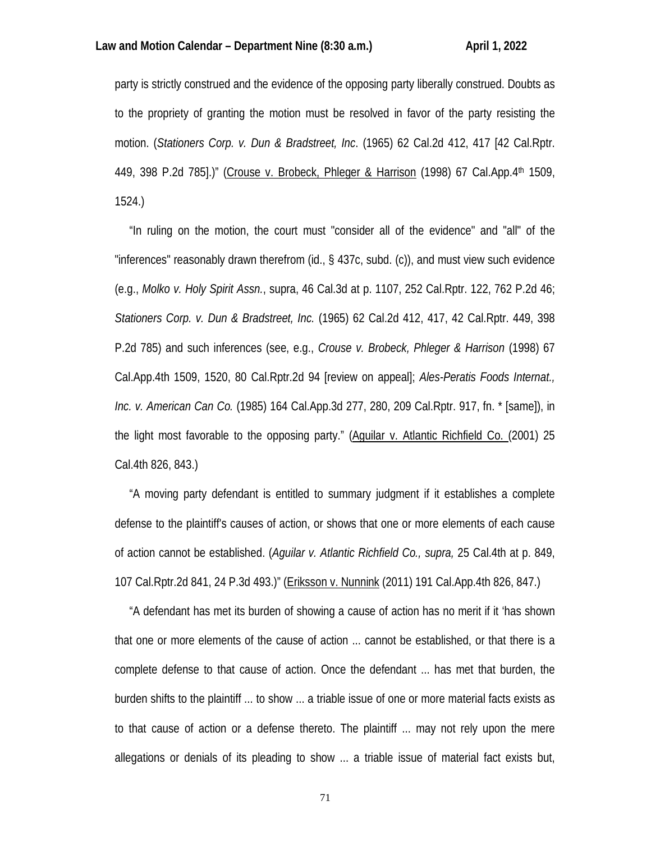party is strictly construed and the evidence of the opposing party liberally construed. Doubts as to the propriety of granting the motion must be resolved in favor of the party resisting the motion. (*Stationers Corp. v. Dun & Bradstreet, Inc*. (1965) 62 Cal.2d 412, 417 [42 Cal.Rptr. 449, 398 P.2d 785].)" (Crouse v. Brobeck, Phleger & Harrison (1998) 67 Cal.App.4th 1509, 1524.)

 "In ruling on the motion, the court must "consider all of the evidence" and "all" of the "inferences" reasonably drawn therefrom (id., § 437c, subd. (c)), and must view such evidence (e.g., *Molko v. Holy Spirit Assn.*, supra, 46 Cal.3d at p. 1107, 252 Cal.Rptr. 122, 762 P.2d 46; *Stationers Corp. v. Dun & Bradstreet, Inc.* (1965) 62 Cal.2d 412, 417, 42 Cal.Rptr. 449, 398 P.2d 785) and such inferences (see, e.g., *Crouse v. Brobeck, Phleger & Harrison* (1998) 67 Cal.App.4th 1509, 1520, 80 Cal.Rptr.2d 94 [review on appeal]; *Ales-Peratis Foods Internat., Inc. v. American Can Co.* (1985) 164 Cal.App.3d 277, 280, 209 Cal.Rptr. 917, fn. \* [same]), in the light most favorable to the opposing party." (Aguilar v. Atlantic Richfield Co. (2001) 25 Cal.4th 826, 843.)

 "A moving party defendant is entitled to summary judgment if it establishes a complete defense to the plaintiff's causes of action, or shows that one or more elements of each cause of action cannot be established. (*Aguilar v. Atlantic Richfield Co., supra,* 25 Cal.4th at p. 849, 107 Cal.Rptr.2d 841, 24 P.3d 493.)" (Eriksson v. Nunnink (2011) 191 Cal.App.4th 826, 847.)

 "A defendant has met its burden of showing a cause of action has no merit if it 'has shown that one or more elements of the cause of action ... cannot be established, or that there is a complete defense to that cause of action. Once the defendant ... has met that burden, the burden shifts to the plaintiff ... to show ... a triable issue of one or more material facts exists as to that cause of action or a defense thereto. The plaintiff ... may not rely upon the mere allegations or denials of its pleading to show ... a triable issue of material fact exists but,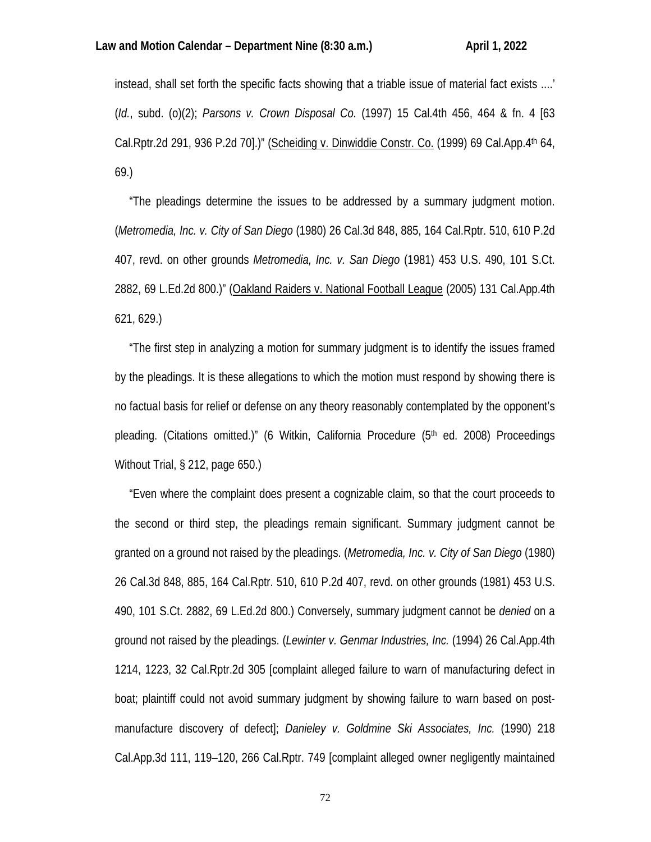instead, shall set forth the specific facts showing that a triable issue of material fact exists ....' (*Id.*, subd. (o)(2); *Parsons v. Crown Disposal Co.* (1997) 15 Cal.4th 456, 464 & fn. 4 [63 Cal.Rptr.2d 291, 936 P.2d 70].)" (Scheiding v. Dinwiddie Constr. Co. (1999) 69 Cal.App.4th 64, 69.)

 "The pleadings determine the issues to be addressed by a summary judgment motion. (*Metromedia, Inc. v. City of San Diego* (1980) 26 Cal.3d 848, 885, 164 Cal.Rptr. 510, 610 P.2d 407, revd. on other grounds *Metromedia, Inc. v. San Diego* (1981) 453 U.S. 490, 101 S.Ct. 2882, 69 L.Ed.2d 800.)" (Oakland Raiders v. National Football League (2005) 131 Cal.App.4th 621, 629.)

 "The first step in analyzing a motion for summary judgment is to identify the issues framed by the pleadings. It is these allegations to which the motion must respond by showing there is no factual basis for relief or defense on any theory reasonably contemplated by the opponent's pleading. (Citations omitted.)" (6 Witkin, California Procedure (5th ed. 2008) Proceedings Without Trial, § 212, page 650.)

 "Even where the complaint does present a cognizable claim, so that the court proceeds to the second or third step, the pleadings remain significant. Summary judgment cannot be granted on a ground not raised by the pleadings. (*Metromedia, Inc. v. City of San Diego* (1980) 26 Cal.3d 848, 885, 164 Cal.Rptr. 510, 610 P.2d 407, revd. on other grounds (1981) 453 U.S. 490, 101 S.Ct. 2882, 69 L.Ed.2d 800.) Conversely, summary judgment cannot be *denied* on a ground not raised by the pleadings. (*Lewinter v. Genmar Industries, Inc.* (1994) 26 Cal.App.4th 1214, 1223, 32 Cal.Rptr.2d 305 [complaint alleged failure to warn of manufacturing defect in boat; plaintiff could not avoid summary judgment by showing failure to warn based on postmanufacture discovery of defect]; *Danieley v. Goldmine Ski Associates, Inc.* (1990) 218 Cal.App.3d 111, 119–120, 266 Cal.Rptr. 749 [complaint alleged owner negligently maintained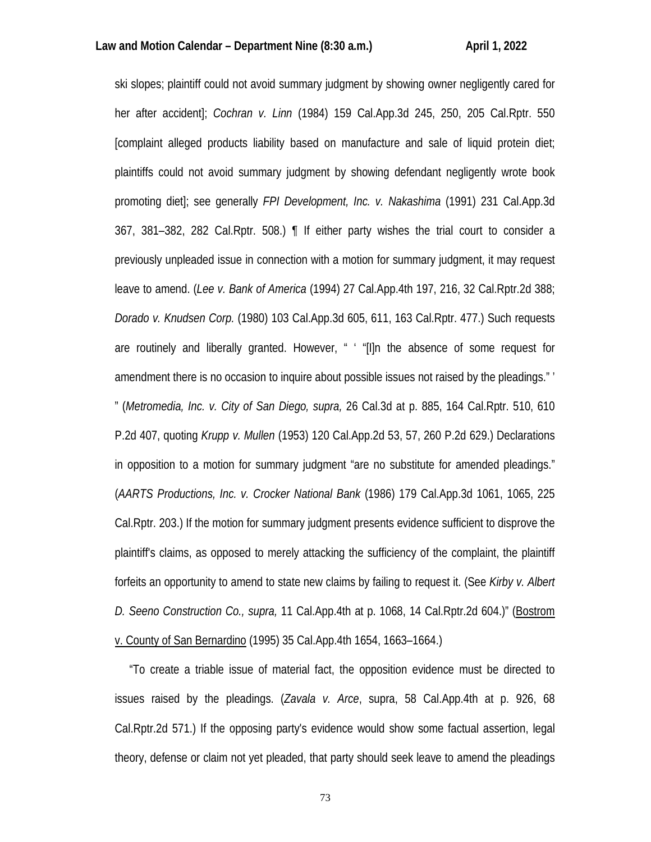ski slopes; plaintiff could not avoid summary judgment by showing owner negligently cared for her after accident]; *Cochran v. Linn* (1984) 159 Cal.App.3d 245, 250, 205 Cal.Rptr. 550 [complaint alleged products liability based on manufacture and sale of liquid protein diet; plaintiffs could not avoid summary judgment by showing defendant negligently wrote book promoting diet]; see generally *FPI Development, Inc. v. Nakashima* (1991) 231 Cal.App.3d 367, 381–382, 282 Cal.Rptr. 508.) ¶ If either party wishes the trial court to consider a previously unpleaded issue in connection with a motion for summary judgment, it may request leave to amend. (*Lee v. Bank of America* (1994) 27 Cal.App.4th 197, 216, 32 Cal.Rptr.2d 388; *Dorado v. Knudsen Corp.* (1980) 103 Cal.App.3d 605, 611, 163 Cal.Rptr. 477.) Such requests are routinely and liberally granted. However, " ' "[I]n the absence of some request for amendment there is no occasion to inquire about possible issues not raised by the pleadings." ' " (*Metromedia, Inc. v. City of San Diego, supra,* 26 Cal.3d at p. 885, 164 Cal.Rptr. 510, 610 P.2d 407, quoting *Krupp v. Mullen* (1953) 120 Cal.App.2d 53, 57, 260 P.2d 629.) Declarations in opposition to a motion for summary judgment "are no substitute for amended pleadings." (*AARTS Productions, Inc. v. Crocker National Bank* (1986) 179 Cal.App.3d 1061, 1065, 225 Cal.Rptr. 203.) If the motion for summary judgment presents evidence sufficient to disprove the plaintiff's claims, as opposed to merely attacking the sufficiency of the complaint, the plaintiff forfeits an opportunity to amend to state new claims by failing to request it. (See *Kirby v. Albert D. Seeno Construction Co., supra,* 11 Cal.App.4th at p. 1068, 14 Cal.Rptr.2d 604.)" (Bostrom v. County of San Bernardino (1995) 35 Cal.App.4th 1654, 1663–1664.)

 "To create a triable issue of material fact, the opposition evidence must be directed to issues raised by the pleadings. (*Zavala v. Arce*, supra, 58 Cal.App.4th at p. 926, 68 Cal.Rptr.2d 571.) If the opposing party's evidence would show some factual assertion, legal theory, defense or claim not yet pleaded, that party should seek leave to amend the pleadings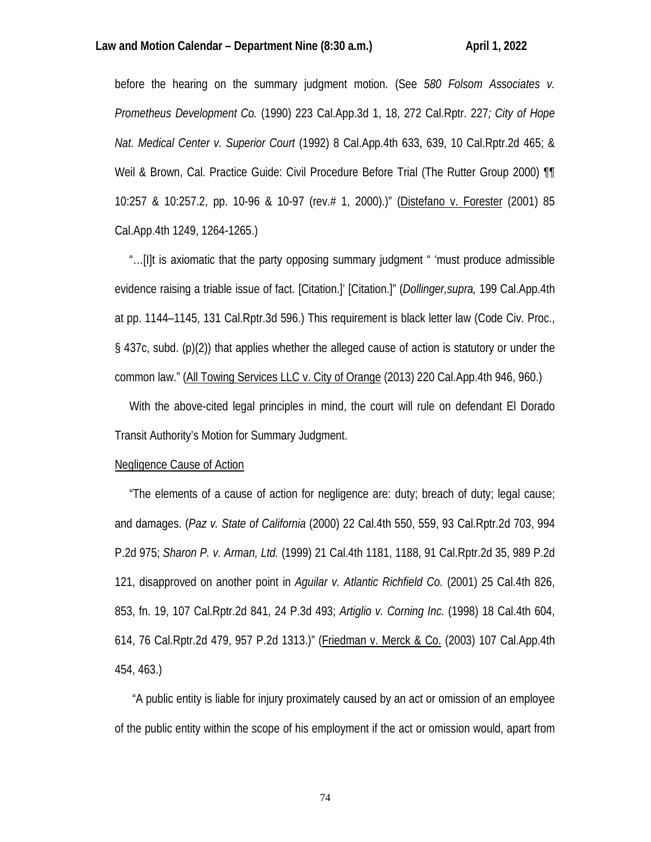# Law and Motion Calendar – Department Nine (8:30 a.m.) April 1, 2022

before the hearing on the summary judgment motion. (See *580 Folsom Associates v. Prometheus Development Co.* (1990) 223 Cal.App.3d 1, 18, 272 Cal.Rptr. 227*; City of Hope Nat. Medical Center v. Superior Court* (1992) 8 Cal.App.4th 633, 639, 10 Cal.Rptr.2d 465; & Weil & Brown, Cal. Practice Guide: Civil Procedure Before Trial (The Rutter Group 2000)  $\P$ 10:257 & 10:257.2, pp. 10-96 & 10-97 (rev.# 1, 2000).)" (Distefano v. Forester (2001) 85 Cal.App.4th 1249, 1264-1265.)

 "…[I]t is axiomatic that the party opposing summary judgment " 'must produce admissible evidence raising a triable issue of fact. [Citation.]' [Citation.]" (*Dollinger,supra,* 199 Cal.App.4th at pp. 1144–1145, 131 Cal.Rptr.3d 596.) This requirement is black letter law (Code Civ. Proc., § 437c, subd. (p)(2)) that applies whether the alleged cause of action is statutory or under the common law." (All Towing Services LLC v. City of Orange (2013) 220 Cal.App.4th 946, 960.)

 With the above-cited legal principles in mind, the court will rule on defendant El Dorado Transit Authority's Motion for Summary Judgment.

## Negligence Cause of Action

 "The elements of a cause of action for negligence are: duty; breach of duty; legal cause; and damages. (*Paz v. State of California* (2000) 22 Cal.4th 550, 559, 93 Cal.Rptr.2d 703, 994 P.2d 975; *Sharon P. v. Arman, Ltd.* (1999) 21 Cal.4th 1181, 1188, 91 Cal.Rptr.2d 35, 989 P.2d 121, disapproved on another point in *Aguilar v. Atlantic Richfield Co.* (2001) 25 Cal.4th 826, 853, fn. 19, 107 Cal.Rptr.2d 841, 24 P.3d 493; *Artiglio v. Corning Inc.* (1998) 18 Cal.4th 604, 614, 76 Cal.Rptr.2d 479, 957 P.2d 1313.)" (Friedman v. Merck & Co. (2003) 107 Cal.App.4th 454, 463.)

 "A public entity is liable for injury proximately caused by an act or omission of an employee of the public entity within the scope of his employment if the act or omission would, apart from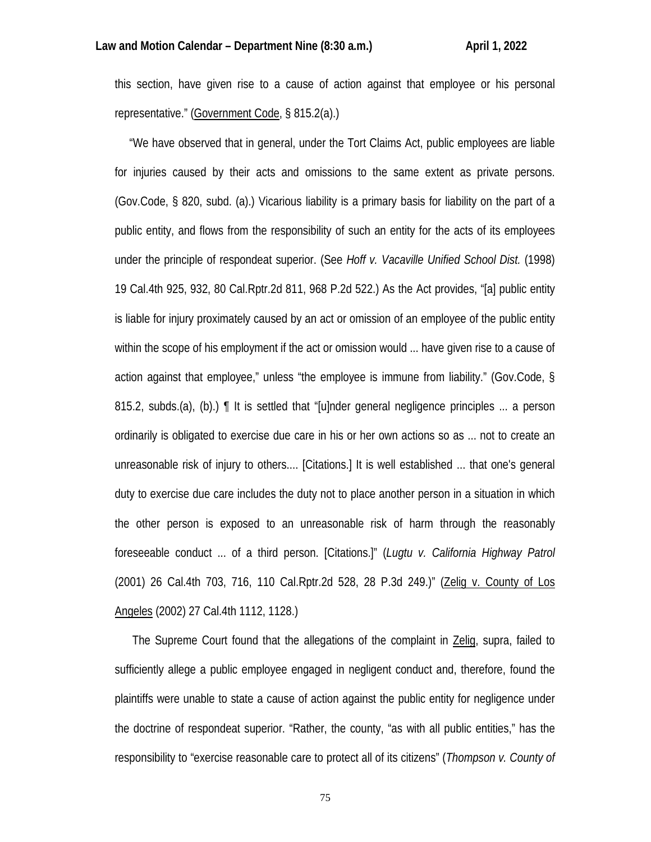this section, have given rise to a cause of action against that employee or his personal representative." (Government Code, § 815.2(a).)

 "We have observed that in general, under the Tort Claims Act, public employees are liable for injuries caused by their acts and omissions to the same extent as private persons. (Gov.Code, § 820, subd. (a).) Vicarious liability is a primary basis for liability on the part of a public entity, and flows from the responsibility of such an entity for the acts of its employees under the principle of respondeat superior. (See *Hoff v. Vacaville Unified School Dist.* (1998) 19 Cal.4th 925, 932, 80 Cal.Rptr.2d 811, 968 P.2d 522.) As the Act provides, "[a] public entity is liable for injury proximately caused by an act or omission of an employee of the public entity within the scope of his employment if the act or omission would ... have given rise to a cause of action against that employee," unless "the employee is immune from liability." (Gov.Code, § 815.2, subds.(a), (b).) ¶ It is settled that "[u]nder general negligence principles ... a person ordinarily is obligated to exercise due care in his or her own actions so as ... not to create an unreasonable risk of injury to others.... [Citations.] It is well established ... that one's general duty to exercise due care includes the duty not to place another person in a situation in which the other person is exposed to an unreasonable risk of harm through the reasonably foreseeable conduct ... of a third person. [Citations.]" (*Lugtu v. California Highway Patrol* (2001) 26 Cal.4th 703, 716, 110 Cal.Rptr.2d 528, 28 P.3d 249.)" (Zelig v. County of Los Angeles (2002) 27 Cal.4th 1112, 1128.)

The Supreme Court found that the allegations of the complaint in Zelig, supra, failed to sufficiently allege a public employee engaged in negligent conduct and, therefore, found the plaintiffs were unable to state a cause of action against the public entity for negligence under the doctrine of respondeat superior. "Rather, the county, "as with all public entities," has the responsibility to "exercise reasonable care to protect all of its citizens" (*Thompson v. County of*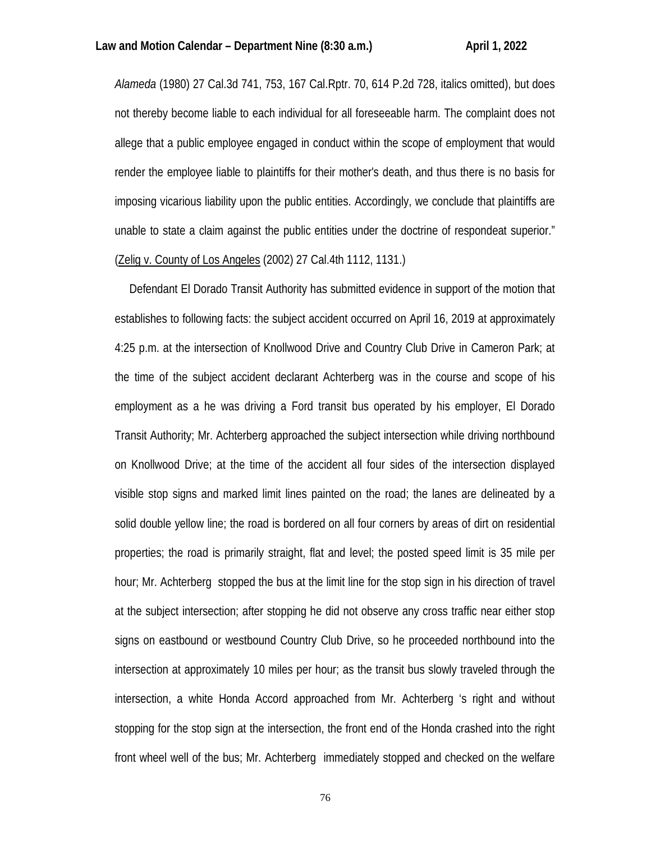*Alameda* (1980) 27 Cal.3d 741, 753, 167 Cal.Rptr. 70, 614 P.2d 728, italics omitted), but does not thereby become liable to each individual for all foreseeable harm. The complaint does not allege that a public employee engaged in conduct within the scope of employment that would render the employee liable to plaintiffs for their mother's death, and thus there is no basis for imposing vicarious liability upon the public entities. Accordingly, we conclude that plaintiffs are unable to state a claim against the public entities under the doctrine of respondeat superior." (Zelig v. County of Los Angeles (2002) 27 Cal.4th 1112, 1131.)

 Defendant El Dorado Transit Authority has submitted evidence in support of the motion that establishes to following facts: the subject accident occurred on April 16, 2019 at approximately 4:25 p.m. at the intersection of Knollwood Drive and Country Club Drive in Cameron Park; at the time of the subject accident declarant Achterberg was in the course and scope of his employment as a he was driving a Ford transit bus operated by his employer, El Dorado Transit Authority; Mr. Achterberg approached the subject intersection while driving northbound on Knollwood Drive; at the time of the accident all four sides of the intersection displayed visible stop signs and marked limit lines painted on the road; the lanes are delineated by a solid double yellow line; the road is bordered on all four corners by areas of dirt on residential properties; the road is primarily straight, flat and level; the posted speed limit is 35 mile per hour; Mr. Achterberg stopped the bus at the limit line for the stop sign in his direction of travel at the subject intersection; after stopping he did not observe any cross traffic near either stop signs on eastbound or westbound Country Club Drive, so he proceeded northbound into the intersection at approximately 10 miles per hour; as the transit bus slowly traveled through the intersection, a white Honda Accord approached from Mr. Achterberg 's right and without stopping for the stop sign at the intersection, the front end of the Honda crashed into the right front wheel well of the bus; Mr. Achterberg immediately stopped and checked on the welfare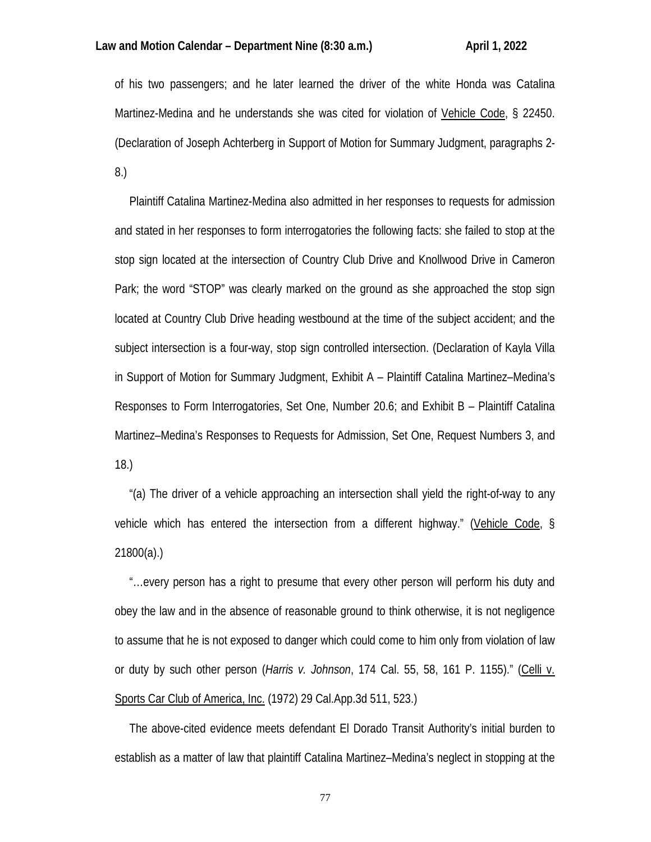of his two passengers; and he later learned the driver of the white Honda was Catalina Martinez-Medina and he understands she was cited for violation of Vehicle Code, § 22450. (Declaration of Joseph Achterberg in Support of Motion for Summary Judgment, paragraphs 2- 8.)

 Plaintiff Catalina Martinez-Medina also admitted in her responses to requests for admission and stated in her responses to form interrogatories the following facts: she failed to stop at the stop sign located at the intersection of Country Club Drive and Knollwood Drive in Cameron Park; the word "STOP" was clearly marked on the ground as she approached the stop sign located at Country Club Drive heading westbound at the time of the subject accident; and the subject intersection is a four-way, stop sign controlled intersection. (Declaration of Kayla Villa in Support of Motion for Summary Judgment, Exhibit A – Plaintiff Catalina Martinez–Medina's Responses to Form Interrogatories, Set One, Number 20.6; and Exhibit B – Plaintiff Catalina Martinez–Medina's Responses to Requests for Admission, Set One, Request Numbers 3, and 18.)

 "(a) The driver of a vehicle approaching an intersection shall yield the right-of-way to any vehicle which has entered the intersection from a different highway." (Vehicle Code, § 21800(a).)

 "…every person has a right to presume that every other person will perform his duty and obey the law and in the absence of reasonable ground to think otherwise, it is not negligence to assume that he is not exposed to danger which could come to him only from violation of law or duty by such other person (*Harris v. Johnson*, 174 Cal. 55, 58, 161 P. 1155)." (Celli v. Sports Car Club of America, Inc. (1972) 29 Cal.App.3d 511, 523.)

 The above-cited evidence meets defendant El Dorado Transit Authority's initial burden to establish as a matter of law that plaintiff Catalina Martinez–Medina's neglect in stopping at the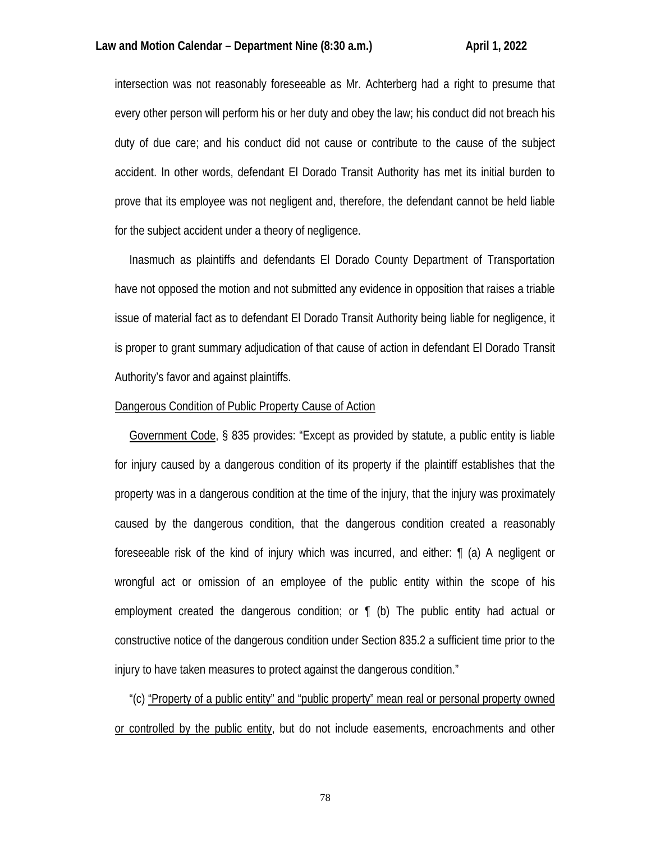intersection was not reasonably foreseeable as Mr. Achterberg had a right to presume that every other person will perform his or her duty and obey the law; his conduct did not breach his duty of due care; and his conduct did not cause or contribute to the cause of the subject accident. In other words, defendant El Dorado Transit Authority has met its initial burden to prove that its employee was not negligent and, therefore, the defendant cannot be held liable for the subject accident under a theory of negligence.

 Inasmuch as plaintiffs and defendants El Dorado County Department of Transportation have not opposed the motion and not submitted any evidence in opposition that raises a triable issue of material fact as to defendant El Dorado Transit Authority being liable for negligence, it is proper to grant summary adjudication of that cause of action in defendant El Dorado Transit Authority's favor and against plaintiffs.

## Dangerous Condition of Public Property Cause of Action

 Government Code, § 835 provides: "Except as provided by statute, a public entity is liable for injury caused by a dangerous condition of its property if the plaintiff establishes that the property was in a dangerous condition at the time of the injury, that the injury was proximately caused by the dangerous condition, that the dangerous condition created a reasonably foreseeable risk of the kind of injury which was incurred, and either: ¶ (a) A negligent or wrongful act or omission of an employee of the public entity within the scope of his employment created the dangerous condition; or ¶ (b) The public entity had actual or constructive notice of the dangerous condition under Section 835.2 a sufficient time prior to the injury to have taken measures to protect against the dangerous condition."

 "(c) "Property of a public entity" and "public property" mean real or personal property owned or controlled by the public entity, but do not include easements, encroachments and other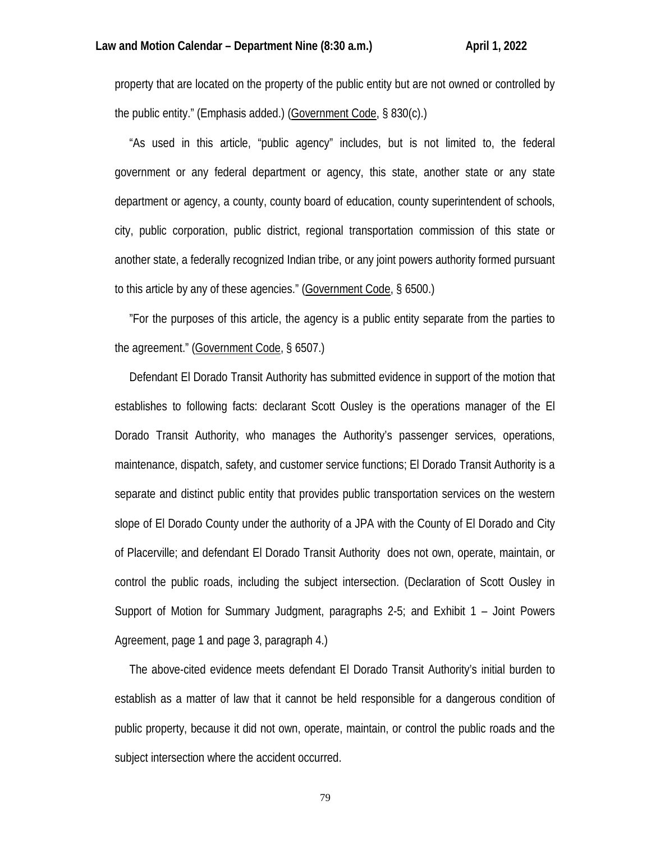property that are located on the property of the public entity but are not owned or controlled by the public entity." (Emphasis added.) (Government Code, § 830(c).)

 "As used in this article, "public agency" includes, but is not limited to, the federal government or any federal department or agency, this state, another state or any state department or agency, a county, county board of education, county superintendent of schools, city, public corporation, public district, regional transportation commission of this state or another state, a federally recognized Indian tribe, or any joint powers authority formed pursuant to this article by any of these agencies." (Government Code, § 6500.)

 "For the purposes of this article, the agency is a public entity separate from the parties to the agreement." (Government Code, § 6507.)

 Defendant El Dorado Transit Authority has submitted evidence in support of the motion that establishes to following facts: declarant Scott Ousley is the operations manager of the El Dorado Transit Authority, who manages the Authority's passenger services, operations, maintenance, dispatch, safety, and customer service functions; El Dorado Transit Authority is a separate and distinct public entity that provides public transportation services on the western slope of El Dorado County under the authority of a JPA with the County of El Dorado and City of Placerville; and defendant El Dorado Transit Authority does not own, operate, maintain, or control the public roads, including the subject intersection. (Declaration of Scott Ousley in Support of Motion for Summary Judgment, paragraphs 2-5; and Exhibit 1 – Joint Powers Agreement, page 1 and page 3, paragraph 4.)

 The above-cited evidence meets defendant El Dorado Transit Authority's initial burden to establish as a matter of law that it cannot be held responsible for a dangerous condition of public property, because it did not own, operate, maintain, or control the public roads and the subject intersection where the accident occurred.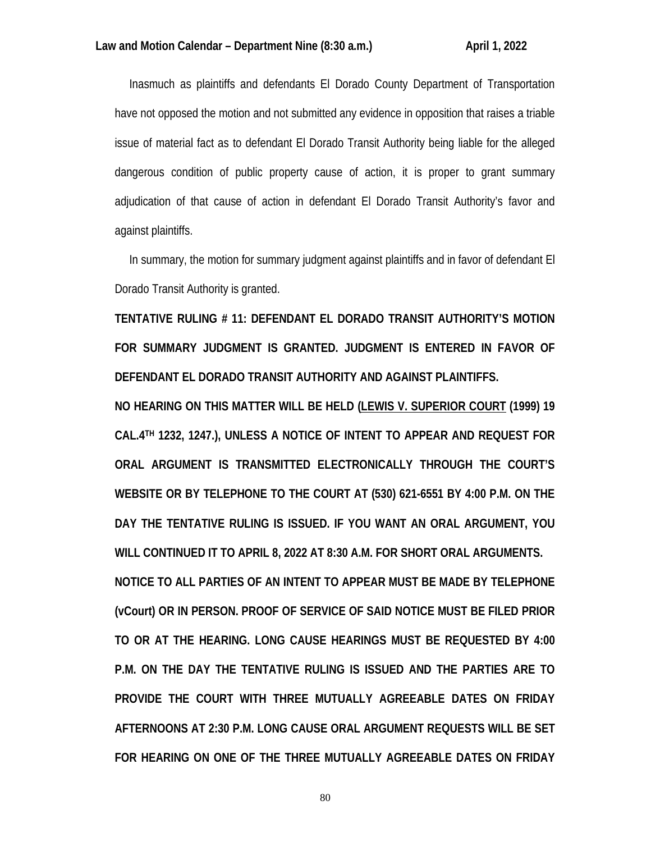Inasmuch as plaintiffs and defendants El Dorado County Department of Transportation have not opposed the motion and not submitted any evidence in opposition that raises a triable issue of material fact as to defendant El Dorado Transit Authority being liable for the alleged dangerous condition of public property cause of action, it is proper to grant summary adjudication of that cause of action in defendant El Dorado Transit Authority's favor and against plaintiffs.

 In summary, the motion for summary judgment against plaintiffs and in favor of defendant El Dorado Transit Authority is granted.

**TENTATIVE RULING # 11: DEFENDANT EL DORADO TRANSIT AUTHORITY'S MOTION FOR SUMMARY JUDGMENT IS GRANTED. JUDGMENT IS ENTERED IN FAVOR OF DEFENDANT EL DORADO TRANSIT AUTHORITY AND AGAINST PLAINTIFFS.** 

**NO HEARING ON THIS MATTER WILL BE HELD (LEWIS V. SUPERIOR COURT (1999) 19 CAL.4TH 1232, 1247.), UNLESS A NOTICE OF INTENT TO APPEAR AND REQUEST FOR ORAL ARGUMENT IS TRANSMITTED ELECTRONICALLY THROUGH THE COURT'S WEBSITE OR BY TELEPHONE TO THE COURT AT (530) 621-6551 BY 4:00 P.M. ON THE DAY THE TENTATIVE RULING IS ISSUED. IF YOU WANT AN ORAL ARGUMENT, YOU WILL CONTINUED IT TO APRIL 8, 2022 AT 8:30 A.M. FOR SHORT ORAL ARGUMENTS. NOTICE TO ALL PARTIES OF AN INTENT TO APPEAR MUST BE MADE BY TELEPHONE (vCourt) OR IN PERSON. PROOF OF SERVICE OF SAID NOTICE MUST BE FILED PRIOR TO OR AT THE HEARING. LONG CAUSE HEARINGS MUST BE REQUESTED BY 4:00 P.M. ON THE DAY THE TENTATIVE RULING IS ISSUED AND THE PARTIES ARE TO PROVIDE THE COURT WITH THREE MUTUALLY AGREEABLE DATES ON FRIDAY** 

**FOR HEARING ON ONE OF THE THREE MUTUALLY AGREEABLE DATES ON FRIDAY** 

**AFTERNOONS AT 2:30 P.M. LONG CAUSE ORAL ARGUMENT REQUESTS WILL BE SET**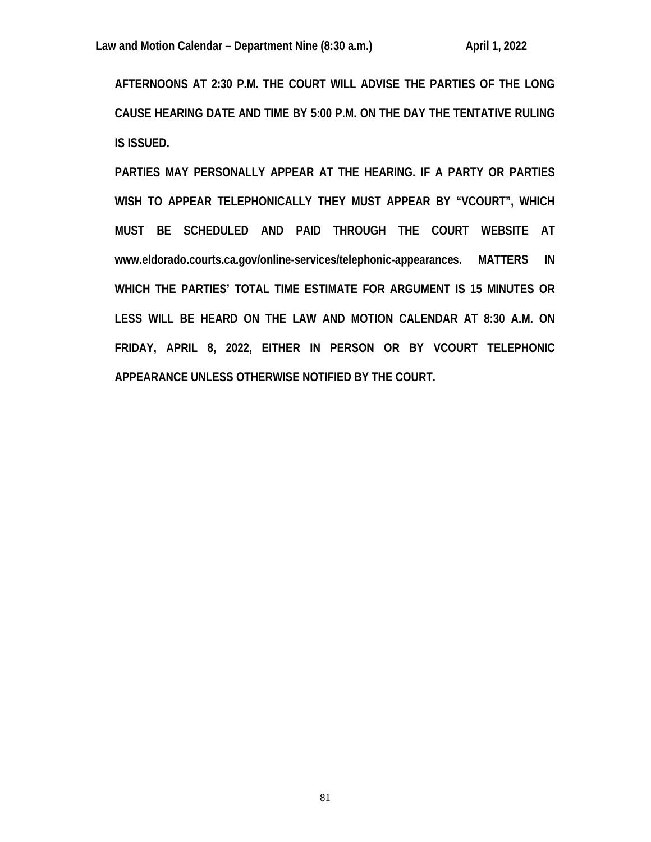**AFTERNOONS AT 2:30 P.M. THE COURT WILL ADVISE THE PARTIES OF THE LONG CAUSE HEARING DATE AND TIME BY 5:00 P.M. ON THE DAY THE TENTATIVE RULING IS ISSUED.** 

**PARTIES MAY PERSONALLY APPEAR AT THE HEARING. IF A PARTY OR PARTIES WISH TO APPEAR TELEPHONICALLY THEY MUST APPEAR BY "VCOURT", WHICH MUST BE SCHEDULED AND PAID THROUGH THE COURT WEBSITE AT www.eldorado.courts.ca.gov/online-services/telephonic-appearances. MATTERS IN WHICH THE PARTIES' TOTAL TIME ESTIMATE FOR ARGUMENT IS 15 MINUTES OR LESS WILL BE HEARD ON THE LAW AND MOTION CALENDAR AT 8:30 A.M. ON FRIDAY, APRIL 8, 2022, EITHER IN PERSON OR BY VCOURT TELEPHONIC APPEARANCE UNLESS OTHERWISE NOTIFIED BY THE COURT.**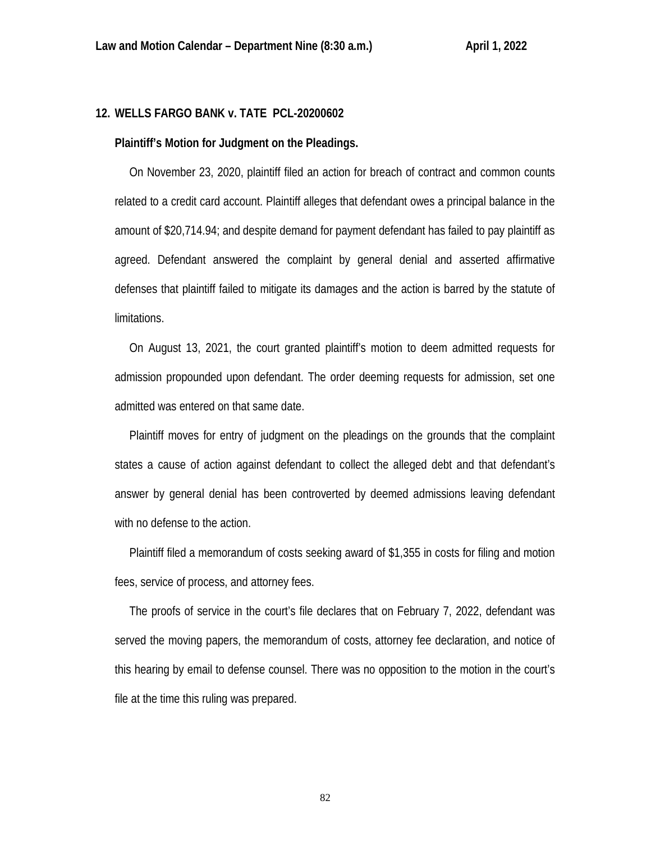# **12. WELLS FARGO BANK v. TATE PCL-20200602**

#### **Plaintiff's Motion for Judgment on the Pleadings.**

 On November 23, 2020, plaintiff filed an action for breach of contract and common counts related to a credit card account. Plaintiff alleges that defendant owes a principal balance in the amount of \$20,714.94; and despite demand for payment defendant has failed to pay plaintiff as agreed. Defendant answered the complaint by general denial and asserted affirmative defenses that plaintiff failed to mitigate its damages and the action is barred by the statute of limitations.

 On August 13, 2021, the court granted plaintiff's motion to deem admitted requests for admission propounded upon defendant. The order deeming requests for admission, set one admitted was entered on that same date.

 Plaintiff moves for entry of judgment on the pleadings on the grounds that the complaint states a cause of action against defendant to collect the alleged debt and that defendant's answer by general denial has been controverted by deemed admissions leaving defendant with no defense to the action.

 Plaintiff filed a memorandum of costs seeking award of \$1,355 in costs for filing and motion fees, service of process, and attorney fees.

 The proofs of service in the court's file declares that on February 7, 2022, defendant was served the moving papers, the memorandum of costs, attorney fee declaration, and notice of this hearing by email to defense counsel. There was no opposition to the motion in the court's file at the time this ruling was prepared.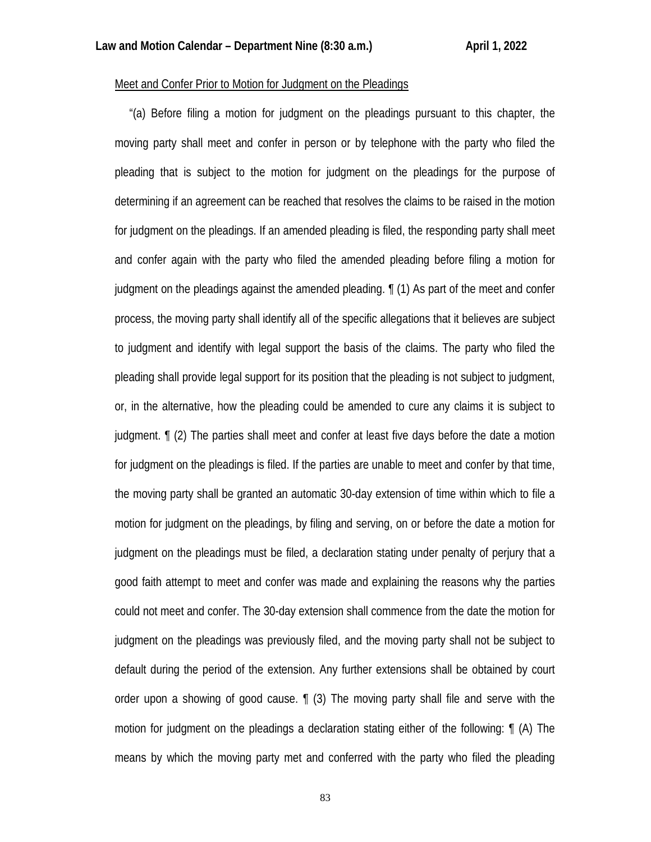# Meet and Confer Prior to Motion for Judgment on the Pleadings

 "(a) Before filing a motion for judgment on the pleadings pursuant to this chapter, the moving party shall meet and confer in person or by telephone with the party who filed the pleading that is subject to the motion for judgment on the pleadings for the purpose of determining if an agreement can be reached that resolves the claims to be raised in the motion for judgment on the pleadings. If an amended pleading is filed, the responding party shall meet and confer again with the party who filed the amended pleading before filing a motion for judgment on the pleadings against the amended pleading. ¶ (1) As part of the meet and confer process, the moving party shall identify all of the specific allegations that it believes are subject to judgment and identify with legal support the basis of the claims. The party who filed the pleading shall provide legal support for its position that the pleading is not subject to judgment, or, in the alternative, how the pleading could be amended to cure any claims it is subject to judgment. ¶ (2) The parties shall meet and confer at least five days before the date a motion for judgment on the pleadings is filed. If the parties are unable to meet and confer by that time, the moving party shall be granted an automatic 30-day extension of time within which to file a motion for judgment on the pleadings, by filing and serving, on or before the date a motion for judgment on the pleadings must be filed, a declaration stating under penalty of perjury that a good faith attempt to meet and confer was made and explaining the reasons why the parties could not meet and confer. The 30-day extension shall commence from the date the motion for judgment on the pleadings was previously filed, and the moving party shall not be subject to default during the period of the extension. Any further extensions shall be obtained by court order upon a showing of good cause. ¶ (3) The moving party shall file and serve with the motion for judgment on the pleadings a declaration stating either of the following: ¶ (A) The means by which the moving party met and conferred with the party who filed the pleading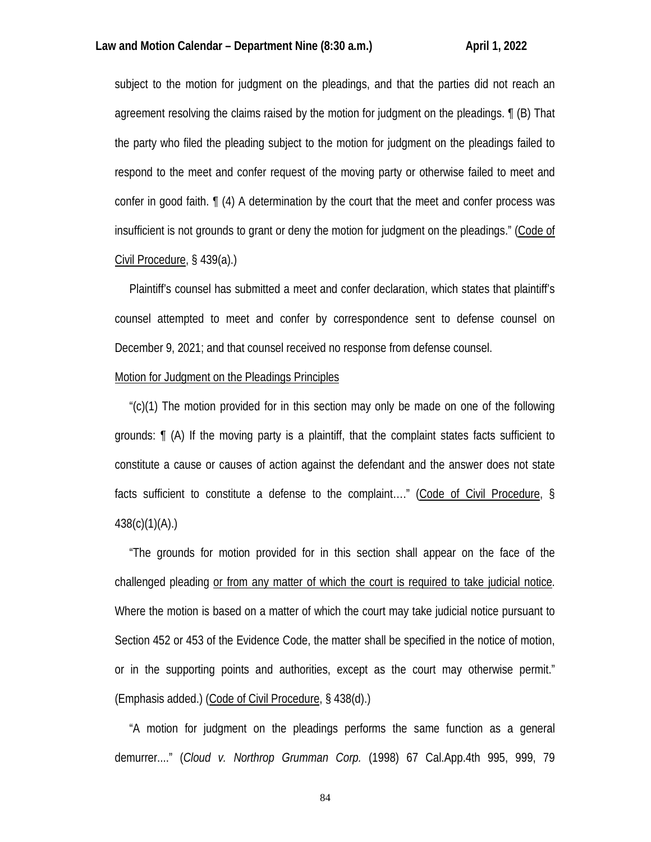subject to the motion for judgment on the pleadings, and that the parties did not reach an agreement resolving the claims raised by the motion for judgment on the pleadings. ¶ (B) That the party who filed the pleading subject to the motion for judgment on the pleadings failed to respond to the meet and confer request of the moving party or otherwise failed to meet and confer in good faith. ¶ (4) A determination by the court that the meet and confer process was insufficient is not grounds to grant or deny the motion for judgment on the pleadings." (Code of Civil Procedure, § 439(a).)

 Plaintiff's counsel has submitted a meet and confer declaration, which states that plaintiff's counsel attempted to meet and confer by correspondence sent to defense counsel on December 9, 2021; and that counsel received no response from defense counsel.

## Motion for Judgment on the Pleadings Principles

 "(c)(1) The motion provided for in this section may only be made on one of the following grounds: ¶ (A) If the moving party is a plaintiff, that the complaint states facts sufficient to constitute a cause or causes of action against the defendant and the answer does not state facts sufficient to constitute a defense to the complaint…." (Code of Civil Procedure, § 438(c)(1)(A).)

 "The grounds for motion provided for in this section shall appear on the face of the challenged pleading or from any matter of which the court is required to take judicial notice. Where the motion is based on a matter of which the court may take judicial notice pursuant to Section 452 or 453 of the Evidence Code, the matter shall be specified in the notice of motion, or in the supporting points and authorities, except as the court may otherwise permit." (Emphasis added.) (Code of Civil Procedure, § 438(d).)

 "A motion for judgment on the pleadings performs the same function as a general demurrer...." (*Cloud v. Northrop Grumman Corp.* (1998) 67 Cal.App.4th 995, 999, 79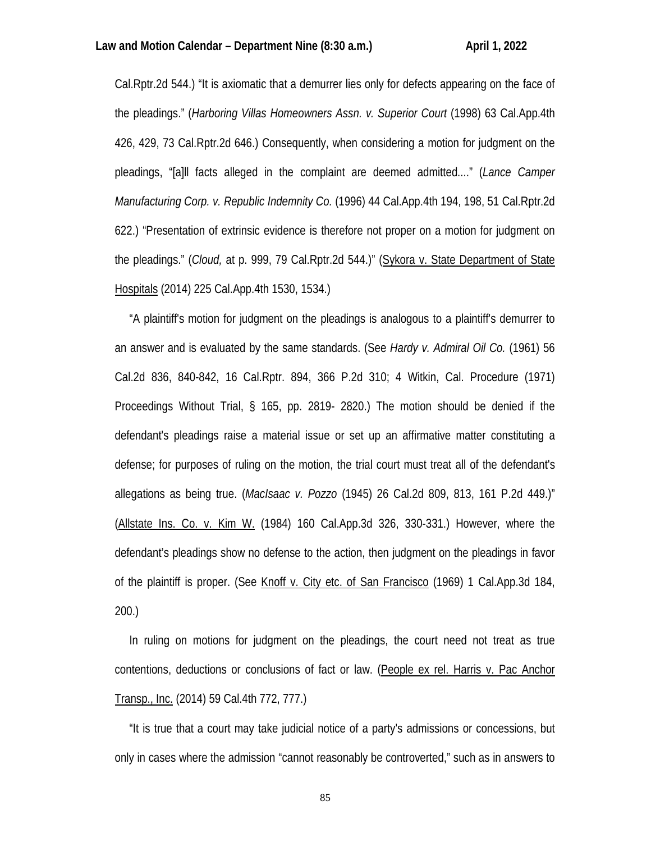Cal.Rptr.2d 544.) "It is axiomatic that a demurrer lies only for defects appearing on the face of the pleadings." (*Harboring Villas Homeowners Assn. v. Superior Court* (1998) 63 Cal.App.4th 426, 429, 73 Cal.Rptr.2d 646.) Consequently, when considering a motion for judgment on the pleadings, "[a]ll facts alleged in the complaint are deemed admitted...." (*Lance Camper Manufacturing Corp. v. Republic Indemnity Co.* (1996) 44 Cal.App.4th 194, 198, 51 Cal.Rptr.2d 622.) "Presentation of extrinsic evidence is therefore not proper on a motion for judgment on the pleadings." (*Cloud,* at p. 999, 79 Cal.Rptr.2d 544.)" (Sykora v. State Department of State Hospitals (2014) 225 Cal.App.4th 1530, 1534.)

 "A plaintiff's motion for judgment on the pleadings is analogous to a plaintiff's demurrer to an answer and is evaluated by the same standards. (See *Hardy v. Admiral Oil Co.* (1961) 56 Cal.2d 836, 840-842, 16 Cal.Rptr. 894, 366 P.2d 310; 4 Witkin, Cal. Procedure (1971) Proceedings Without Trial, § 165, pp. 2819- 2820.) The motion should be denied if the defendant's pleadings raise a material issue or set up an affirmative matter constituting a defense; for purposes of ruling on the motion, the trial court must treat all of the defendant's allegations as being true. (*MacIsaac v. Pozzo* (1945) 26 Cal.2d 809, 813, 161 P.2d 449.)" (Allstate Ins. Co. v. Kim W. (1984) 160 Cal.App.3d 326, 330-331.) However, where the defendant's pleadings show no defense to the action, then judgment on the pleadings in favor of the plaintiff is proper. (See Knoff v. City etc. of San Francisco (1969) 1 Cal.App.3d 184, 200.)

 In ruling on motions for judgment on the pleadings, the court need not treat as true contentions, deductions or conclusions of fact or law. (People ex rel. Harris v. Pac Anchor Transp., Inc. (2014) 59 Cal.4th 772, 777.)

 "It is true that a court may take judicial notice of a party's admissions or concessions, but only in cases where the admission "cannot reasonably be controverted," such as in answers to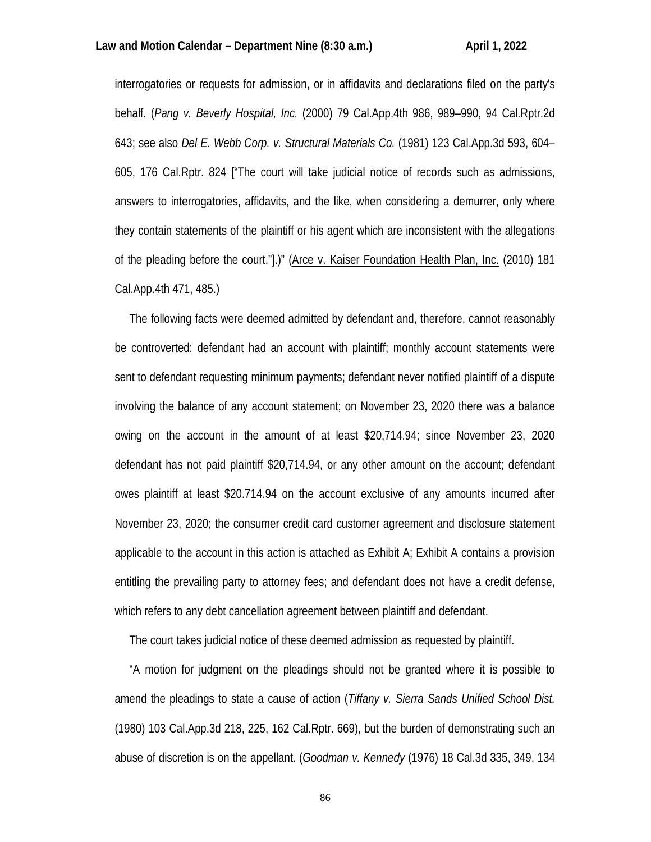interrogatories or requests for admission, or in affidavits and declarations filed on the party's behalf. (*Pang v. Beverly Hospital, Inc.* (2000) 79 Cal.App.4th 986, 989–990, 94 Cal.Rptr.2d 643; see also *Del E. Webb Corp. v. Structural Materials Co.* (1981) 123 Cal.App.3d 593, 604– 605, 176 Cal.Rptr. 824 ["The court will take judicial notice of records such as admissions, answers to interrogatories, affidavits, and the like, when considering a demurrer, only where they contain statements of the plaintiff or his agent which are inconsistent with the allegations of the pleading before the court."].)" (Arce v. Kaiser Foundation Health Plan, Inc. (2010) 181 Cal.App.4th 471, 485.)

 The following facts were deemed admitted by defendant and, therefore, cannot reasonably be controverted: defendant had an account with plaintiff; monthly account statements were sent to defendant requesting minimum payments; defendant never notified plaintiff of a dispute involving the balance of any account statement; on November 23, 2020 there was a balance owing on the account in the amount of at least \$20,714.94; since November 23, 2020 defendant has not paid plaintiff \$20,714.94, or any other amount on the account; defendant owes plaintiff at least \$20.714.94 on the account exclusive of any amounts incurred after November 23, 2020; the consumer credit card customer agreement and disclosure statement applicable to the account in this action is attached as Exhibit A; Exhibit A contains a provision entitling the prevailing party to attorney fees; and defendant does not have a credit defense, which refers to any debt cancellation agreement between plaintiff and defendant.

The court takes judicial notice of these deemed admission as requested by plaintiff.

 "A motion for judgment on the pleadings should not be granted where it is possible to amend the pleadings to state a cause of action (*Tiffany v. Sierra Sands Unified School Dist.* (1980) 103 Cal.App.3d 218, 225, 162 Cal.Rptr. 669), but the burden of demonstrating such an abuse of discretion is on the appellant. (*Goodman v. Kennedy* (1976) 18 Cal.3d 335, 349, 134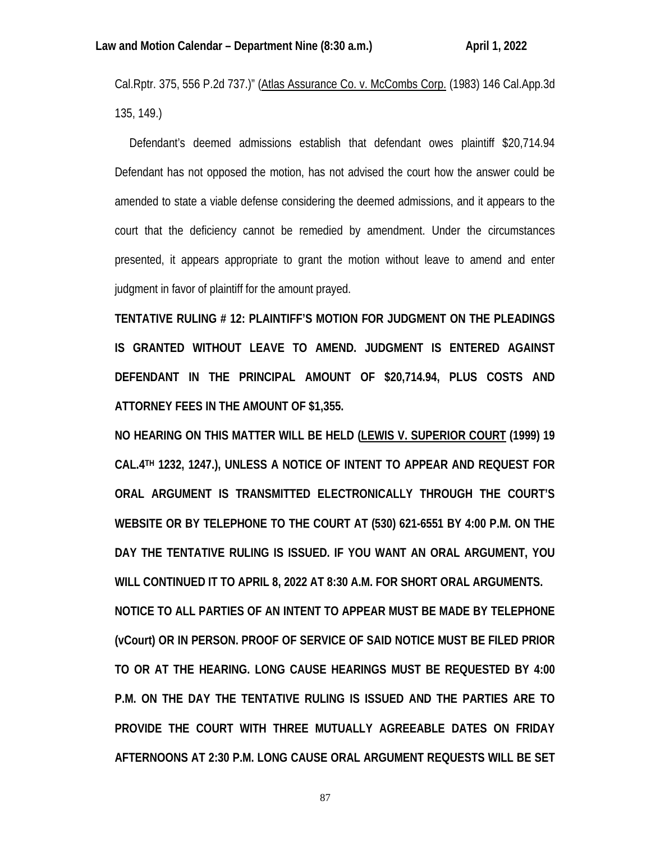Cal.Rptr. 375, 556 P.2d 737.)" (Atlas Assurance Co. v. McCombs Corp. (1983) 146 Cal.App.3d 135, 149.)

 Defendant's deemed admissions establish that defendant owes plaintiff \$20,714.94 Defendant has not opposed the motion, has not advised the court how the answer could be amended to state a viable defense considering the deemed admissions, and it appears to the court that the deficiency cannot be remedied by amendment. Under the circumstances presented, it appears appropriate to grant the motion without leave to amend and enter judgment in favor of plaintiff for the amount prayed.

**TENTATIVE RULING # 12: PLAINTIFF'S MOTION FOR JUDGMENT ON THE PLEADINGS IS GRANTED WITHOUT LEAVE TO AMEND. JUDGMENT IS ENTERED AGAINST DEFENDANT IN THE PRINCIPAL AMOUNT OF \$20,714.94, PLUS COSTS AND ATTORNEY FEES IN THE AMOUNT OF \$1,355.**

**NO HEARING ON THIS MATTER WILL BE HELD (LEWIS V. SUPERIOR COURT (1999) 19 CAL.4TH 1232, 1247.), UNLESS A NOTICE OF INTENT TO APPEAR AND REQUEST FOR ORAL ARGUMENT IS TRANSMITTED ELECTRONICALLY THROUGH THE COURT'S WEBSITE OR BY TELEPHONE TO THE COURT AT (530) 621-6551 BY 4:00 P.M. ON THE DAY THE TENTATIVE RULING IS ISSUED. IF YOU WANT AN ORAL ARGUMENT, YOU WILL CONTINUED IT TO APRIL 8, 2022 AT 8:30 A.M. FOR SHORT ORAL ARGUMENTS. NOTICE TO ALL PARTIES OF AN INTENT TO APPEAR MUST BE MADE BY TELEPHONE (vCourt) OR IN PERSON. PROOF OF SERVICE OF SAID NOTICE MUST BE FILED PRIOR TO OR AT THE HEARING. LONG CAUSE HEARINGS MUST BE REQUESTED BY 4:00 P.M. ON THE DAY THE TENTATIVE RULING IS ISSUED AND THE PARTIES ARE TO PROVIDE THE COURT WITH THREE MUTUALLY AGREEABLE DATES ON FRIDAY AFTERNOONS AT 2:30 P.M. LONG CAUSE ORAL ARGUMENT REQUESTS WILL BE SET**